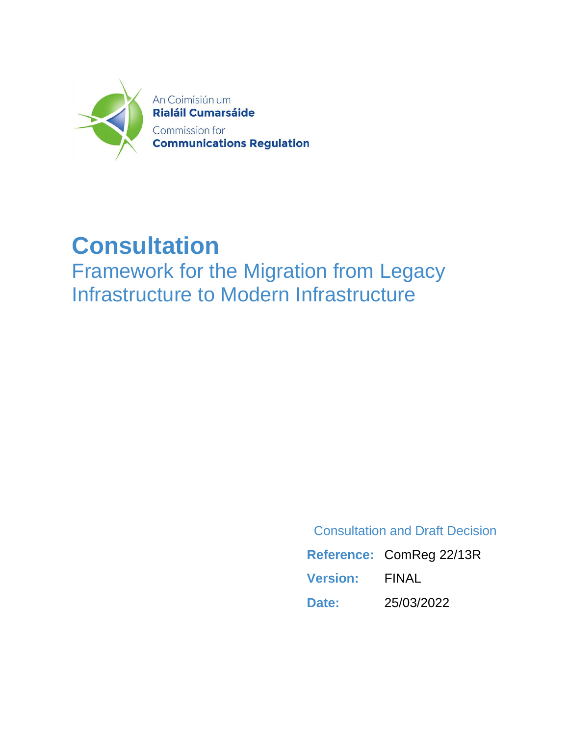

# **Consultation**

Framework for the Migration from Legacy Infrastructure to Modern Infrastructure

Consultation and Draft Decision

**Reference:** ComReg 22/13R **Version:** FINAL **Date:** 25/03/2022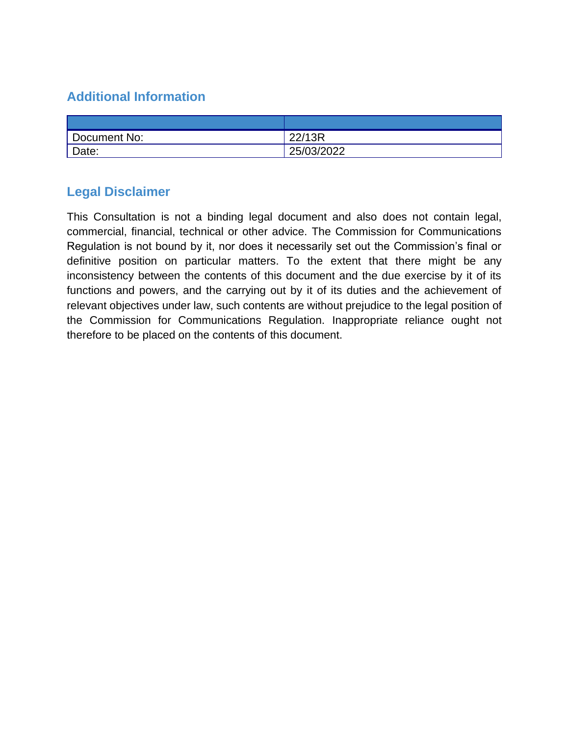## **Additional Information**

| Document No: | 22/13R     |
|--------------|------------|
| Date:        | 25/03/2022 |

### **Legal Disclaimer**

This Consultation is not a binding legal document and also does not contain legal, commercial, financial, technical or other advice. The Commission for Communications Regulation is not bound by it, nor does it necessarily set out the Commission's final or definitive position on particular matters. To the extent that there might be any inconsistency between the contents of this document and the due exercise by it of its functions and powers, and the carrying out by it of its duties and the achievement of relevant objectives under law, such contents are without prejudice to the legal position of the Commission for Communications Regulation. Inappropriate reliance ought not therefore to be placed on the contents of this document.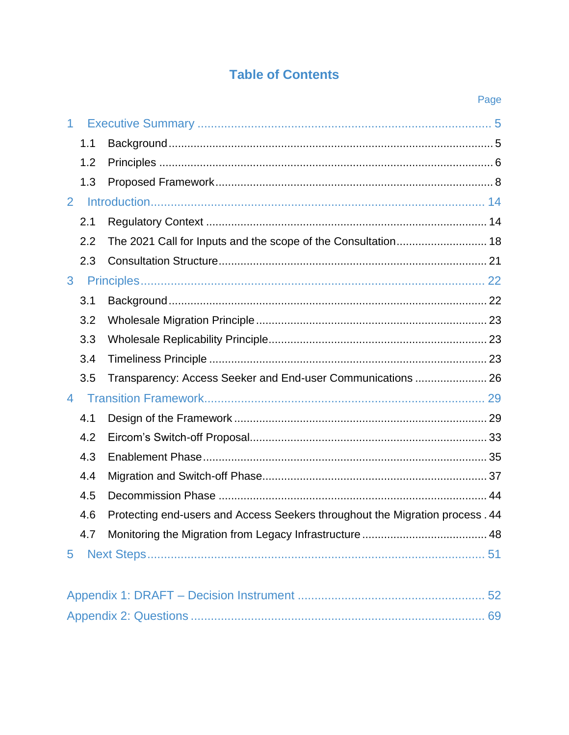## **Table of Contents**

|                |     | Page                                                                         |  |
|----------------|-----|------------------------------------------------------------------------------|--|
| 1              |     |                                                                              |  |
|                | 1.1 |                                                                              |  |
|                | 1.2 |                                                                              |  |
|                | 1.3 |                                                                              |  |
| $\overline{2}$ |     |                                                                              |  |
|                | 2.1 |                                                                              |  |
|                | 2.2 |                                                                              |  |
|                | 2.3 |                                                                              |  |
| 3              |     |                                                                              |  |
|                | 3.1 |                                                                              |  |
|                | 3.2 |                                                                              |  |
|                | 3.3 |                                                                              |  |
|                | 3.4 |                                                                              |  |
|                | 3.5 | Transparency: Access Seeker and End-user Communications  26                  |  |
| 4              |     |                                                                              |  |
|                | 4.1 |                                                                              |  |
|                | 4.2 |                                                                              |  |
|                | 4.3 |                                                                              |  |
|                | 4.4 |                                                                              |  |
|                | 4.5 |                                                                              |  |
|                | 4.6 | Protecting end-users and Access Seekers throughout the Migration process. 44 |  |
|                | 4.7 |                                                                              |  |
| 5              |     |                                                                              |  |
|                |     |                                                                              |  |
|                |     |                                                                              |  |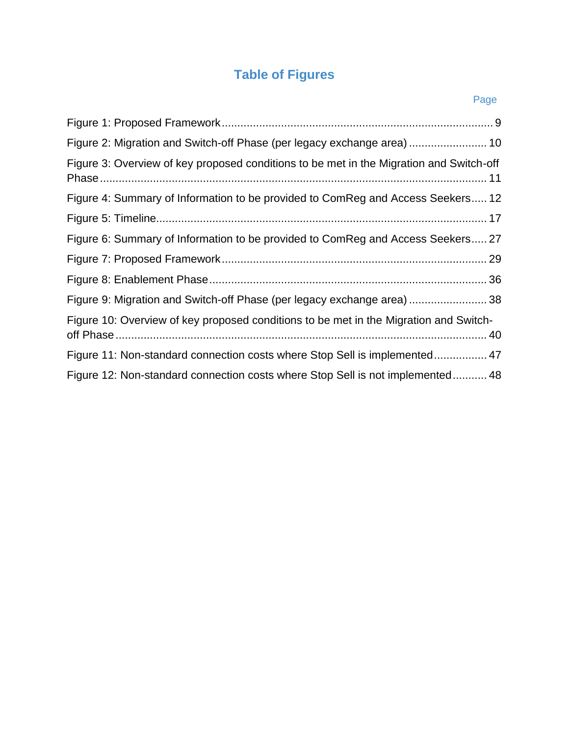# **Table of Figures**

| Pan<br>е |
|----------|

| Figure 2: Migration and Switch-off Phase (per legacy exchange area)  10                 |
|-----------------------------------------------------------------------------------------|
| Figure 3: Overview of key proposed conditions to be met in the Migration and Switch-off |
| Figure 4: Summary of Information to be provided to ComReg and Access Seekers 12         |
|                                                                                         |
| Figure 6: Summary of Information to be provided to ComReg and Access Seekers 27         |
|                                                                                         |
|                                                                                         |
| Figure 9: Migration and Switch-off Phase (per legacy exchange area)  38                 |
| Figure 10: Overview of key proposed conditions to be met in the Migration and Switch-   |
| Figure 11: Non-standard connection costs where Stop Sell is implemented 47              |
| Figure 12: Non-standard connection costs where Stop Sell is not implemented 48          |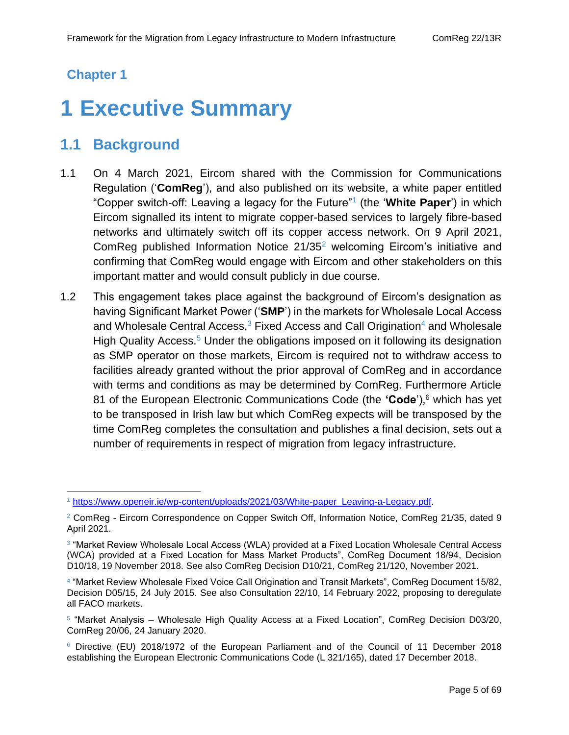### **Chapter 1**

# <span id="page-4-0"></span>**1 Executive Summary**

## <span id="page-4-1"></span>**1.1 Background**

- 1.1 On 4 March 2021, Eircom shared with the Commission for Communications Regulation ('**ComReg**'), and also published on its website, a white paper entitled "Copper switch-off: Leaving a legacy for the Future"<sup>1</sup> (the '**White Paper**') in which Eircom signalled its intent to migrate copper-based services to largely fibre-based networks and ultimately switch off its copper access network. On 9 April 2021, ComReg published Information Notice 21/35<sup>2</sup> welcoming Eircom's initiative and confirming that ComReg would engage with Eircom and other stakeholders on this important matter and would consult publicly in due course.
- 1.2 This engagement takes place against the background of Eircom's designation as having Significant Market Power ('**SMP**') in the markets for Wholesale Local Access and Wholesale Central Access, $3$  Fixed Access and Call Origination<sup>4</sup> and Wholesale High Quality Access.<sup>5</sup> Under the obligations imposed on it following its designation as SMP operator on those markets, Eircom is required not to withdraw access to facilities already granted without the prior approval of ComReg and in accordance with terms and conditions as may be determined by ComReg. Furthermore Article 81 of the European Electronic Communications Code (the **'Code**'),<sup>6</sup> which has yet to be transposed in Irish law but which ComReg expects will be transposed by the time ComReg completes the consultation and publishes a final decision, sets out a number of requirements in respect of migration from legacy infrastructure.

<sup>1</sup> [https://www.openeir.ie/wp-content/uploads/2021/03/White-paper\\_Leaving-a-Legacy.pdf.](https://www.openeir.ie/wp-content/uploads/2021/03/White-paper_Leaving-a-Legacy.pdf)

<sup>&</sup>lt;sup>2</sup> ComReg - Eircom Correspondence on Copper Switch Off, Information Notice, ComReg 21/35, dated 9 April 2021.

<sup>&</sup>lt;sup>3</sup> "Market Review Wholesale Local Access (WLA) provided at a Fixed Location Wholesale Central Access (WCA) provided at a Fixed Location for Mass Market Products", ComReg Document 18/94, Decision D10/18, 19 November 2018. See also ComReg Decision D10/21, ComReg 21/120, November 2021.

<sup>4</sup> "Market Review Wholesale Fixed Voice Call Origination and Transit Markets", ComReg Document 15/82, Decision D05/15, 24 July 2015. See also Consultation 22/10, 14 February 2022, proposing to deregulate all FACO markets.

<sup>&</sup>lt;sup>5</sup> "Market Analysis – Wholesale High Quality Access at a Fixed Location", ComReg Decision D03/20, ComReg 20/06, 24 January 2020.

<sup>6</sup> Directive (EU) 2018/1972 of the European Parliament and of the Council of 11 December 2018 establishing the European Electronic Communications Code (L 321/165), dated 17 December 2018.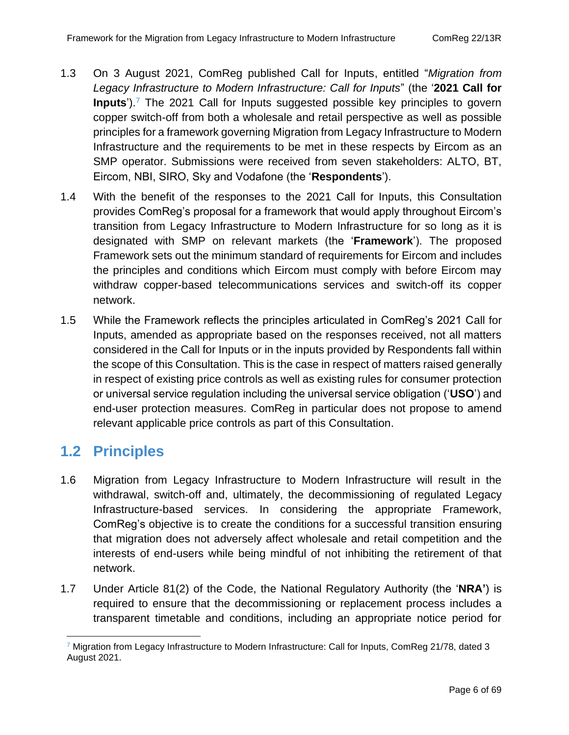- 1.3 On 3 August 2021, ComReg published Call for Inputs, entitled "*Migration from Legacy Infrastructure to Modern Infrastructure: Call for Inputs*" (the '**2021 Call for Inputs**').<sup>7</sup> The 2021 Call for Inputs suggested possible key principles to govern copper switch-off from both a wholesale and retail perspective as well as possible principles for a framework governing Migration from Legacy Infrastructure to Modern Infrastructure and the requirements to be met in these respects by Eircom as an SMP operator. Submissions were received from seven stakeholders: ALTO, BT, Eircom, NBI, SIRO, Sky and Vodafone (the '**Respondents**').
- 1.4 With the benefit of the responses to the 2021 Call for Inputs, this Consultation provides ComReg's proposal for a framework that would apply throughout Eircom's transition from Legacy Infrastructure to Modern Infrastructure for so long as it is designated with SMP on relevant markets (the '**Framework**'). The proposed Framework sets out the minimum standard of requirements for Eircom and includes the principles and conditions which Eircom must comply with before Eircom may withdraw copper-based telecommunications services and switch-off its copper network.
- 1.5 While the Framework reflects the principles articulated in ComReg's 2021 Call for Inputs, amended as appropriate based on the responses received, not all matters considered in the Call for Inputs or in the inputs provided by Respondents fall within the scope of this Consultation. This is the case in respect of matters raised generally in respect of existing price controls as well as existing rules for consumer protection or universal service regulation including the universal service obligation ('**USO**') and end-user protection measures. ComReg in particular does not propose to amend relevant applicable price controls as part of this Consultation.

## <span id="page-5-0"></span>**1.2 Principles**

- 1.6 Migration from Legacy Infrastructure to Modern Infrastructure will result in the withdrawal, switch-off and, ultimately, the decommissioning of regulated Legacy Infrastructure-based services. In considering the appropriate Framework, ComReg's objective is to create the conditions for a successful transition ensuring that migration does not adversely affect wholesale and retail competition and the interests of end-users while being mindful of not inhibiting the retirement of that network.
- 1.7 Under Article 81(2) of the Code, the National Regulatory Authority (the '**NRA'**) is required to ensure that the decommissioning or replacement process includes a transparent timetable and conditions, including an appropriate notice period for

 $7$  Migration from Legacy Infrastructure to Modern Infrastructure: Call for Inputs, ComReg 21/78, dated 3 August 2021.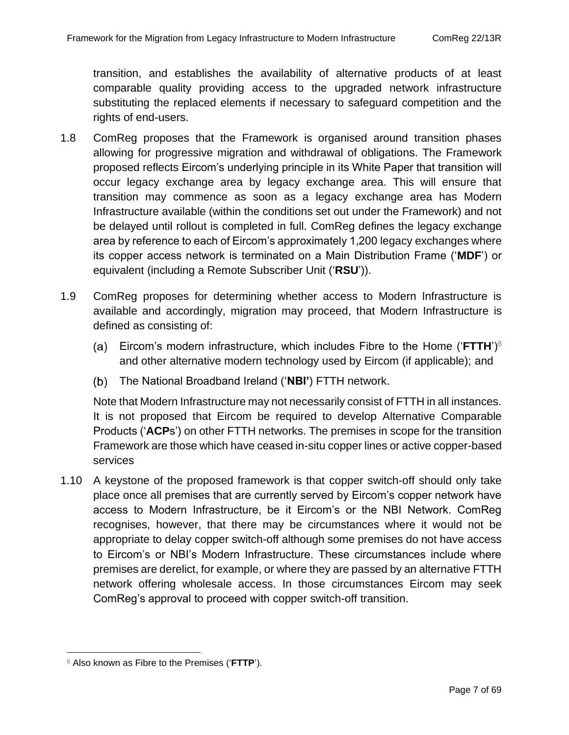transition, and establishes the availability of alternative products of at least comparable quality providing access to the upgraded network infrastructure substituting the replaced elements if necessary to safeguard competition and the rights of end-users.

- 1.8 ComReg proposes that the Framework is organised around transition phases allowing for progressive migration and withdrawal of obligations. The Framework proposed reflects Eircom's underlying principle in its White Paper that transition will occur legacy exchange area by legacy exchange area. This will ensure that transition may commence as soon as a legacy exchange area has Modern Infrastructure available (within the conditions set out under the Framework) and not be delayed until rollout is completed in full. ComReg defines the legacy exchange area by reference to each of Eircom's approximately 1,200 legacy exchanges where its copper access network is terminated on a Main Distribution Frame ('**MDF**') or equivalent (including a Remote Subscriber Unit ('**RSU**')).
- 1.9 ComReg proposes for determining whether access to Modern Infrastructure is available and accordingly, migration may proceed, that Modern Infrastructure is defined as consisting of:
	- Eircom's modern infrastructure, which includes Fibre to the Home ('**FTTH**')<sup>8</sup> and other alternative modern technology used by Eircom (if applicable); and
	- The National Broadband Ireland ('**NBI'**) FTTH network.

Note that Modern Infrastructure may not necessarily consist of FTTH in all instances. It is not proposed that Eircom be required to develop Alternative Comparable Products ('**ACP**s') on other FTTH networks. The premises in scope for the transition Framework are those which have ceased in-situ copper lines or active copper-based services

1.10 A keystone of the proposed framework is that copper switch-off should only take place once all premises that are currently served by Eircom's copper network have access to Modern Infrastructure, be it Eircom's or the NBI Network. ComReg recognises, however, that there may be circumstances where it would not be appropriate to delay copper switch-off although some premises do not have access to Eircom's or NBI's Modern Infrastructure. These circumstances include where premises are derelict, for example, or where they are passed by an alternative FTTH network offering wholesale access. In those circumstances Eircom may seek ComReg's approval to proceed with copper switch-off transition.

<sup>8</sup> Also known as Fibre to the Premises ('**FTTP**').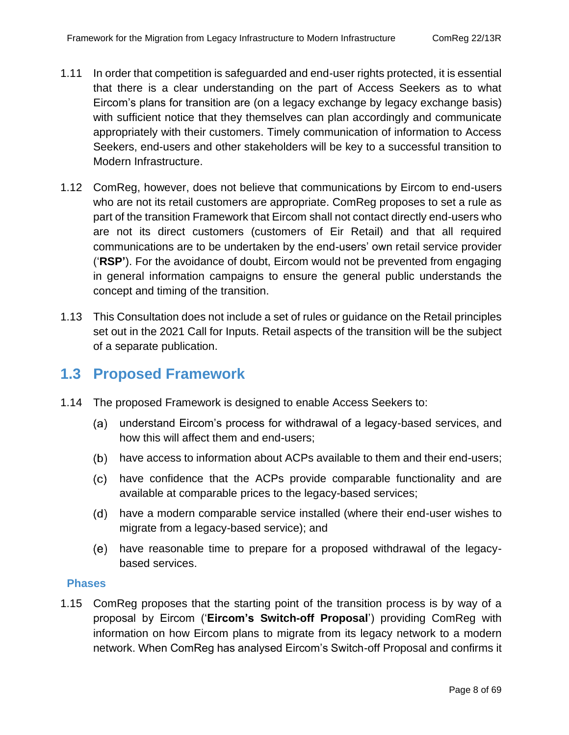- 1.11 In order that competition is safeguarded and end-user rights protected, it is essential that there is a clear understanding on the part of Access Seekers as to what Eircom's plans for transition are (on a legacy exchange by legacy exchange basis) with sufficient notice that they themselves can plan accordingly and communicate appropriately with their customers. Timely communication of information to Access Seekers, end-users and other stakeholders will be key to a successful transition to Modern Infrastructure.
- 1.12 ComReg, however, does not believe that communications by Eircom to end-users who are not its retail customers are appropriate. ComReg proposes to set a rule as part of the transition Framework that Eircom shall not contact directly end-users who are not its direct customers (customers of Eir Retail) and that all required communications are to be undertaken by the end-users' own retail service provider ('**RSP'**). For the avoidance of doubt, Eircom would not be prevented from engaging in general information campaigns to ensure the general public understands the concept and timing of the transition.
- 1.13 This Consultation does not include a set of rules or guidance on the Retail principles set out in the 2021 Call for Inputs. Retail aspects of the transition will be the subject of a separate publication.

### <span id="page-7-0"></span>**1.3 Proposed Framework**

- 1.14 The proposed Framework is designed to enable Access Seekers to:
	- understand Eircom's process for withdrawal of a legacy-based services, and how this will affect them and end-users;
	- (b) have access to information about ACPs available to them and their end-users;
	- have confidence that the ACPs provide comparable functionality and are available at comparable prices to the legacy-based services;
	- have a modern comparable service installed (where their end-user wishes to migrate from a legacy-based service); and
	- have reasonable time to prepare for a proposed withdrawal of the legacybased services.

#### **Phases**

1.15 ComReg proposes that the starting point of the transition process is by way of a proposal by Eircom ('**Eircom's Switch-off Proposal**') providing ComReg with information on how Eircom plans to migrate from its legacy network to a modern network. When ComReg has analysed Eircom's Switch-off Proposal and confirms it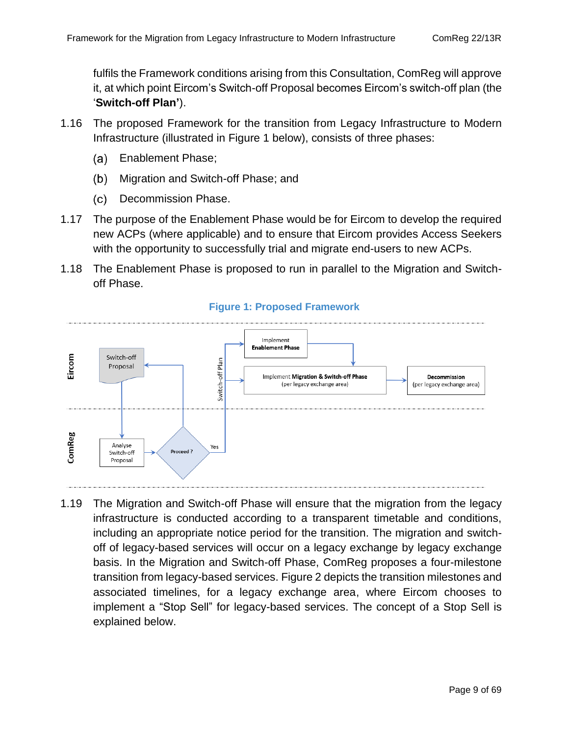fulfils the Framework conditions arising from this Consultation, ComReg will approve it, at which point Eircom's Switch-off Proposal becomes Eircom's switch-off plan (the '**Switch-off Plan'**).

- 1.16 The proposed Framework for the transition from Legacy Infrastructure to Modern Infrastructure (illustrated in [Figure 1](#page-8-0) below), consists of three phases:
	- Enablement Phase; (a)
	- $(b)$ Migration and Switch-off Phase; and
	- $(c)$ Decommission Phase.
- 1.17 The purpose of the Enablement Phase would be for Eircom to develop the required new ACPs (where applicable) and to ensure that Eircom provides Access Seekers with the opportunity to successfully trial and migrate end-users to new ACPs.
- 1.18 The Enablement Phase is proposed to run in parallel to the Migration and Switchoff Phase.

<span id="page-8-0"></span>

#### **Figure 1: Proposed Framework**

1.19 The Migration and Switch-off Phase will ensure that the migration from the legacy infrastructure is conducted according to a transparent timetable and conditions, including an appropriate notice period for the transition. The migration and switchoff of legacy-based services will occur on a legacy exchange by legacy exchange basis. In the Migration and Switch-off Phase, ComReg proposes a four-milestone transition from legacy-based services. [Figure 2](#page-9-0) depicts the transition milestones and associated timelines, for a legacy exchange area, where Eircom chooses to implement a "Stop Sell" for legacy-based services. The concept of a Stop Sell is explained below.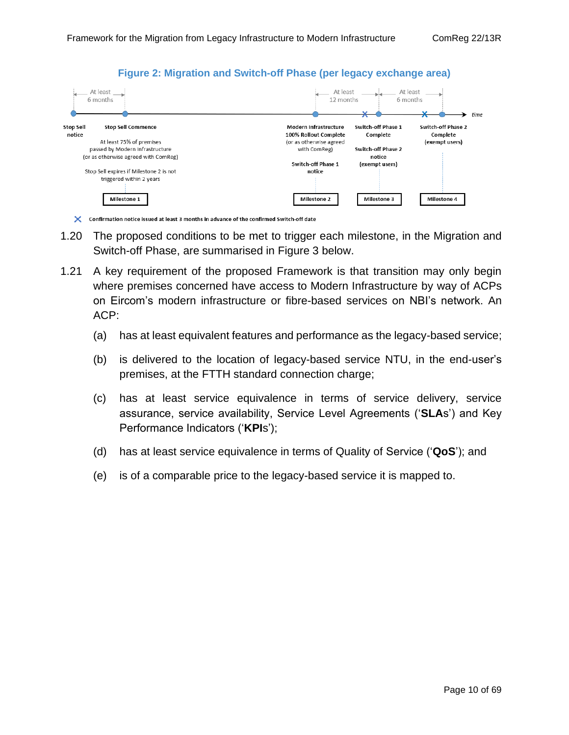

<span id="page-9-0"></span>

X Confirmation notice issued at least 3 months in advance of the confirmed Switch-off date

- 1.20 The proposed conditions to be met to trigger each milestone, in the Migration and Switch-off Phase, are summarised in [Figure 3](#page-10-0) below.
- 1.21 A key requirement of the proposed Framework is that transition may only begin where premises concerned have access to Modern Infrastructure by way of ACPs on Eircom's modern infrastructure or fibre-based services on NBI's network. An ACP:
	- (a) has at least equivalent features and performance as the legacy-based service;
	- (b) is delivered to the location of legacy-based service NTU, in the end-user's premises, at the FTTH standard connection charge;
	- (c) has at least service equivalence in terms of service delivery, service assurance, service availability, Service Level Agreements ('**SLA**s') and Key Performance Indicators ('**KPI**s');
	- (d) has at least service equivalence in terms of Quality of Service ('**QoS**'); and
	- (e) is of a comparable price to the legacy-based service it is mapped to.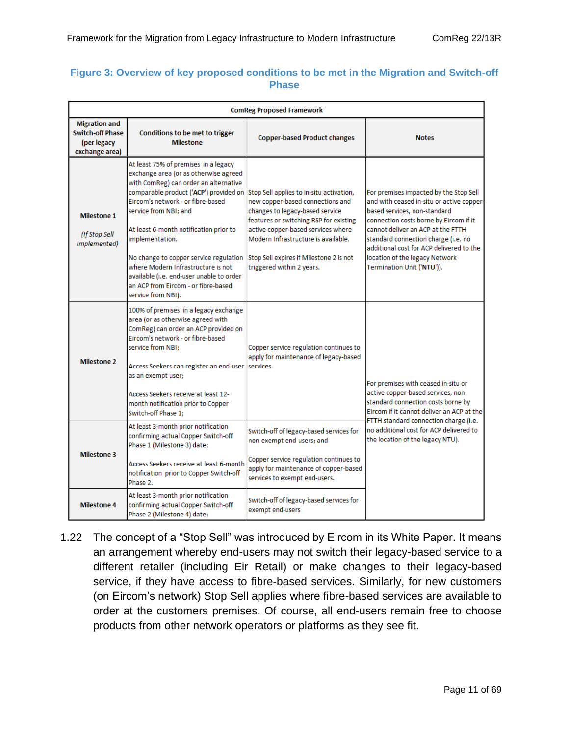#### <span id="page-10-0"></span>**Figure 3: Overview of key proposed conditions to be met in the Migration and Switch-off Phase**

| <b>ComReg Proposed Framework</b>                                                 |                                                                                                                                                                                                                                                                                                                                                                                                                                                                                      |                                                                                                                                                                                                                                                                                                                |                                                                                                                                                                                                                                                                                                                                                       |  |
|----------------------------------------------------------------------------------|--------------------------------------------------------------------------------------------------------------------------------------------------------------------------------------------------------------------------------------------------------------------------------------------------------------------------------------------------------------------------------------------------------------------------------------------------------------------------------------|----------------------------------------------------------------------------------------------------------------------------------------------------------------------------------------------------------------------------------------------------------------------------------------------------------------|-------------------------------------------------------------------------------------------------------------------------------------------------------------------------------------------------------------------------------------------------------------------------------------------------------------------------------------------------------|--|
| <b>Migration and</b><br><b>Switch-off Phase</b><br>(per legacy<br>exchange area) | Conditions to be met to trigger<br><b>Milestone</b>                                                                                                                                                                                                                                                                                                                                                                                                                                  | <b>Copper-based Product changes</b>                                                                                                                                                                                                                                                                            | <b>Notes</b>                                                                                                                                                                                                                                                                                                                                          |  |
| Milestone 1<br>(If Stop Sell<br>Implemented)                                     | At least 75% of premises in a legacy<br>exchange area (or as otherwise agreed<br>with ComReg) can order an alternative<br>comparable product ('ACP') provided on<br>Eircom's network - or fibre-based<br>service from NBI: and<br>At least 6-month notification prior to<br>implementation.<br>No change to copper service regulation<br>where Modern Infrastructure is not<br>available (i.e. end-user unable to order<br>an ACP from Eircom - or fibre-based<br>service from NBI). | Stop Sell applies to in-situ activation,<br>new copper-based connections and<br>changes to legacy-based service<br>features or switching RSP for existing<br>active copper-based services where<br>Modern Infrastructure is available.<br>Stop Sell expires if Milestone 2 is not<br>triggered within 2 years. | For premises impacted by the Stop Sell<br>and with ceased in-situ or active copper-<br>based services, non-standard<br>connection costs borne by Eircom if it<br>cannot deliver an ACP at the FTTH<br>standard connection charge (i.e. no<br>additional cost for ACP delivered to the<br>location of the legacy Network<br>Termination Unit ('NTU')). |  |
| <b>Milestone 2</b>                                                               | 100% of premises in a legacy exchange<br>area (or as otherwise agreed with<br>ComReg) can order an ACP provided on<br>Eircom's network - or fibre-based<br>service from NBI:<br>Access Seekers can register an end-user<br>as an exempt user;<br>Access Seekers receive at least 12-<br>month notification prior to Copper<br>Switch-off Phase 1:                                                                                                                                    | Copper service regulation continues to<br>apply for maintenance of legacy-based<br>services.                                                                                                                                                                                                                   | For premises with ceased in-situ or<br>active copper-based services, non-<br>standard connection costs borne by<br>Eircom if it cannot deliver an ACP at the<br>FTTH standard connection charge (i.e.<br>no additional cost for ACP delivered to<br>the location of the legacy NTU).                                                                  |  |
| <b>Milestone 3</b>                                                               | At least 3-month prior notification<br>confirming actual Copper Switch-off<br>Phase 1 (Milestone 3) date;<br>Access Seekers receive at least 6-month<br>notification prior to Copper Switch-off<br>Phase 2.                                                                                                                                                                                                                                                                          | Switch-off of legacy-based services for<br>non-exempt end-users; and<br>Copper service regulation continues to<br>apply for maintenance of copper-based<br>services to exempt end-users.                                                                                                                       |                                                                                                                                                                                                                                                                                                                                                       |  |
| <b>Milestone 4</b>                                                               | At least 3-month prior notification<br>confirming actual Copper Switch-off<br>Phase 2 (Milestone 4) date:                                                                                                                                                                                                                                                                                                                                                                            | Switch-off of legacy-based services for<br>exempt end-users                                                                                                                                                                                                                                                    |                                                                                                                                                                                                                                                                                                                                                       |  |

1.22 The concept of a "Stop Sell" was introduced by Eircom in its White Paper. It means an arrangement whereby end-users may not switch their legacy-based service to a different retailer (including Eir Retail) or make changes to their legacy-based service, if they have access to fibre-based services. Similarly, for new customers (on Eircom's network) Stop Sell applies where fibre-based services are available to order at the customers premises. Of course, all end-users remain free to choose products from other network operators or platforms as they see fit.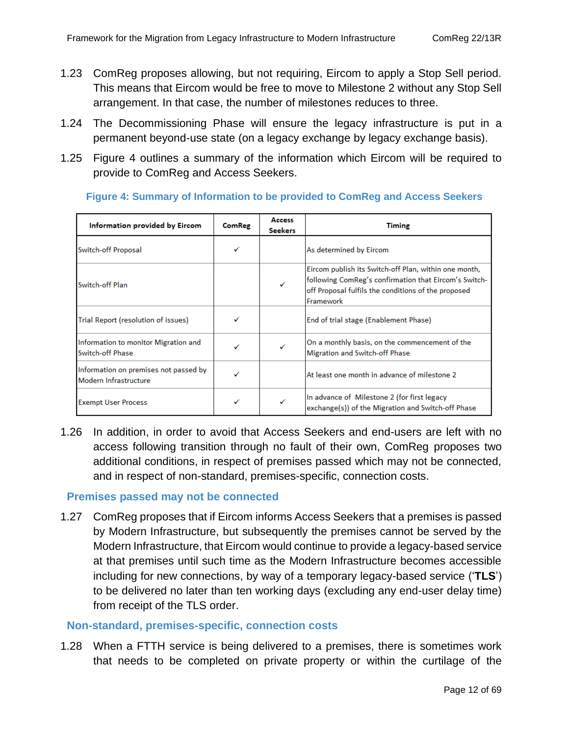- 1.23 ComReg proposes allowing, but not requiring, Eircom to apply a Stop Sell period. This means that Eircom would be free to move to Milestone 2 without any Stop Sell arrangement. In that case, the number of milestones reduces to three.
- 1.24 The Decommissioning Phase will ensure the legacy infrastructure is put in a permanent beyond-use state (on a legacy exchange by legacy exchange basis).
- 1.25 [Figure 4](#page-11-0) outlines a summary of the information which Eircom will be required to provide to ComReg and Access Seekers.

| Information provided by Eircom                                 | <b>ComReg</b> | <b>Access</b><br><b>Seekers</b> | <b>Timing</b>                                                                                                                                                                      |
|----------------------------------------------------------------|---------------|---------------------------------|------------------------------------------------------------------------------------------------------------------------------------------------------------------------------------|
| Switch-off Proposal                                            |               |                                 | As determined by Eircom                                                                                                                                                            |
| Switch-off Plan                                                |               | ✓                               | Eircom publish its Switch-off Plan, within one month,<br>following ComReg's confirmation that Eircom's Switch-<br>off Proposal fulfils the conditions of the proposed<br>Framework |
| Trial Report (resolution of issues)                            |               |                                 | End of trial stage (Enablement Phase)                                                                                                                                              |
| Information to monitor Migration and<br>Switch-off Phase       | ✓             |                                 | On a monthly basis, on the commencement of the<br>Migration and Switch-off Phase                                                                                                   |
| Information on premises not passed by<br>Modern Infrastructure |               |                                 | At least one month in advance of milestone 2                                                                                                                                       |
| <b>Exempt User Process</b>                                     |               |                                 | In advance of Milestone 2 (for first legacy<br>exchange(s)) of the Migration and Switch-off Phase                                                                                  |

#### <span id="page-11-0"></span>**Figure 4: Summary of Information to be provided to ComReg and Access Seekers**

1.26 In addition, in order to avoid that Access Seekers and end-users are left with no access following transition through no fault of their own, ComReg proposes two additional conditions, in respect of premises passed which may not be connected, and in respect of non-standard, premises-specific, connection costs.

#### **Premises passed may not be connected**

1.27 ComReg proposes that if Eircom informs Access Seekers that a premises is passed by Modern Infrastructure, but subsequently the premises cannot be served by the Modern Infrastructure, that Eircom would continue to provide a legacy-based service at that premises until such time as the Modern Infrastructure becomes accessible including for new connections, by way of a temporary legacy-based service ('**TLS**') to be delivered no later than ten working days (excluding any end-user delay time) from receipt of the TLS order.

#### **Non-standard, premises-specific, connection costs**

1.28 When a FTTH service is being delivered to a premises, there is sometimes work that needs to be completed on private property or within the curtilage of the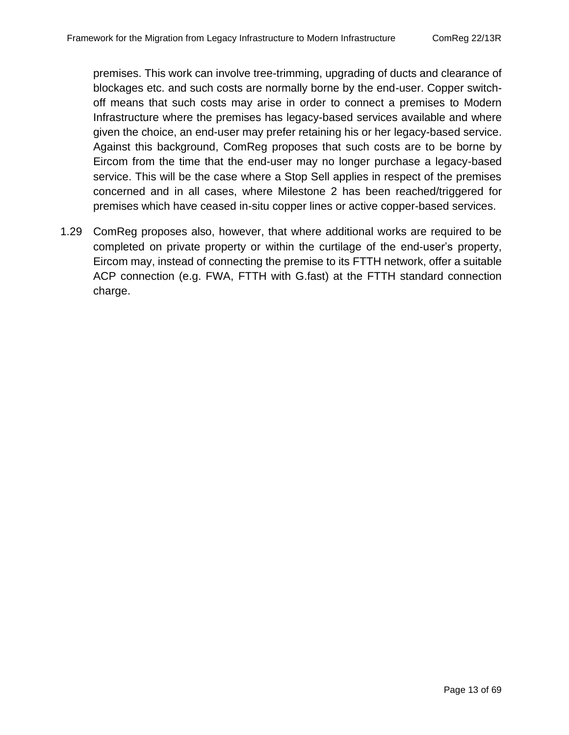premises. This work can involve tree-trimming, upgrading of ducts and clearance of blockages etc. and such costs are normally borne by the end-user. Copper switchoff means that such costs may arise in order to connect a premises to Modern Infrastructure where the premises has legacy-based services available and where given the choice, an end-user may prefer retaining his or her legacy-based service. Against this background, ComReg proposes that such costs are to be borne by Eircom from the time that the end-user may no longer purchase a legacy-based service. This will be the case where a Stop Sell applies in respect of the premises concerned and in all cases, where Milestone 2 has been reached/triggered for premises which have ceased in-situ copper lines or active copper-based services.

1.29 ComReg proposes also, however, that where additional works are required to be completed on private property or within the curtilage of the end-user's property, Eircom may, instead of connecting the premise to its FTTH network, offer a suitable ACP connection (e.g. FWA, FTTH with G.fast) at the FTTH standard connection charge.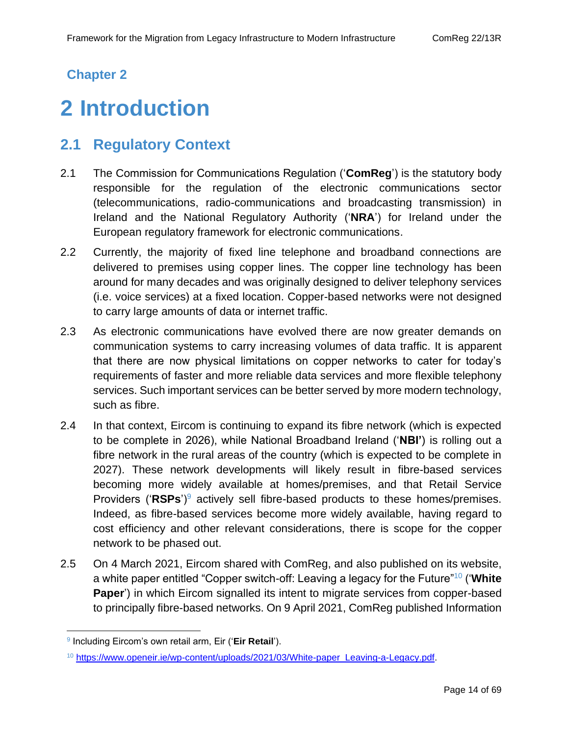## **Chapter 2**

# <span id="page-13-0"></span>**2 Introduction**

# <span id="page-13-1"></span>**2.1 Regulatory Context**

- 2.1 The Commission for Communications Regulation ('**ComReg**') is the statutory body responsible for the regulation of the electronic communications sector (telecommunications, radio-communications and broadcasting transmission) in Ireland and the National Regulatory Authority ('**NRA**') for Ireland under the European regulatory framework for electronic communications.
- 2.2 Currently, the majority of fixed line telephone and broadband connections are delivered to premises using copper lines. The copper line technology has been around for many decades and was originally designed to deliver telephony services (i.e. voice services) at a fixed location. Copper-based networks were not designed to carry large amounts of data or internet traffic.
- 2.3 As electronic communications have evolved there are now greater demands on communication systems to carry increasing volumes of data traffic. It is apparent that there are now physical limitations on copper networks to cater for today's requirements of faster and more reliable data services and more flexible telephony services. Such important services can be better served by more modern technology, such as fibre.
- 2.4 In that context, Eircom is continuing to expand its fibre network (which is expected to be complete in 2026), while National Broadband Ireland ('**NBI'**) is rolling out a fibre network in the rural areas of the country (which is expected to be complete in 2027). These network developments will likely result in fibre-based services becoming more widely available at homes/premises, and that Retail Service Providers ('**RSPs**')<sup>9</sup> actively sell fibre-based products to these homes/premises. Indeed, as fibre-based services become more widely available, having regard to cost efficiency and other relevant considerations, there is scope for the copper network to be phased out.
- 2.5 On 4 March 2021, Eircom shared with ComReg, and also published on its website, a white paper entitled "Copper switch-off: Leaving a legacy for the Future"<sup>10</sup> ('**White Paper**') in which Eircom signalled its intent to migrate services from copper-based to principally fibre-based networks. On 9 April 2021, ComReg published Information

<sup>9</sup> Including Eircom's own retail arm, Eir ('**Eir Retail**').

<sup>10</sup> [https://www.openeir.ie/wp-content/uploads/2021/03/White-paper\\_Leaving-a-Legacy.pdf.](https://www.openeir.ie/wp-content/uploads/2021/03/White-paper_Leaving-a-Legacy.pdf)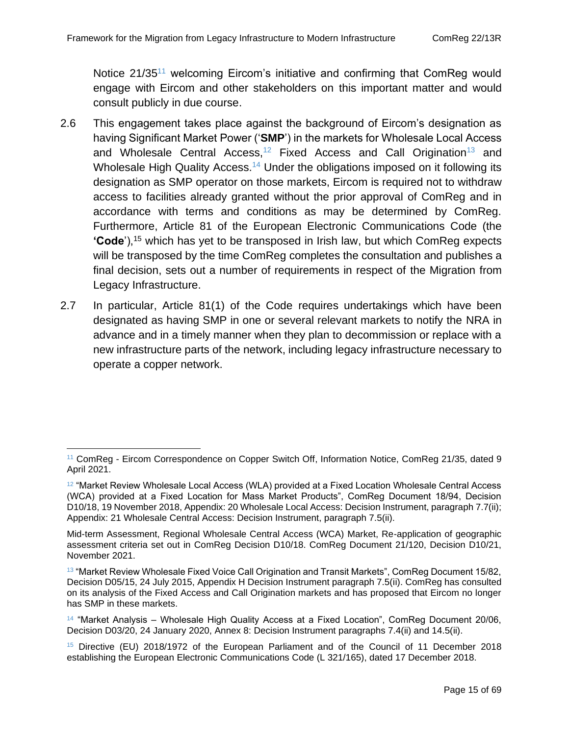Notice 21/35<sup>11</sup> welcoming Eircom's initiative and confirming that ComReg would engage with Eircom and other stakeholders on this important matter and would consult publicly in due course.

- 2.6 This engagement takes place against the background of Eircom's designation as having Significant Market Power ('**SMP**') in the markets for Wholesale Local Access and Wholesale Central Access,<sup>12</sup> Fixed Access and Call Origination<sup>13</sup> and Wholesale High Quality Access.<sup>14</sup> Under the obligations imposed on it following its designation as SMP operator on those markets, Eircom is required not to withdraw access to facilities already granted without the prior approval of ComReg and in accordance with terms and conditions as may be determined by ComReg. Furthermore, Article 81 of the European Electronic Communications Code (the **'Code**'),<sup>15</sup> which has yet to be transposed in Irish law, but which ComReg expects will be transposed by the time ComReg completes the consultation and publishes a final decision, sets out a number of requirements in respect of the Migration from Legacy Infrastructure.
- 2.7 In particular, Article 81(1) of the Code requires undertakings which have been designated as having SMP in one or several relevant markets to notify the NRA in advance and in a timely manner when they plan to decommission or replace with a new infrastructure parts of the network, including legacy infrastructure necessary to operate a copper network.

<sup>&</sup>lt;sup>11</sup> ComReg - Eircom Correspondence on Copper Switch Off, Information Notice, ComReg 21/35, dated 9 April 2021.

 $12$  "Market Review Wholesale Local Access (WLA) provided at a Fixed Location Wholesale Central Access (WCA) provided at a Fixed Location for Mass Market Products", ComReg Document 18/94, Decision D10/18, 19 November 2018, Appendix: 20 Wholesale Local Access: Decision Instrument, paragraph 7.7(ii); Appendix: 21 Wholesale Central Access: Decision Instrument, paragraph 7.5(ii).

Mid-term Assessment, Regional Wholesale Central Access (WCA) Market, Re-application of geographic assessment criteria set out in ComReg Decision D10/18. ComReg Document 21/120, Decision D10/21, November 2021.

<sup>&</sup>lt;sup>13</sup> "Market Review Wholesale Fixed Voice Call Origination and Transit Markets", ComReg Document 15/82, Decision D05/15, 24 July 2015, Appendix H Decision Instrument paragraph 7.5(ii). ComReg has consulted on its analysis of the Fixed Access and Call Origination markets and has proposed that Eircom no longer has SMP in these markets.

<sup>14</sup> "Market Analysis – Wholesale High Quality Access at a Fixed Location", ComReg Document 20/06, Decision D03/20, 24 January 2020, Annex 8: Decision Instrument paragraphs 7.4(ii) and 14.5(ii).

<sup>15</sup> Directive (EU) 2018/1972 of the European Parliament and of the Council of 11 December 2018 establishing the European Electronic Communications Code (L 321/165), dated 17 December 2018.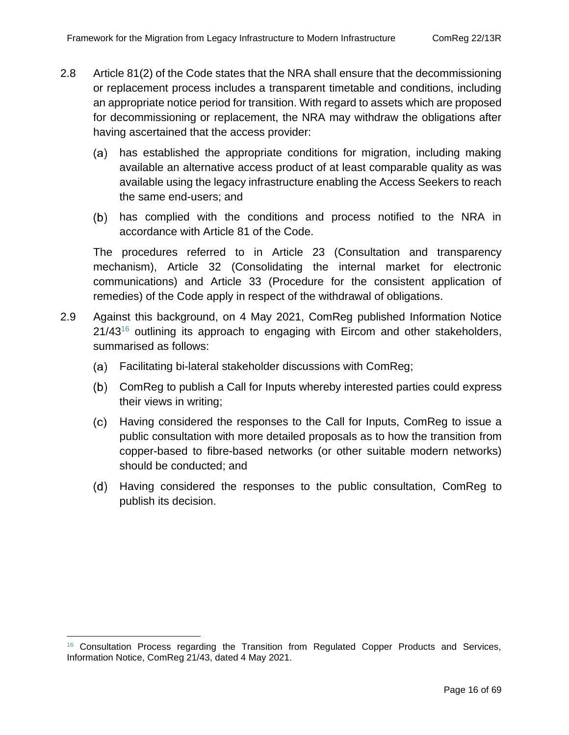- 2.8 Article 81(2) of the Code states that the NRA shall ensure that the decommissioning or replacement process includes a transparent timetable and conditions, including an appropriate notice period for transition. With regard to assets which are proposed for decommissioning or replacement, the NRA may withdraw the obligations after having ascertained that the access provider:
	- has established the appropriate conditions for migration, including making (a) available an alternative access product of at least comparable quality as was available using the legacy infrastructure enabling the Access Seekers to reach the same end-users; and
	- (b) has complied with the conditions and process notified to the NRA in accordance with Article 81 of the Code.

The procedures referred to in Article 23 (Consultation and transparency mechanism), Article 32 (Consolidating the internal market for electronic communications) and Article 33 (Procedure for the consistent application of remedies) of the Code apply in respect of the withdrawal of obligations.

- 2.9 Against this background, on 4 May 2021, ComReg published Information Notice  $21/43^{16}$  outlining its approach to engaging with Eircom and other stakeholders, summarised as follows:
	- Facilitating bi-lateral stakeholder discussions with ComReg;
	- ComReg to publish a Call for Inputs whereby interested parties could express their views in writing;
	- Having considered the responses to the Call for Inputs, ComReg to issue a public consultation with more detailed proposals as to how the transition from copper-based to fibre-based networks (or other suitable modern networks) should be conducted; and
	- Having considered the responses to the public consultation, ComReg to publish its decision.

<sup>&</sup>lt;sup>16</sup> Consultation Process regarding the Transition from Regulated Copper Products and Services, Information Notice, ComReg 21/43, dated 4 May 2021.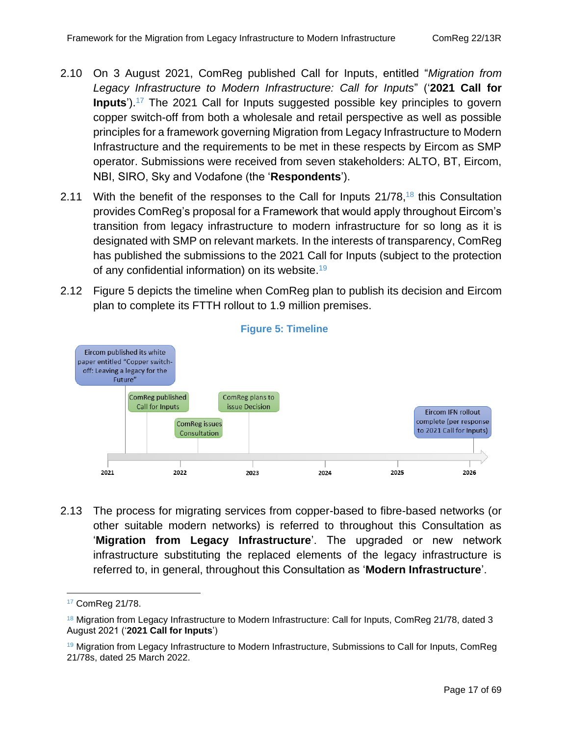- 2.10 On 3 August 2021, ComReg published Call for Inputs, entitled "*Migration from Legacy Infrastructure to Modern Infrastructure: Call for Inputs*" ('**2021 Call for Inputs**').<sup>17</sup> The 2021 Call for Inputs suggested possible key principles to govern copper switch-off from both a wholesale and retail perspective as well as possible principles for a framework governing Migration from Legacy Infrastructure to Modern Infrastructure and the requirements to be met in these respects by Eircom as SMP operator. Submissions were received from seven stakeholders: ALTO, BT, Eircom, NBI, SIRO, Sky and Vodafone (the '**Respondents**').
- 2.11 With the benefit of the responses to the Call for Inputs  $21/78$ ,  $^{18}$  this Consultation provides ComReg's proposal for a Framework that would apply throughout Eircom's transition from legacy infrastructure to modern infrastructure for so long as it is designated with SMP on relevant markets. In the interests of transparency, ComReg has published the submissions to the 2021 Call for Inputs (subject to the protection of any confidential information) on its website.<sup>19</sup>
- 2.12 [Figure 5](#page-16-0) depicts the timeline when ComReg plan to publish its decision and Eircom plan to complete its FTTH rollout to 1.9 million premises.

<span id="page-16-0"></span>

#### **Figure 5: Timeline**

2.13 The process for migrating services from copper-based to fibre-based networks (or other suitable modern networks) is referred to throughout this Consultation as '**Migration from Legacy Infrastructure**'. The upgraded or new network infrastructure substituting the replaced elements of the legacy infrastructure is referred to, in general, throughout this Consultation as '**Modern Infrastructure**'.

<sup>17</sup> ComReg 21/78.

<sup>&</sup>lt;sup>18</sup> Migration from Legacy Infrastructure to Modern Infrastructure: Call for Inputs, ComReg 21/78, dated 3 August 2021 ('**2021 Call for Inputs**')

<sup>&</sup>lt;sup>19</sup> Migration from Legacy Infrastructure to Modern Infrastructure, Submissions to Call for Inputs, ComReg 21/78s, dated 25 March 2022.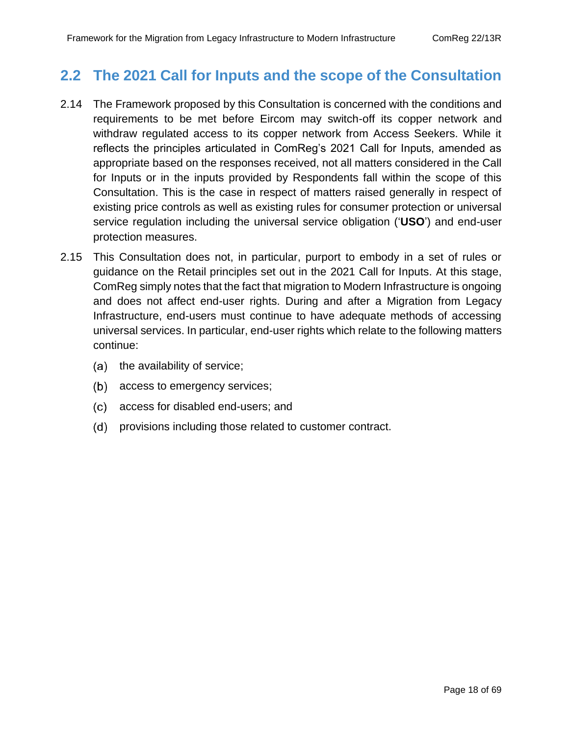## <span id="page-17-0"></span>**2.2 The 2021 Call for Inputs and the scope of the Consultation**

- 2.14 The Framework proposed by this Consultation is concerned with the conditions and requirements to be met before Eircom may switch-off its copper network and withdraw regulated access to its copper network from Access Seekers. While it reflects the principles articulated in ComReg's 2021 Call for Inputs, amended as appropriate based on the responses received, not all matters considered in the Call for Inputs or in the inputs provided by Respondents fall within the scope of this Consultation. This is the case in respect of matters raised generally in respect of existing price controls as well as existing rules for consumer protection or universal service regulation including the universal service obligation ('**USO**') and end-user protection measures.
- 2.15 This Consultation does not, in particular, purport to embody in a set of rules or guidance on the Retail principles set out in the 2021 Call for Inputs. At this stage, ComReg simply notes that the fact that migration to Modern Infrastructure is ongoing and does not affect end-user rights. During and after a Migration from Legacy Infrastructure, end-users must continue to have adequate methods of accessing universal services. In particular, end-user rights which relate to the following matters continue:
	- $(a)$  the availability of service;
	- (b) access to emergency services;
	- access for disabled end-users; and
	- (d) provisions including those related to customer contract.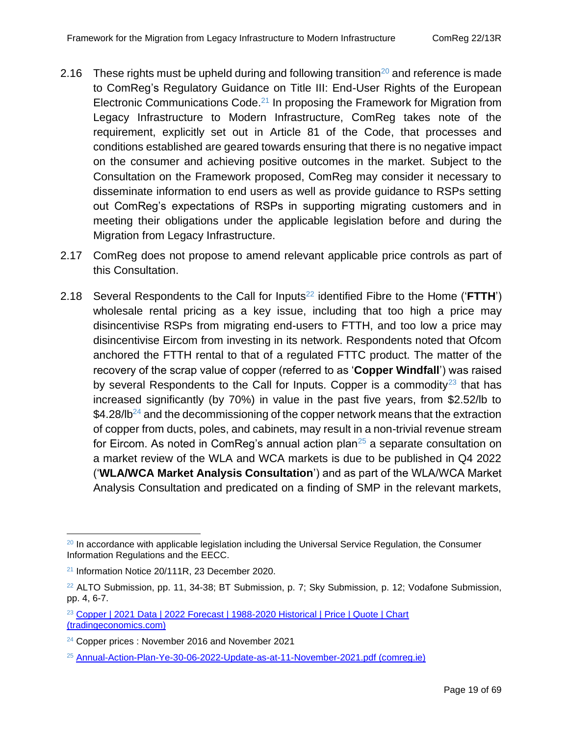- 2.16 These rights must be upheld during and following transition<sup>20</sup> and reference is made to ComReg's Regulatory Guidance on Title III: End-User Rights of the European Electronic Communications Code.<sup>21</sup> In proposing the Framework for Migration from Legacy Infrastructure to Modern Infrastructure, ComReg takes note of the requirement, explicitly set out in Article 81 of the Code, that processes and conditions established are geared towards ensuring that there is no negative impact on the consumer and achieving positive outcomes in the market. Subject to the Consultation on the Framework proposed, ComReg may consider it necessary to disseminate information to end users as well as provide guidance to RSPs setting out ComReg's expectations of RSPs in supporting migrating customers and in meeting their obligations under the applicable legislation before and during the Migration from Legacy Infrastructure.
- 2.17 ComReg does not propose to amend relevant applicable price controls as part of this Consultation.
- 2.18 Several Respondents to the Call for Inputs<sup>22</sup> identified Fibre to the Home ('**FTTH'**) wholesale rental pricing as a key issue, including that too high a price may disincentivise RSPs from migrating end-users to FTTH, and too low a price may disincentivise Eircom from investing in its network. Respondents noted that Ofcom anchored the FTTH rental to that of a regulated FTTC product. The matter of the recovery of the scrap value of copper (referred to as '**Copper Windfall**') was raised by several Respondents to the Call for Inputs. Copper is a commodity<sup>23</sup> that has increased significantly (by 70%) in value in the past five years, from \$2.52/lb to \$4.28/lb<sup>24</sup> and the decommissioning of the copper network means that the extraction of copper from ducts, poles, and cabinets, may result in a non-trivial revenue stream for Eircom. As noted in ComReg's annual action plan<sup>25</sup> a separate consultation on a market review of the WLA and WCA markets is due to be published in Q4 2022 ('**WLA/WCA Market Analysis Consultation**') and as part of the WLA/WCA Market Analysis Consultation and predicated on a finding of SMP in the relevant markets,

 $20$  In accordance with applicable legislation including the Universal Service Regulation, the Consumer Information Regulations and the EECC.

<sup>21</sup> Information Notice 20/111R, 23 December 2020.

 $22$  ALTO Submission, pp. 11, 34-38; BT Submission, p. 7; Sky Submission, p. 12; Vodafone Submission, pp. 4, 6-7.

<sup>&</sup>lt;sup>23</sup> Copper | 2021 Data | 2022 Forecast | 1988-2020 Historical | Price | Quote | Chart [\(tradingeconomics.com\)](https://tradingeconomics.com/commodity/copper)

<sup>&</sup>lt;sup>24</sup> Copper prices : November 2016 and November 2021

<sup>25</sup> [Annual-Action-Plan-Ye-30-06-2022-Update-as-at-11-November-2021.pdf \(comreg.ie\)](https://www.comreg.ie/media/2021/11/Annual-Action-Plan-Ye-30-06-2022-Update-as-at-11-November-2021.pdf)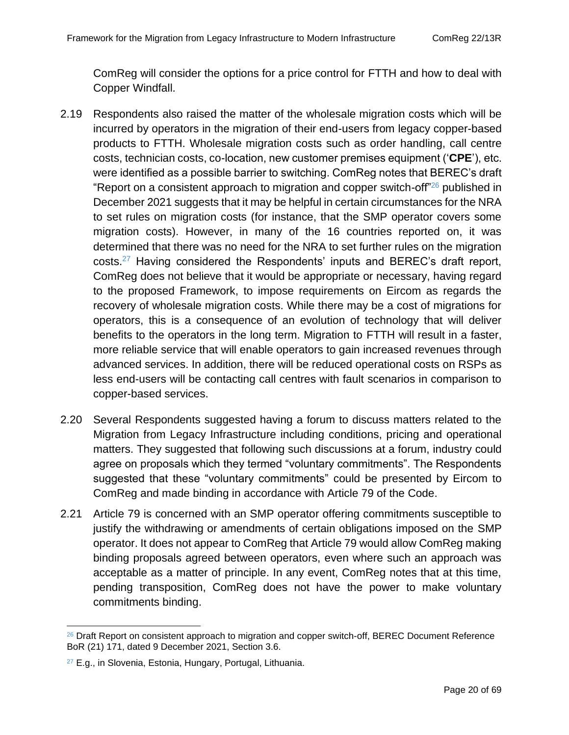ComReg will consider the options for a price control for FTTH and how to deal with Copper Windfall.

- 2.19 Respondents also raised the matter of the wholesale migration costs which will be incurred by operators in the migration of their end-users from legacy copper-based products to FTTH. Wholesale migration costs such as order handling, call centre costs, technician costs, co-location, new customer premises equipment ('**CPE**'), etc. were identified as a possible barrier to switching. ComReg notes that BEREC's draft "Report on a consistent approach to migration and copper switch-off $26$  published in December 2021 suggests that it may be helpful in certain circumstances for the NRA to set rules on migration costs (for instance, that the SMP operator covers some migration costs). However, in many of the 16 countries reported on, it was determined that there was no need for the NRA to set further rules on the migration costs.<sup>27</sup> Having considered the Respondents' inputs and BEREC's draft report, ComReg does not believe that it would be appropriate or necessary, having regard to the proposed Framework, to impose requirements on Eircom as regards the recovery of wholesale migration costs. While there may be a cost of migrations for operators, this is a consequence of an evolution of technology that will deliver benefits to the operators in the long term. Migration to FTTH will result in a faster, more reliable service that will enable operators to gain increased revenues through advanced services. In addition, there will be reduced operational costs on RSPs as less end-users will be contacting call centres with fault scenarios in comparison to copper-based services.
- 2.20 Several Respondents suggested having a forum to discuss matters related to the Migration from Legacy Infrastructure including conditions, pricing and operational matters. They suggested that following such discussions at a forum, industry could agree on proposals which they termed "voluntary commitments". The Respondents suggested that these "voluntary commitments" could be presented by Eircom to ComReg and made binding in accordance with Article 79 of the Code.
- 2.21 Article 79 is concerned with an SMP operator offering commitments susceptible to justify the withdrawing or amendments of certain obligations imposed on the SMP operator. It does not appear to ComReg that Article 79 would allow ComReg making binding proposals agreed between operators, even where such an approach was acceptable as a matter of principle. In any event, ComReg notes that at this time, pending transposition, ComReg does not have the power to make voluntary commitments binding.

<sup>&</sup>lt;sup>26</sup> Draft Report on consistent approach to migration and copper switch-off, BEREC Document Reference BoR (21) 171, dated 9 December 2021, Section 3.6.

<sup>&</sup>lt;sup>27</sup> E.g., in Slovenia, Estonia, Hungary, Portugal, Lithuania.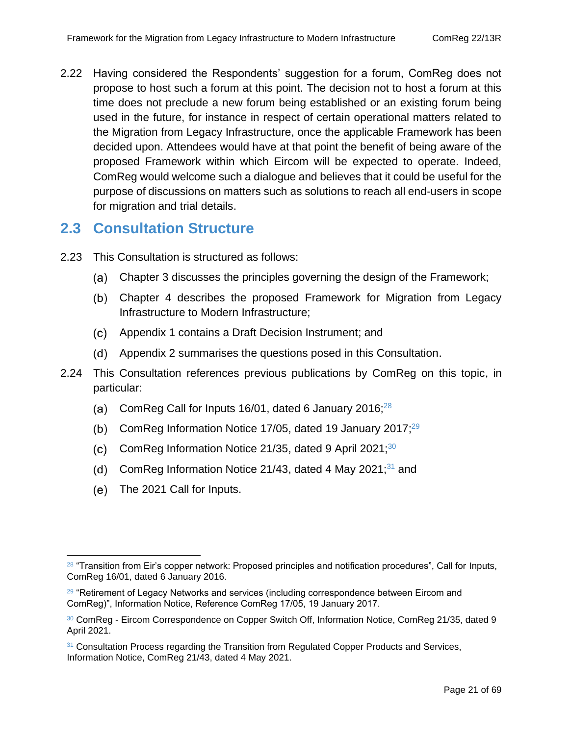2.22 Having considered the Respondents' suggestion for a forum, ComReg does not propose to host such a forum at this point. The decision not to host a forum at this time does not preclude a new forum being established or an existing forum being used in the future, for instance in respect of certain operational matters related to the Migration from Legacy Infrastructure, once the applicable Framework has been decided upon. Attendees would have at that point the benefit of being aware of the proposed Framework within which Eircom will be expected to operate. Indeed, ComReg would welcome such a dialogue and believes that it could be useful for the purpose of discussions on matters such as solutions to reach all end-users in scope for migration and trial details.

## <span id="page-20-0"></span>**2.3 Consultation Structure**

- 2.23 This Consultation is structured as follows:
	- Chapter 3 discusses the principles governing the design of the Framework;
	- Chapter 4 describes the proposed Framework for Migration from Legacy Infrastructure to Modern Infrastructure;
	- Appendix 1 contains a Draft Decision Instrument; and
	- Appendix 2 summarises the questions posed in this Consultation.
- 2.24 This Consultation references previous publications by ComReg on this topic, in particular:
	- (a) ComReg Call for Inputs 16/01, dated 6 January 2016: $28$
	- ComReg Information Notice 17/05, dated 19 January 2017;<sup>29</sup>
	- (c) ComReg Information Notice 21/35, dated 9 April 2021; $30$
	- (d) ComReg Information Notice 21/43, dated 4 May 2021; $31$  and
	- (e) The 2021 Call for Inputs.

<sup>&</sup>lt;sup>28</sup> "Transition from Eir's copper network: Proposed principles and notification procedures", Call for Inputs, ComReg 16/01, dated 6 January 2016.

 $29$  "Retirement of Legacy Networks and services (including correspondence between Eircom and ComReg)", Information Notice, Reference ComReg 17/05, 19 January 2017.

<sup>30</sup> ComReg - Eircom Correspondence on Copper Switch Off, Information Notice, ComReg 21/35, dated 9 April 2021.

<sup>&</sup>lt;sup>31</sup> Consultation Process regarding the Transition from Regulated Copper Products and Services, Information Notice, ComReg 21/43, dated 4 May 2021.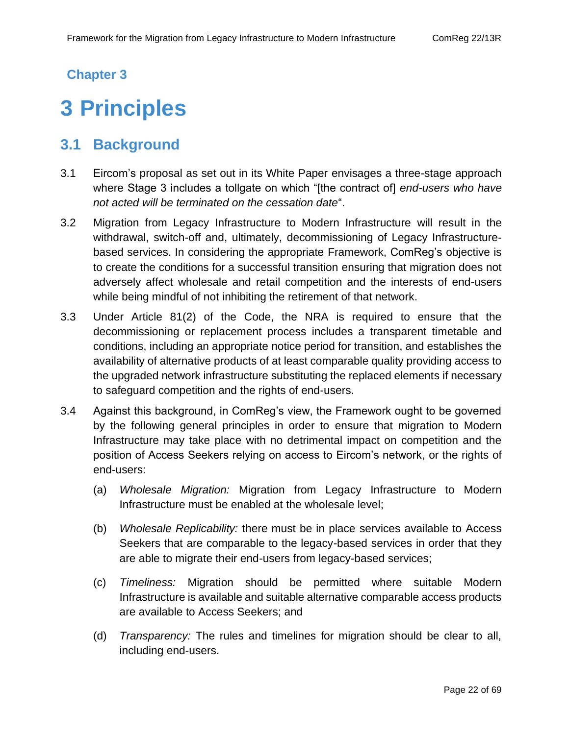### **Chapter 3**

# <span id="page-21-0"></span>**3 Principles**

# <span id="page-21-1"></span>**3.1 Background**

- 3.1 Eircom's proposal as set out in its White Paper envisages a three-stage approach where Stage 3 includes a tollgate on which "[the contract of] *end-users who have not acted will be terminated on the cessation date*".
- 3.2 Migration from Legacy Infrastructure to Modern Infrastructure will result in the withdrawal, switch-off and, ultimately, decommissioning of Legacy Infrastructurebased services. In considering the appropriate Framework, ComReg's objective is to create the conditions for a successful transition ensuring that migration does not adversely affect wholesale and retail competition and the interests of end-users while being mindful of not inhibiting the retirement of that network.
- 3.3 Under Article 81(2) of the Code, the NRA is required to ensure that the decommissioning or replacement process includes a transparent timetable and conditions, including an appropriate notice period for transition, and establishes the availability of alternative products of at least comparable quality providing access to the upgraded network infrastructure substituting the replaced elements if necessary to safeguard competition and the rights of end-users.
- 3.4 Against this background, in ComReg's view, the Framework ought to be governed by the following general principles in order to ensure that migration to Modern Infrastructure may take place with no detrimental impact on competition and the position of Access Seekers relying on access to Eircom's network, or the rights of end-users:
	- (a) *Wholesale Migration:* Migration from Legacy Infrastructure to Modern Infrastructure must be enabled at the wholesale level;
	- (b) *Wholesale Replicability:* there must be in place services available to Access Seekers that are comparable to the legacy-based services in order that they are able to migrate their end-users from legacy-based services;
	- (c) *Timeliness:* Migration should be permitted where suitable Modern Infrastructure is available and suitable alternative comparable access products are available to Access Seekers; and
	- (d) *Transparency:* The rules and timelines for migration should be clear to all, including end-users.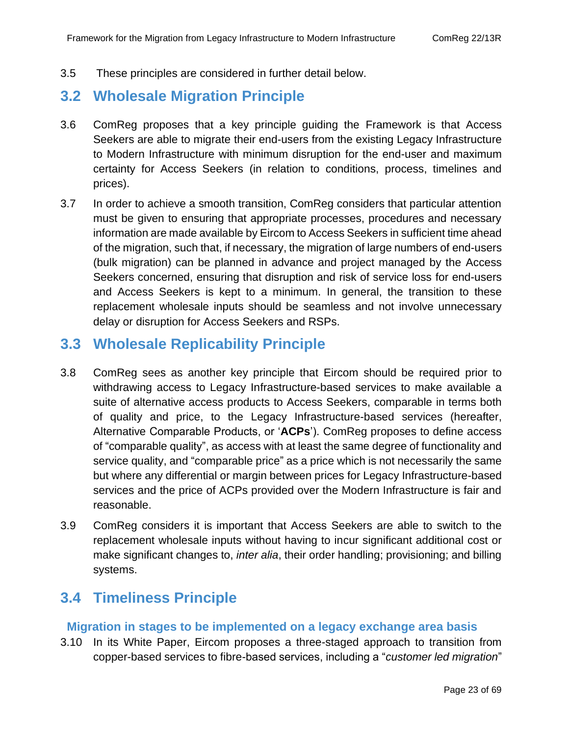3.5 These principles are considered in further detail below.

## <span id="page-22-0"></span>**3.2 Wholesale Migration Principle**

- 3.6 ComReg proposes that a key principle guiding the Framework is that Access Seekers are able to migrate their end-users from the existing Legacy Infrastructure to Modern Infrastructure with minimum disruption for the end-user and maximum certainty for Access Seekers (in relation to conditions, process, timelines and prices).
- 3.7 In order to achieve a smooth transition, ComReg considers that particular attention must be given to ensuring that appropriate processes, procedures and necessary information are made available by Eircom to Access Seekers in sufficient time ahead of the migration, such that, if necessary, the migration of large numbers of end-users (bulk migration) can be planned in advance and project managed by the Access Seekers concerned, ensuring that disruption and risk of service loss for end-users and Access Seekers is kept to a minimum. In general, the transition to these replacement wholesale inputs should be seamless and not involve unnecessary delay or disruption for Access Seekers and RSPs.

## <span id="page-22-1"></span>**3.3 Wholesale Replicability Principle**

- 3.8 ComReg sees as another key principle that Eircom should be required prior to withdrawing access to Legacy Infrastructure-based services to make available a suite of alternative access products to Access Seekers, comparable in terms both of quality and price, to the Legacy Infrastructure-based services (hereafter, Alternative Comparable Products, or '**ACPs**'). ComReg proposes to define access of "comparable quality", as access with at least the same degree of functionality and service quality, and "comparable price" as a price which is not necessarily the same but where any differential or margin between prices for Legacy Infrastructure-based services and the price of ACPs provided over the Modern Infrastructure is fair and reasonable.
- 3.9 ComReg considers it is important that Access Seekers are able to switch to the replacement wholesale inputs without having to incur significant additional cost or make significant changes to, *inter alia*, their order handling; provisioning; and billing systems.

# <span id="page-22-2"></span>**3.4 Timeliness Principle**

#### **Migration in stages to be implemented on a legacy exchange area basis**

3.10 In its White Paper, Eircom proposes a three-staged approach to transition from copper-based services to fibre-based services, including a "*customer led migration*"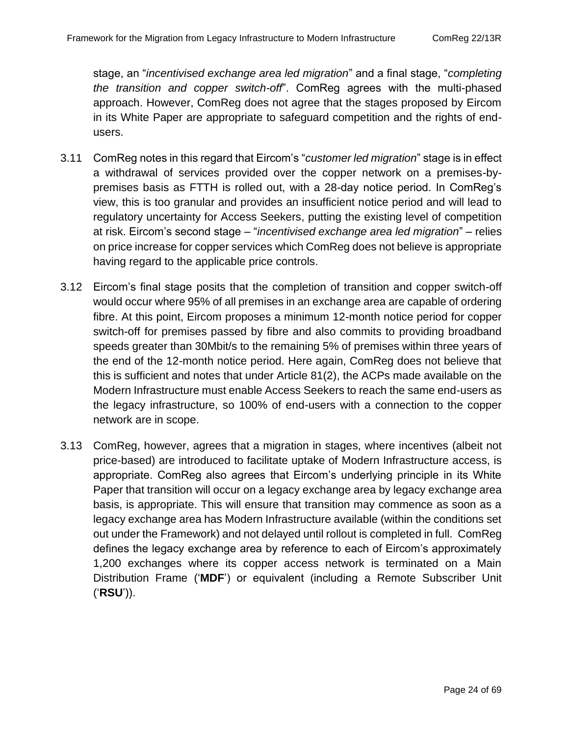stage, an "*incentivised exchange area led migration*" and a final stage, "*completing the transition and copper switch-off*". ComReg agrees with the multi-phased approach. However, ComReg does not agree that the stages proposed by Eircom in its White Paper are appropriate to safeguard competition and the rights of endusers.

- 3.11 ComReg notes in this regard that Eircom's "*customer led migration*" stage is in effect a withdrawal of services provided over the copper network on a premises-bypremises basis as FTTH is rolled out, with a 28-day notice period. In ComReg's view, this is too granular and provides an insufficient notice period and will lead to regulatory uncertainty for Access Seekers, putting the existing level of competition at risk. Eircom's second stage – "*incentivised exchange area led migration*" – relies on price increase for copper services which ComReg does not believe is appropriate having regard to the applicable price controls.
- 3.12 Eircom's final stage posits that the completion of transition and copper switch-off would occur where 95% of all premises in an exchange area are capable of ordering fibre. At this point, Eircom proposes a minimum 12-month notice period for copper switch-off for premises passed by fibre and also commits to providing broadband speeds greater than 30Mbit/s to the remaining 5% of premises within three years of the end of the 12-month notice period. Here again, ComReg does not believe that this is sufficient and notes that under Article 81(2), the ACPs made available on the Modern Infrastructure must enable Access Seekers to reach the same end-users as the legacy infrastructure, so 100% of end-users with a connection to the copper network are in scope.
- 3.13 ComReg, however, agrees that a migration in stages, where incentives (albeit not price-based) are introduced to facilitate uptake of Modern Infrastructure access, is appropriate. ComReg also agrees that Eircom's underlying principle in its White Paper that transition will occur on a legacy exchange area by legacy exchange area basis, is appropriate. This will ensure that transition may commence as soon as a legacy exchange area has Modern Infrastructure available (within the conditions set out under the Framework) and not delayed until rollout is completed in full. ComReg defines the legacy exchange area by reference to each of Eircom's approximately 1,200 exchanges where its copper access network is terminated on a Main Distribution Frame ('**MDF**') or equivalent (including a Remote Subscriber Unit ('**RSU**')).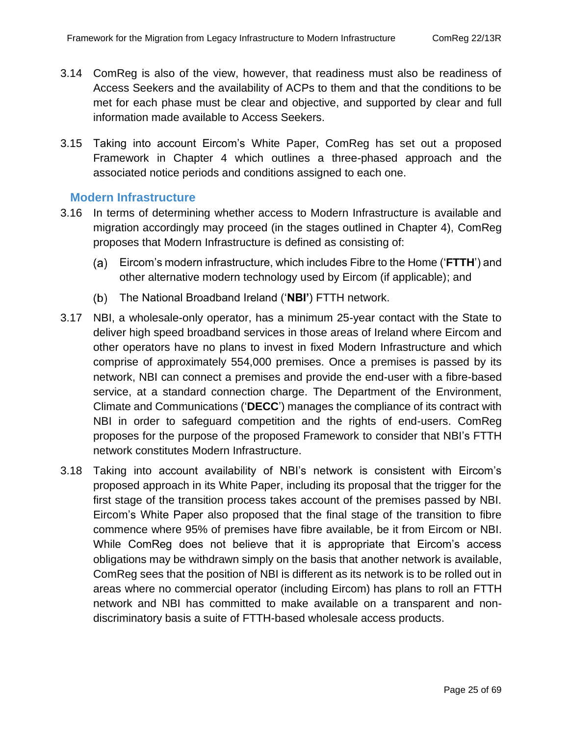- 3.14 ComReg is also of the view, however, that readiness must also be readiness of Access Seekers and the availability of ACPs to them and that the conditions to be met for each phase must be clear and objective, and supported by clear and full information made available to Access Seekers.
- 3.15 Taking into account Eircom's White Paper, ComReg has set out a proposed Framework in Chapter 4 which outlines a three-phased approach and the associated notice periods and conditions assigned to each one.

#### **Modern Infrastructure**

- 3.16 In terms of determining whether access to Modern Infrastructure is available and migration accordingly may proceed (in the stages outlined in Chapter 4), ComReg proposes that Modern Infrastructure is defined as consisting of:
	- Eircom's modern infrastructure, which includes Fibre to the Home ('**FTTH**') and other alternative modern technology used by Eircom (if applicable); and
	- The National Broadband Ireland ('**NBI'**) FTTH network.
- 3.17 NBI, a wholesale-only operator, has a minimum 25-year contact with the State to deliver high speed broadband services in those areas of Ireland where Eircom and other operators have no plans to invest in fixed Modern Infrastructure and which comprise of approximately 554,000 premises. Once a premises is passed by its network, NBI can connect a premises and provide the end-user with a fibre-based service, at a standard connection charge. The Department of the Environment, Climate and Communications ('**DECC**') manages the compliance of its contract with NBI in order to safeguard competition and the rights of end-users. ComReg proposes for the purpose of the proposed Framework to consider that NBI's FTTH network constitutes Modern Infrastructure.
- 3.18 Taking into account availability of NBI's network is consistent with Eircom's proposed approach in its White Paper, including its proposal that the trigger for the first stage of the transition process takes account of the premises passed by NBI. Eircom's White Paper also proposed that the final stage of the transition to fibre commence where 95% of premises have fibre available, be it from Eircom or NBI. While ComReg does not believe that it is appropriate that Eircom's access obligations may be withdrawn simply on the basis that another network is available, ComReg sees that the position of NBI is different as its network is to be rolled out in areas where no commercial operator (including Eircom) has plans to roll an FTTH network and NBI has committed to make available on a transparent and nondiscriminatory basis a suite of FTTH-based wholesale access products.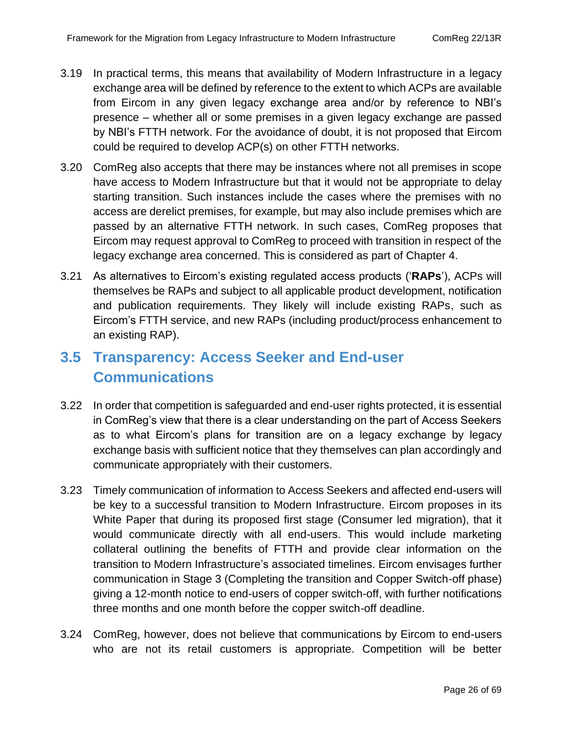- 3.20 ComReg also accepts that there may be instances where not all premises in scope have access to Modern Infrastructure but that it would not be appropriate to delay starting transition. Such instances include the cases where the premises with no access are derelict premises, for example, but may also include premises which are passed by an alternative FTTH network. In such cases, ComReg proposes that Eircom may request approval to ComReg to proceed with transition in respect of the legacy exchange area concerned. This is considered as part of Chapter 4.
- 3.21 As alternatives to Eircom's existing regulated access products ('**RAPs**'), ACPs will themselves be RAPs and subject to all applicable product development, notification and publication requirements. They likely will include existing RAPs, such as Eircom's FTTH service, and new RAPs (including product/process enhancement to an existing RAP).

# <span id="page-25-0"></span>**3.5 Transparency: Access Seeker and End-user Communications**

- 3.22 In order that competition is safeguarded and end-user rights protected, it is essential in ComReg's view that there is a clear understanding on the part of Access Seekers as to what Eircom's plans for transition are on a legacy exchange by legacy exchange basis with sufficient notice that they themselves can plan accordingly and communicate appropriately with their customers.
- 3.23 Timely communication of information to Access Seekers and affected end-users will be key to a successful transition to Modern Infrastructure. Eircom proposes in its White Paper that during its proposed first stage (Consumer led migration), that it would communicate directly with all end-users. This would include marketing collateral outlining the benefits of FTTH and provide clear information on the transition to Modern Infrastructure's associated timelines. Eircom envisages further communication in Stage 3 (Completing the transition and Copper Switch-off phase) giving a 12-month notice to end-users of copper switch-off, with further notifications three months and one month before the copper switch-off deadline.
- 3.24 ComReg, however, does not believe that communications by Eircom to end-users who are not its retail customers is appropriate. Competition will be better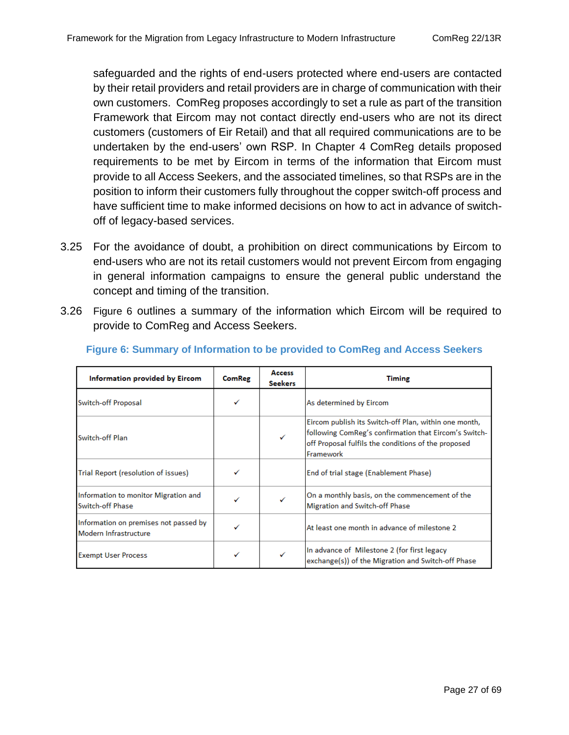safeguarded and the rights of end-users protected where end-users are contacted by their retail providers and retail providers are in charge of communication with their own customers. ComReg proposes accordingly to set a rule as part of the transition Framework that Eircom may not contact directly end-users who are not its direct customers (customers of Eir Retail) and that all required communications are to be undertaken by the end-users' own RSP. In Chapter 4 ComReg details proposed requirements to be met by Eircom in terms of the information that Eircom must provide to all Access Seekers, and the associated timelines, so that RSPs are in the position to inform their customers fully throughout the copper switch-off process and have sufficient time to make informed decisions on how to act in advance of switchoff of legacy-based services.

- 3.25 For the avoidance of doubt, a prohibition on direct communications by Eircom to end-users who are not its retail customers would not prevent Eircom from engaging in general information campaigns to ensure the general public understand the concept and timing of the transition.
- 3.26 [Figure 6](#page-26-0) outlines a summary of the information which Eircom will be required to provide to ComReg and Access Seekers.

| Information provided by Eircom                                 | <b>ComReg</b> | <b>Access</b><br><b>Seekers</b> | <b>Timing</b>                                                                                                                                                                      |  |
|----------------------------------------------------------------|---------------|---------------------------------|------------------------------------------------------------------------------------------------------------------------------------------------------------------------------------|--|
| Switch-off Proposal                                            | ✓             |                                 | As determined by Eircom                                                                                                                                                            |  |
| Switch-off Plan                                                |               | ✓                               | Eircom publish its Switch-off Plan, within one month,<br>following ComReg's confirmation that Eircom's Switch-<br>off Proposal fulfils the conditions of the proposed<br>Framework |  |
| Trial Report (resolution of issues)                            |               |                                 | End of trial stage (Enablement Phase)                                                                                                                                              |  |
| Information to monitor Migration and<br>Switch-off Phase       | ✓             |                                 | On a monthly basis, on the commencement of the<br>Migration and Switch-off Phase                                                                                                   |  |
| Information on premises not passed by<br>Modern Infrastructure |               |                                 | At least one month in advance of milestone 2                                                                                                                                       |  |
| <b>Exempt User Process</b>                                     |               |                                 | In advance of Milestone 2 (for first legacy<br>exchange(s)) of the Migration and Switch-off Phase                                                                                  |  |

#### <span id="page-26-0"></span>**Figure 6: Summary of Information to be provided to ComReg and Access Seekers**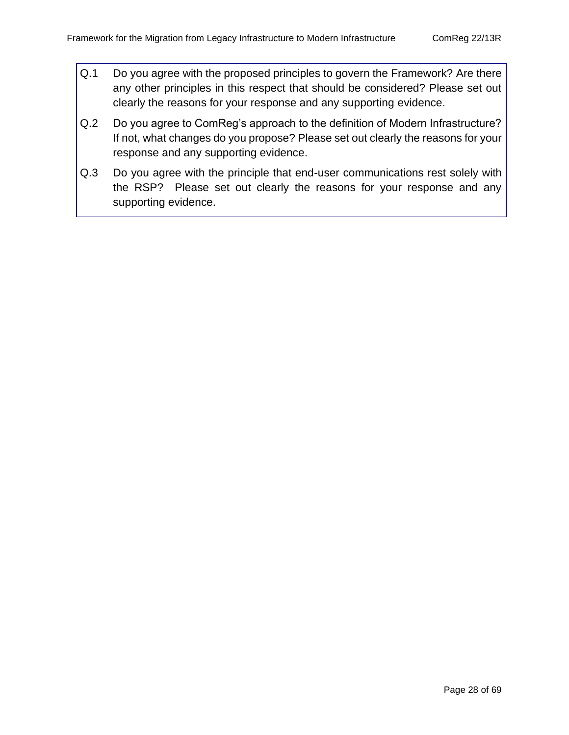- Q.1 Do you agree with the proposed principles to govern the Framework? Are there any other principles in this respect that should be considered? Please set out clearly the reasons for your response and any supporting evidence.
- Q.2 Do you agree to ComReg's approach to the definition of Modern Infrastructure? If not, what changes do you propose? Please set out clearly the reasons for your response and any supporting evidence.
- Q.3 Do you agree with the principle that end-user communications rest solely with the RSP? Please set out clearly the reasons for your response and any supporting evidence.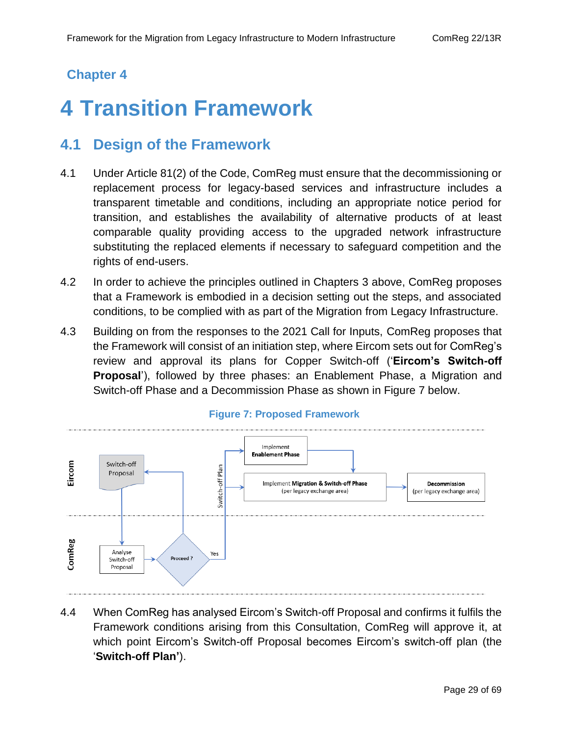## **Chapter 4**

# <span id="page-28-0"></span>**4 Transition Framework**

## <span id="page-28-1"></span>**4.1 Design of the Framework**

- 4.1 Under Article 81(2) of the Code, ComReg must ensure that the decommissioning or replacement process for legacy-based services and infrastructure includes a transparent timetable and conditions, including an appropriate notice period for transition, and establishes the availability of alternative products of at least comparable quality providing access to the upgraded network infrastructure substituting the replaced elements if necessary to safeguard competition and the rights of end-users.
- 4.2 In order to achieve the principles outlined in Chapters 3 above, ComReg proposes that a Framework is embodied in a decision setting out the steps, and associated conditions, to be complied with as part of the Migration from Legacy Infrastructure.
- 4.3 Building on from the responses to the 2021 Call for Inputs, ComReg proposes that the Framework will consist of an initiation step, where Eircom sets out for ComReg's review and approval its plans for Copper Switch-off ('**Eircom's Switch-off Proposal**'), followed by three phases: an Enablement Phase, a Migration and Switch-off Phase and a Decommission Phase as shown in [Figure 7](#page-28-2) below.

<span id="page-28-2"></span>

#### **Figure 7: Proposed Framework**

4.4 When ComReg has analysed Eircom's Switch-off Proposal and confirms it fulfils the Framework conditions arising from this Consultation, ComReg will approve it, at which point Eircom's Switch-off Proposal becomes Eircom's switch-off plan (the '**Switch-off Plan'**).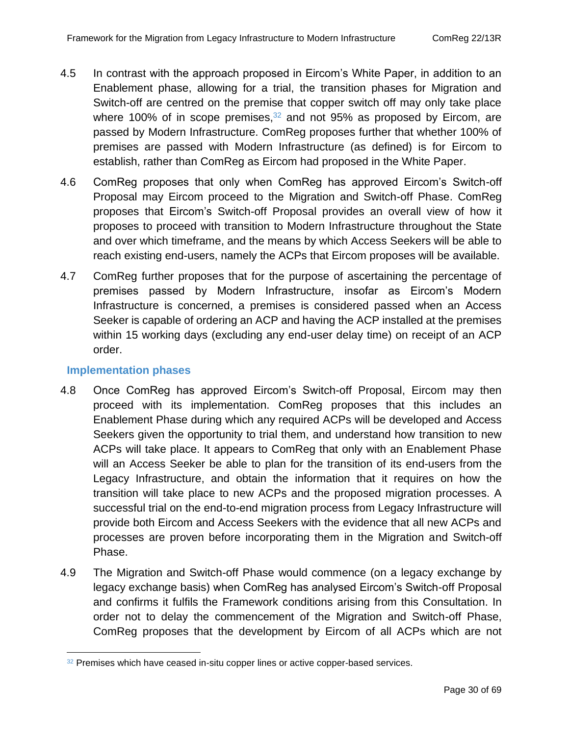- 4.5 In contrast with the approach proposed in Eircom's White Paper, in addition to an Enablement phase, allowing for a trial, the transition phases for Migration and Switch-off are centred on the premise that copper switch off may only take place where 100% of in scope premises, $32$  and not 95% as proposed by Eircom, are passed by Modern Infrastructure. ComReg proposes further that whether 100% of premises are passed with Modern Infrastructure (as defined) is for Eircom to establish, rather than ComReg as Eircom had proposed in the White Paper.
- 4.6 ComReg proposes that only when ComReg has approved Eircom's Switch-off Proposal may Eircom proceed to the Migration and Switch-off Phase. ComReg proposes that Eircom's Switch-off Proposal provides an overall view of how it proposes to proceed with transition to Modern Infrastructure throughout the State and over which timeframe, and the means by which Access Seekers will be able to reach existing end-users, namely the ACPs that Eircom proposes will be available.
- 4.7 ComReg further proposes that for the purpose of ascertaining the percentage of premises passed by Modern Infrastructure, insofar as Eircom's Modern Infrastructure is concerned, a premises is considered passed when an Access Seeker is capable of ordering an ACP and having the ACP installed at the premises within 15 working days (excluding any end-user delay time) on receipt of an ACP order.

#### **Implementation phases**

- 4.8 Once ComReg has approved Eircom's Switch-off Proposal, Eircom may then proceed with its implementation. ComReg proposes that this includes an Enablement Phase during which any required ACPs will be developed and Access Seekers given the opportunity to trial them, and understand how transition to new ACPs will take place. It appears to ComReg that only with an Enablement Phase will an Access Seeker be able to plan for the transition of its end-users from the Legacy Infrastructure, and obtain the information that it requires on how the transition will take place to new ACPs and the proposed migration processes. A successful trial on the end-to-end migration process from Legacy Infrastructure will provide both Eircom and Access Seekers with the evidence that all new ACPs and processes are proven before incorporating them in the Migration and Switch-off Phase.
- 4.9 The Migration and Switch-off Phase would commence (on a legacy exchange by legacy exchange basis) when ComReg has analysed Eircom's Switch-off Proposal and confirms it fulfils the Framework conditions arising from this Consultation. In order not to delay the commencement of the Migration and Switch-off Phase, ComReg proposes that the development by Eircom of all ACPs which are not

 $32$  Premises which have ceased in-situ copper lines or active copper-based services.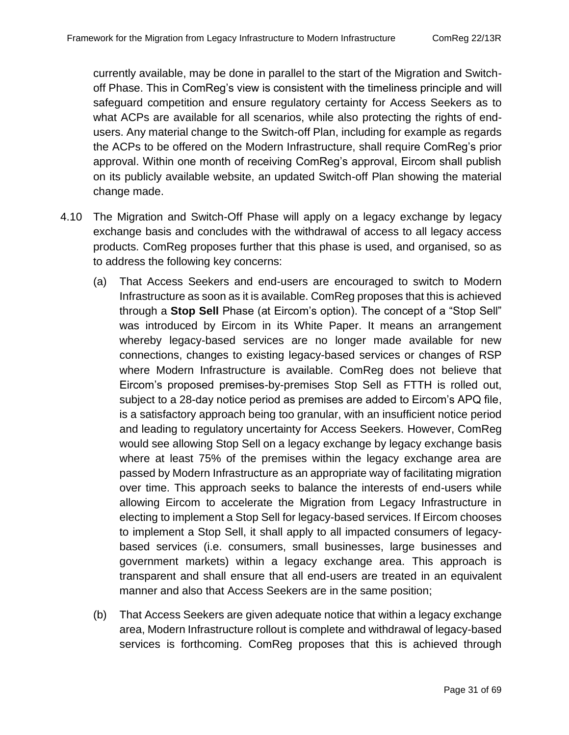currently available, may be done in parallel to the start of the Migration and Switchoff Phase. This in ComReg's view is consistent with the timeliness principle and will safeguard competition and ensure regulatory certainty for Access Seekers as to what ACPs are available for all scenarios, while also protecting the rights of endusers. Any material change to the Switch-off Plan, including for example as regards the ACPs to be offered on the Modern Infrastructure, shall require ComReg's prior approval. Within one month of receiving ComReg's approval, Eircom shall publish on its publicly available website, an updated Switch-off Plan showing the material change made.

- 4.10 The Migration and Switch-Off Phase will apply on a legacy exchange by legacy exchange basis and concludes with the withdrawal of access to all legacy access products. ComReg proposes further that this phase is used, and organised, so as to address the following key concerns:
	- (a) That Access Seekers and end-users are encouraged to switch to Modern Infrastructure as soon as it is available. ComReg proposes that this is achieved through a **Stop Sell** Phase (at Eircom's option). The concept of a "Stop Sell" was introduced by Eircom in its White Paper. It means an arrangement whereby legacy-based services are no longer made available for new connections, changes to existing legacy-based services or changes of RSP where Modern Infrastructure is available. ComReg does not believe that Eircom's proposed premises-by-premises Stop Sell as FTTH is rolled out, subject to a 28-day notice period as premises are added to Eircom's APQ file, is a satisfactory approach being too granular, with an insufficient notice period and leading to regulatory uncertainty for Access Seekers. However, ComReg would see allowing Stop Sell on a legacy exchange by legacy exchange basis where at least 75% of the premises within the legacy exchange area are passed by Modern Infrastructure as an appropriate way of facilitating migration over time. This approach seeks to balance the interests of end-users while allowing Eircom to accelerate the Migration from Legacy Infrastructure in electing to implement a Stop Sell for legacy-based services. If Eircom chooses to implement a Stop Sell, it shall apply to all impacted consumers of legacybased services (i.e. consumers, small businesses, large businesses and government markets) within a legacy exchange area. This approach is transparent and shall ensure that all end-users are treated in an equivalent manner and also that Access Seekers are in the same position;
	- (b) That Access Seekers are given adequate notice that within a legacy exchange area, Modern Infrastructure rollout is complete and withdrawal of legacy-based services is forthcoming. ComReg proposes that this is achieved through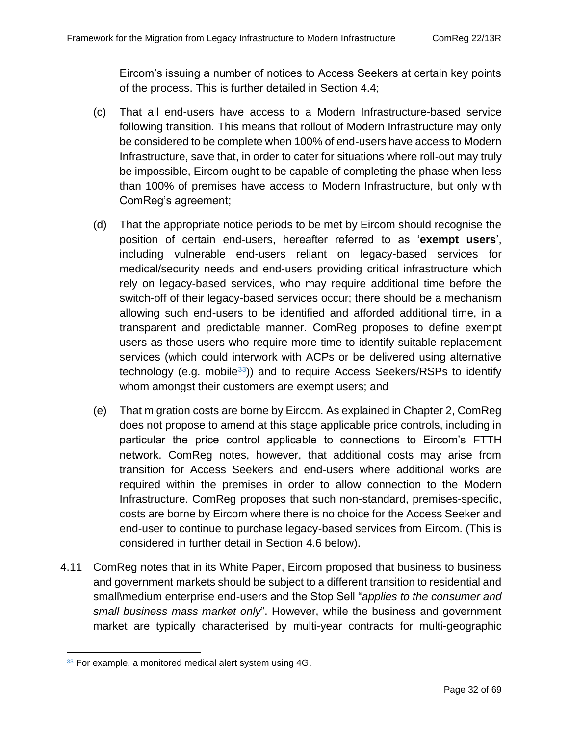Eircom's issuing a number of notices to Access Seekers at certain key points of the process. This is further detailed in Section [4.4;](#page-36-0)

- (c) That all end-users have access to a Modern Infrastructure-based service following transition. This means that rollout of Modern Infrastructure may only be considered to be complete when 100% of end-users have access to Modern Infrastructure, save that, in order to cater for situations where roll-out may truly be impossible, Eircom ought to be capable of completing the phase when less than 100% of premises have access to Modern Infrastructure, but only with ComReg's agreement;
- (d) That the appropriate notice periods to be met by Eircom should recognise the position of certain end-users, hereafter referred to as '**exempt users**', including vulnerable end-users reliant on legacy-based services for medical/security needs and end-users providing critical infrastructure which rely on legacy-based services, who may require additional time before the switch-off of their legacy-based services occur; there should be a mechanism allowing such end-users to be identified and afforded additional time, in a transparent and predictable manner. ComReg proposes to define exempt users as those users who require more time to identify suitable replacement services (which could interwork with ACPs or be delivered using alternative technology (e.g. mobile<sup>33</sup>)) and to require Access Seekers/RSPs to identify whom amongst their customers are exempt users; and
- (e) That migration costs are borne by Eircom. As explained in Chapter 2, ComReg does not propose to amend at this stage applicable price controls, including in particular the price control applicable to connections to Eircom's FTTH network. ComReg notes, however, that additional costs may arise from transition for Access Seekers and end-users where additional works are required within the premises in order to allow connection to the Modern Infrastructure. ComReg proposes that such non-standard, premises-specific, costs are borne by Eircom where there is no choice for the Access Seeker and end-user to continue to purchase legacy-based services from Eircom. (This is considered in further detail in Section [4.6](#page-43-1) below).
- 4.11 ComReg notes that in its White Paper, Eircom proposed that business to business and government markets should be subject to a different transition to residential and small\medium enterprise end-users and the Stop Sell "*applies to the consumer and small business mass market only*". However, while the business and government market are typically characterised by multi-year contracts for multi-geographic

 $33$  For example, a monitored medical alert system using  $4G$ .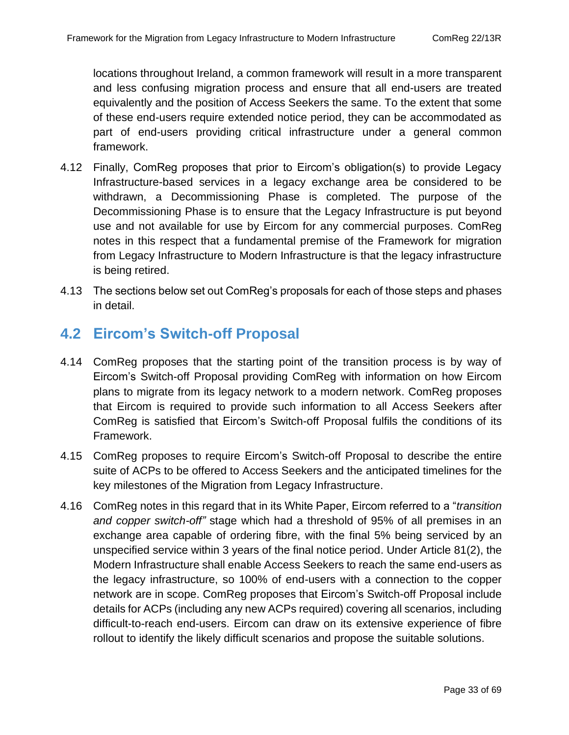locations throughout Ireland, a common framework will result in a more transparent and less confusing migration process and ensure that all end-users are treated equivalently and the position of Access Seekers the same. To the extent that some of these end-users require extended notice period, they can be accommodated as part of end-users providing critical infrastructure under a general common framework.

- 4.12 Finally, ComReg proposes that prior to Eircom's obligation(s) to provide Legacy Infrastructure-based services in a legacy exchange area be considered to be withdrawn, a Decommissioning Phase is completed. The purpose of the Decommissioning Phase is to ensure that the Legacy Infrastructure is put beyond use and not available for use by Eircom for any commercial purposes. ComReg notes in this respect that a fundamental premise of the Framework for migration from Legacy Infrastructure to Modern Infrastructure is that the legacy infrastructure is being retired.
- 4.13 The sections below set out ComReg's proposals for each of those steps and phases in detail.

## <span id="page-32-0"></span>**4.2 Eircom's Switch-off Proposal**

- 4.14 ComReg proposes that the starting point of the transition process is by way of Eircom's Switch-off Proposal providing ComReg with information on how Eircom plans to migrate from its legacy network to a modern network. ComReg proposes that Eircom is required to provide such information to all Access Seekers after ComReg is satisfied that Eircom's Switch-off Proposal fulfils the conditions of its Framework.
- 4.15 ComReg proposes to require Eircom's Switch-off Proposal to describe the entire suite of ACPs to be offered to Access Seekers and the anticipated timelines for the key milestones of the Migration from Legacy Infrastructure.
- 4.16 ComReg notes in this regard that in its White Paper, Eircom referred to a "*transition and copper switch-off"* stage which had a threshold of 95% of all premises in an exchange area capable of ordering fibre, with the final 5% being serviced by an unspecified service within 3 years of the final notice period. Under Article 81(2), the Modern Infrastructure shall enable Access Seekers to reach the same end-users as the legacy infrastructure, so 100% of end-users with a connection to the copper network are in scope. ComReg proposes that Eircom's Switch-off Proposal include details for ACPs (including any new ACPs required) covering all scenarios, including difficult-to-reach end-users. Eircom can draw on its extensive experience of fibre rollout to identify the likely difficult scenarios and propose the suitable solutions.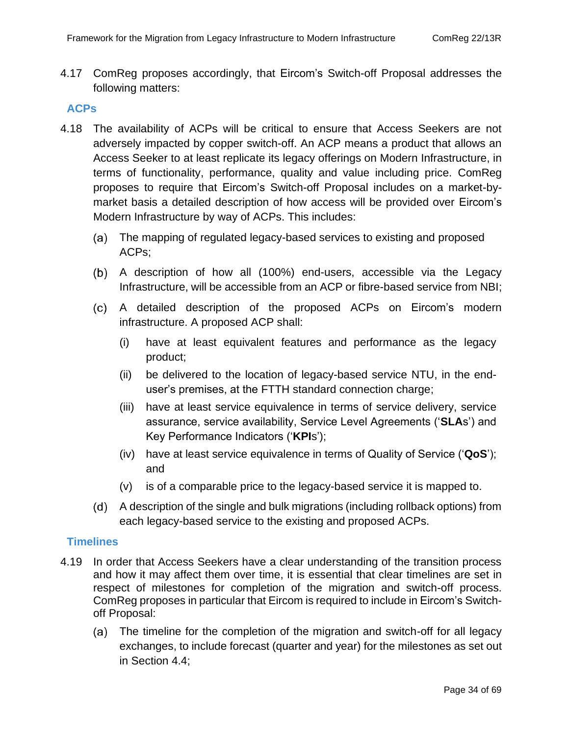4.17 ComReg proposes accordingly, that Eircom's Switch-off Proposal addresses the following matters:

#### **ACPs**

- 4.18 The availability of ACPs will be critical to ensure that Access Seekers are not adversely impacted by copper switch-off. An ACP means a product that allows an Access Seeker to at least replicate its legacy offerings on Modern Infrastructure, in terms of functionality, performance, quality and value including price. ComReg proposes to require that Eircom's Switch-off Proposal includes on a market-bymarket basis a detailed description of how access will be provided over Eircom's Modern Infrastructure by way of ACPs. This includes:
	- The mapping of regulated legacy-based services to existing and proposed ACPs;
	- A description of how all (100%) end-users, accessible via the Legacy Infrastructure, will be accessible from an ACP or fibre-based service from NBI;
	- A detailed description of the proposed ACPs on Eircom's modern infrastructure. A proposed ACP shall:
		- (i) have at least equivalent features and performance as the legacy product;
		- (ii) be delivered to the location of legacy-based service NTU, in the enduser's premises, at the FTTH standard connection charge;
		- (iii) have at least service equivalence in terms of service delivery, service assurance, service availability, Service Level Agreements ('**SLA**s') and Key Performance Indicators ('**KPI**s');
		- (iv) have at least service equivalence in terms of Quality of Service ('**QoS**'); and
		- (v) is of a comparable price to the legacy-based service it is mapped to.
	- A description of the single and bulk migrations (including rollback options) from each legacy-based service to the existing and proposed ACPs.

#### **Timelines**

- 4.19 In order that Access Seekers have a clear understanding of the transition process and how it may affect them over time, it is essential that clear timelines are set in respect of milestones for completion of the migration and switch-off process. ComReg proposes in particular that Eircom is required to include in Eircom's Switchoff Proposal:
	- The timeline for the completion of the migration and switch-off for all legacy (a) exchanges, to include forecast (quarter and year) for the milestones as set out in Section [4.4;](#page-36-0)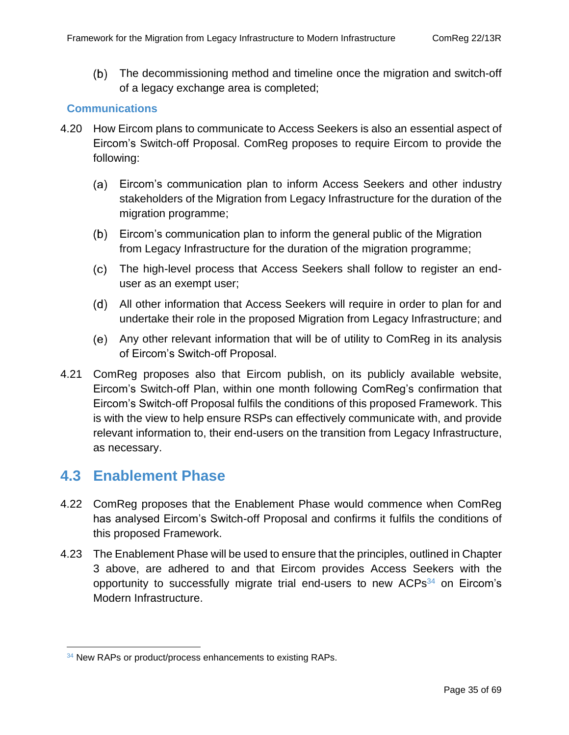The decommissioning method and timeline once the migration and switch-off of a legacy exchange area is completed;

#### **Communications**

- 4.20 How Eircom plans to communicate to Access Seekers is also an essential aspect of Eircom's Switch-off Proposal. ComReg proposes to require Eircom to provide the following:
	- Eircom's communication plan to inform Access Seekers and other industry stakeholders of the Migration from Legacy Infrastructure for the duration of the migration programme;
	- Eircom's communication plan to inform the general public of the Migration from Legacy Infrastructure for the duration of the migration programme;
	- The high-level process that Access Seekers shall follow to register an enduser as an exempt user;
	- All other information that Access Seekers will require in order to plan for and undertake their role in the proposed Migration from Legacy Infrastructure; and
	- Any other relevant information that will be of utility to ComReg in its analysis of Eircom's Switch-off Proposal.
- 4.21 ComReg proposes also that Eircom publish, on its publicly available website, Eircom's Switch-off Plan, within one month following ComReg's confirmation that Eircom's Switch-off Proposal fulfils the conditions of this proposed Framework. This is with the view to help ensure RSPs can effectively communicate with, and provide relevant information to, their end-users on the transition from Legacy Infrastructure, as necessary.

### <span id="page-34-0"></span>**4.3 Enablement Phase**

- 4.22 ComReg proposes that the Enablement Phase would commence when ComReg has analysed Eircom's Switch-off Proposal and confirms it fulfils the conditions of this proposed Framework.
- 4.23 The Enablement Phase will be used to ensure that the principles, outlined in Chapter [3](#page-21-0) above, are adhered to and that Eircom provides Access Seekers with the opportunity to successfully migrate trial end-users to new  $ACPs<sup>34</sup>$  on Eircom's Modern Infrastructure.

<sup>&</sup>lt;sup>34</sup> New RAPs or product/process enhancements to existing RAPs.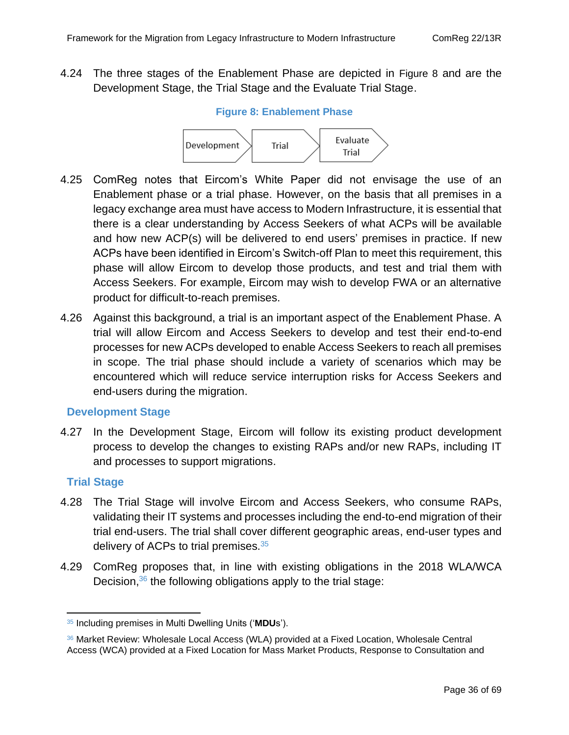<span id="page-35-0"></span>4.24 The three stages of the Enablement Phase are depicted in [Figure 8](#page-35-0) and are the Development Stage, the Trial Stage and the Evaluate Trial Stage.

#### **Figure 8: Enablement Phase**



- 4.25 ComReg notes that Eircom's White Paper did not envisage the use of an Enablement phase or a trial phase. However, on the basis that all premises in a legacy exchange area must have access to Modern Infrastructure, it is essential that there is a clear understanding by Access Seekers of what ACPs will be available and how new ACP(s) will be delivered to end users' premises in practice. If new ACPs have been identified in Eircom's Switch-off Plan to meet this requirement, this phase will allow Eircom to develop those products, and test and trial them with Access Seekers. For example, Eircom may wish to develop FWA or an alternative product for difficult-to-reach premises.
- 4.26 Against this background, a trial is an important aspect of the Enablement Phase. A trial will allow Eircom and Access Seekers to develop and test their end-to-end processes for new ACPs developed to enable Access Seekers to reach all premises in scope. The trial phase should include a variety of scenarios which may be encountered which will reduce service interruption risks for Access Seekers and end-users during the migration.

#### **Development Stage**

4.27 In the Development Stage, Eircom will follow its existing product development process to develop the changes to existing RAPs and/or new RAPs, including IT and processes to support migrations.

#### **Trial Stage**

- 4.28 The Trial Stage will involve Eircom and Access Seekers, who consume RAPs, validating their IT systems and processes including the end-to-end migration of their trial end-users. The trial shall cover different geographic areas, end-user types and delivery of ACPs to trial premises.<sup>35</sup>
- <span id="page-35-1"></span>4.29 ComReg proposes that, in line with existing obligations in the 2018 WLA/WCA Decision,<sup>36</sup> the following obligations apply to the trial stage:

<sup>35</sup> Including premises in Multi Dwelling Units ('**MDU**s').

<sup>36</sup> Market Review: Wholesale Local Access (WLA) provided at a Fixed Location, Wholesale Central Access (WCA) provided at a Fixed Location for Mass Market Products, Response to Consultation and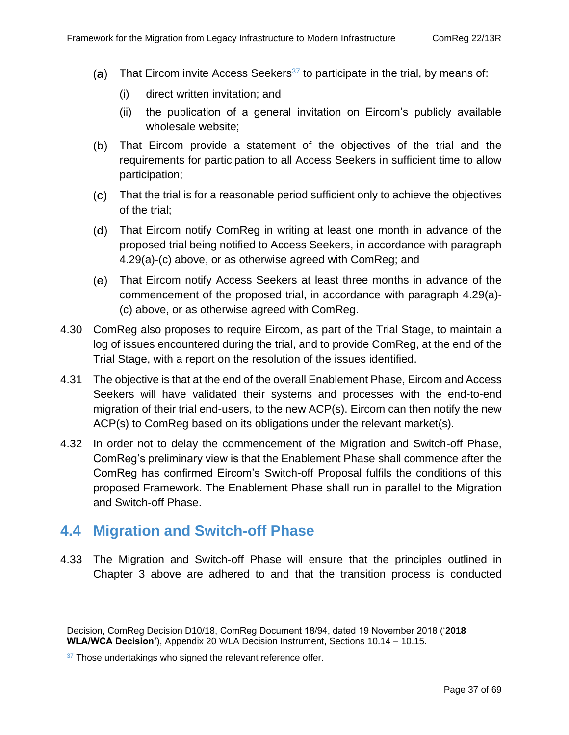- (a) That Eircom invite Access Seekers<sup>37</sup> to participate in the trial, by means of:
	- (i) direct written invitation; and
	- (ii) the publication of a general invitation on Eircom's publicly available wholesale website;
- That Eircom provide a statement of the objectives of the trial and the requirements for participation to all Access Seekers in sufficient time to allow participation;
- That the trial is for a reasonable period sufficient only to achieve the objectives of the trial;
- That Eircom notify ComReg in writing at least one month in advance of the proposed trial being notified to Access Seekers, in accordance with paragraph [4.29\(](#page-35-1)a)-(c) above, or as otherwise agreed with ComReg; and
- That Eircom notify Access Seekers at least three months in advance of the commencement of the proposed trial, in accordance with paragraph [4.29\(](#page-35-1)a)- (c) above, or as otherwise agreed with ComReg.
- 4.30 ComReg also proposes to require Eircom, as part of the Trial Stage, to maintain a log of issues encountered during the trial, and to provide ComReg, at the end of the Trial Stage, with a report on the resolution of the issues identified.
- 4.31 The objective is that at the end of the overall Enablement Phase, Eircom and Access Seekers will have validated their systems and processes with the end-to-end migration of their trial end-users, to the new ACP(s). Eircom can then notify the new ACP(s) to ComReg based on its obligations under the relevant market(s).
- 4.32 In order not to delay the commencement of the Migration and Switch-off Phase, ComReg's preliminary view is that the Enablement Phase shall commence after the ComReg has confirmed Eircom's Switch-off Proposal fulfils the conditions of this proposed Framework. The Enablement Phase shall run in parallel to the Migration and Switch-off Phase.

## <span id="page-36-0"></span>**4.4 Migration and Switch-off Phase**

4.33 The Migration and Switch-off Phase will ensure that the principles outlined in Chapter 3 above are adhered to and that the transition process is conducted

Decision, ComReg Decision D10/18, ComReg Document 18/94, dated 19 November 2018 ('**2018 WLA/WCA Decision'**), Appendix 20 WLA Decision Instrument, Sections 10.14 – 10.15.

 $37$  Those undertakings who signed the relevant reference offer.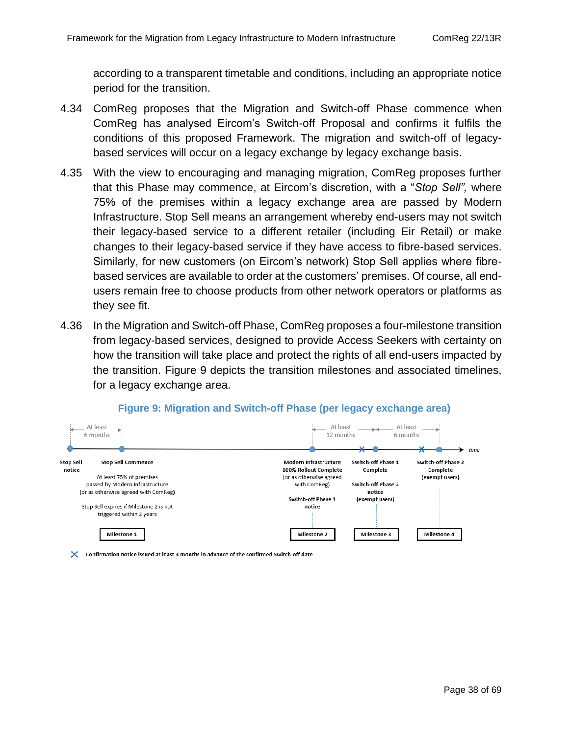according to a transparent timetable and conditions, including an appropriate notice period for the transition.

- 4.34 ComReg proposes that the Migration and Switch-off Phase commence when ComReg has analysed Eircom's Switch-off Proposal and confirms it fulfils the conditions of this proposed Framework. The migration and switch-off of legacybased services will occur on a legacy exchange by legacy exchange basis.
- 4.35 With the view to encouraging and managing migration, ComReg proposes further that this Phase may commence, at Eircom's discretion, with a "*Stop Sell",* where 75% of the premises within a legacy exchange area are passed by Modern Infrastructure. Stop Sell means an arrangement whereby end-users may not switch their legacy-based service to a different retailer (including Eir Retail) or make changes to their legacy-based service if they have access to fibre-based services. Similarly, for new customers (on Eircom's network) Stop Sell applies where fibrebased services are available to order at the customers' premises. Of course, all endusers remain free to choose products from other network operators or platforms as they see fit.
- 4.36 In the Migration and Switch-off Phase, ComReg proposes a four-milestone transition from legacy-based services, designed to provide Access Seekers with certainty on how the transition will take place and protect the rights of all end-users impacted by the transition. [Figure 9](#page-37-0) depicts the transition milestones and associated timelines, for a legacy exchange area.

<span id="page-37-0"></span>

#### **Figure 9: Migration and Switch-off Phase (per legacy exchange area)**

X Confirmation notice issued at least 3 months in advance of the confirmed Switch-off date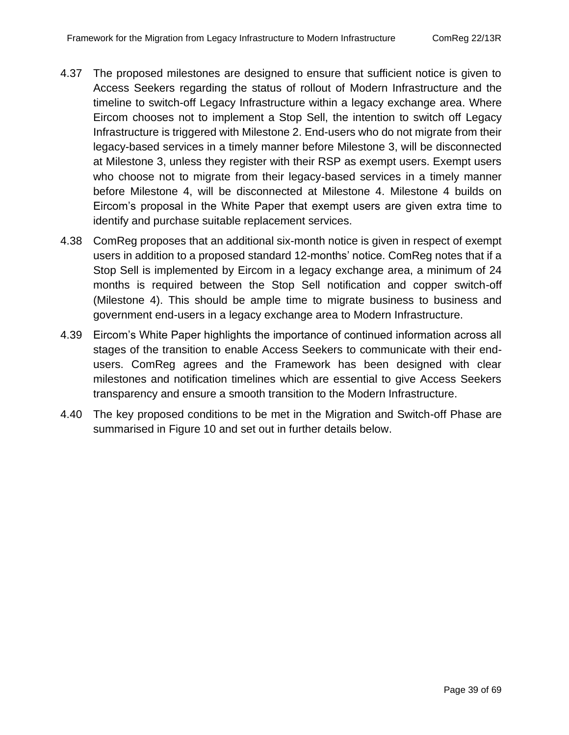- 4.37 The proposed milestones are designed to ensure that sufficient notice is given to Access Seekers regarding the status of rollout of Modern Infrastructure and the timeline to switch-off Legacy Infrastructure within a legacy exchange area. Where Eircom chooses not to implement a Stop Sell, the intention to switch off Legacy Infrastructure is triggered with Milestone 2. End-users who do not migrate from their legacy-based services in a timely manner before Milestone 3, will be disconnected at Milestone 3, unless they register with their RSP as exempt users. Exempt users who choose not to migrate from their legacy-based services in a timely manner before Milestone 4, will be disconnected at Milestone 4. Milestone 4 builds on Eircom's proposal in the White Paper that exempt users are given extra time to identify and purchase suitable replacement services.
- 4.38 ComReg proposes that an additional six-month notice is given in respect of exempt users in addition to a proposed standard 12-months' notice. ComReg notes that if a Stop Sell is implemented by Eircom in a legacy exchange area, a minimum of 24 months is required between the Stop Sell notification and copper switch-off (Milestone 4). This should be ample time to migrate business to business and government end-users in a legacy exchange area to Modern Infrastructure.
- 4.39 Eircom's White Paper highlights the importance of continued information across all stages of the transition to enable Access Seekers to communicate with their endusers. ComReg agrees and the Framework has been designed with clear milestones and notification timelines which are essential to give Access Seekers transparency and ensure a smooth transition to the Modern Infrastructure.
- 4.40 The key proposed conditions to be met in the Migration and Switch-off Phase are summarised in [Figure 10](#page-39-0) and set out in further details below.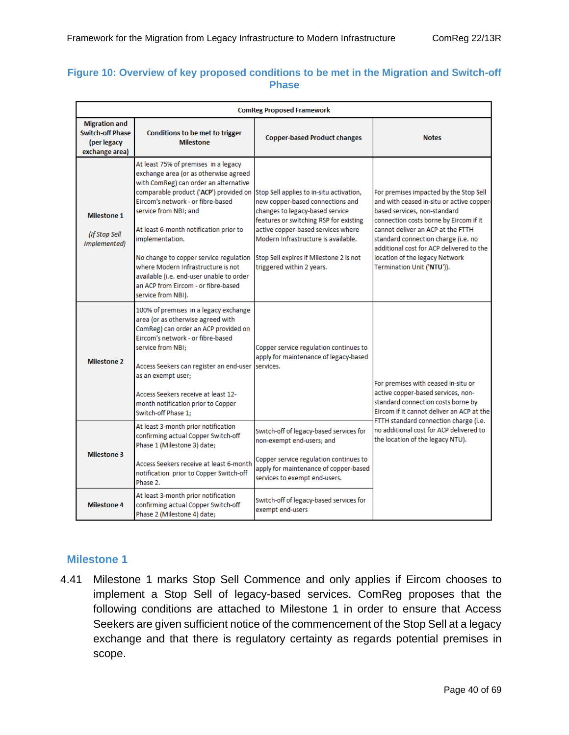#### <span id="page-39-0"></span>**Figure 10: Overview of key proposed conditions to be met in the Migration and Switch-off Phase**

| <b>ComReg Proposed Framework</b>                                                 |                                                                                                                                                                                                                                                                                                                                                                                                                                                                                      |                                                                                                                                                                                                                                                                                                                |                                                                                                                                                                                                                                                                                                                                                       |  |
|----------------------------------------------------------------------------------|--------------------------------------------------------------------------------------------------------------------------------------------------------------------------------------------------------------------------------------------------------------------------------------------------------------------------------------------------------------------------------------------------------------------------------------------------------------------------------------|----------------------------------------------------------------------------------------------------------------------------------------------------------------------------------------------------------------------------------------------------------------------------------------------------------------|-------------------------------------------------------------------------------------------------------------------------------------------------------------------------------------------------------------------------------------------------------------------------------------------------------------------------------------------------------|--|
| <b>Migration and</b><br><b>Switch-off Phase</b><br>(per legacy<br>exchange area) | Conditions to be met to trigger<br><b>Milestone</b>                                                                                                                                                                                                                                                                                                                                                                                                                                  | <b>Copper-based Product changes</b>                                                                                                                                                                                                                                                                            | <b>Notes</b>                                                                                                                                                                                                                                                                                                                                          |  |
| Milestone 1<br>(If Stop Sell<br>Implemented)                                     | At least 75% of premises in a legacy<br>exchange area (or as otherwise agreed<br>with ComReg) can order an alternative<br>comparable product ('ACP') provided on<br>Eircom's network - or fibre-based<br>service from NBI: and<br>At least 6-month notification prior to<br>implementation.<br>No change to copper service regulation<br>where Modern Infrastructure is not<br>available (i.e. end-user unable to order<br>an ACP from Eircom - or fibre-based<br>service from NBI). | Stop Sell applies to in-situ activation,<br>new copper-based connections and<br>changes to legacy-based service<br>features or switching RSP for existing<br>active copper-based services where<br>Modern Infrastructure is available.<br>Stop Sell expires if Milestone 2 is not<br>triggered within 2 years. | For premises impacted by the Stop Sell<br>and with ceased in-situ or active copper-<br>based services, non-standard<br>connection costs borne by Eircom if it<br>cannot deliver an ACP at the FTTH<br>standard connection charge (i.e. no<br>additional cost for ACP delivered to the<br>location of the legacy Network<br>Termination Unit ('NTU')). |  |
| <b>Milestone 2</b>                                                               | 100% of premises in a legacy exchange<br>area (or as otherwise agreed with<br>ComReg) can order an ACP provided on<br>Eircom's network - or fibre-based<br>service from NBI:<br>Access Seekers can register an end-user<br>as an exempt user;<br>Access Seekers receive at least 12-<br>month notification prior to Copper<br>Switch-off Phase 1:                                                                                                                                    | Copper service regulation continues to<br>apply for maintenance of legacy-based<br>services.                                                                                                                                                                                                                   | For premises with ceased in-situ or<br>active copper-based services, non-<br>standard connection costs borne by<br>Eircom if it cannot deliver an ACP at the<br>FTTH standard connection charge (i.e.<br>no additional cost for ACP delivered to<br>the location of the legacy NTU).                                                                  |  |
| <b>Milestone 3</b>                                                               | At least 3-month prior notification<br>confirming actual Copper Switch-off<br>Phase 1 (Milestone 3) date;<br>Access Seekers receive at least 6-month<br>notification prior to Copper Switch-off<br>Phase 2.                                                                                                                                                                                                                                                                          | Switch-off of legacy-based services for<br>non-exempt end-users; and<br>Copper service regulation continues to<br>apply for maintenance of copper-based<br>services to exempt end-users.                                                                                                                       |                                                                                                                                                                                                                                                                                                                                                       |  |
| Milestone 4                                                                      | At least 3-month prior notification<br>confirming actual Copper Switch-off<br>Phase 2 (Milestone 4) date;                                                                                                                                                                                                                                                                                                                                                                            | Switch-off of legacy-based services for<br>exempt end-users                                                                                                                                                                                                                                                    |                                                                                                                                                                                                                                                                                                                                                       |  |

#### **Milestone 1**

4.41 Milestone 1 marks Stop Sell Commence and only applies if Eircom chooses to implement a Stop Sell of legacy-based services. ComReg proposes that the following conditions are attached to Milestone 1 in order to ensure that Access Seekers are given sufficient notice of the commencement of the Stop Sell at a legacy exchange and that there is regulatory certainty as regards potential premises in scope.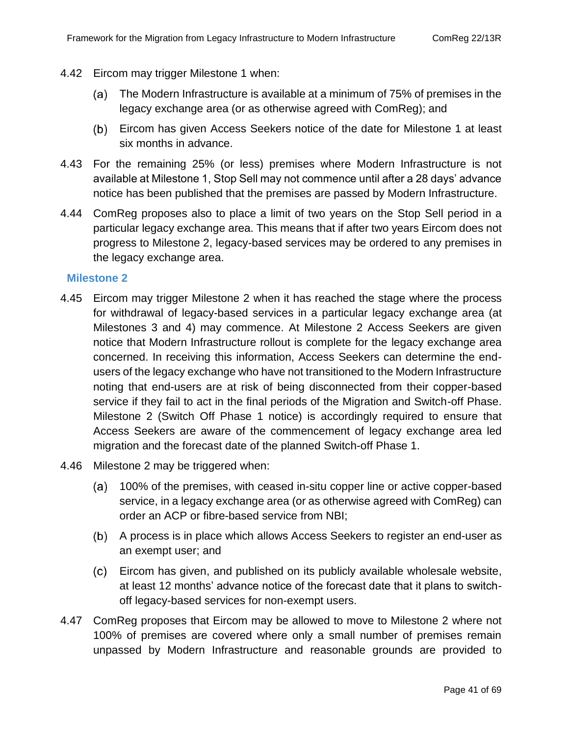- 4.42 Eircom may trigger Milestone 1 when:
	- The Modern Infrastructure is available at a minimum of 75% of premises in the (a) legacy exchange area (or as otherwise agreed with ComReg); and
	- Eircom has given Access Seekers notice of the date for Milestone 1 at least six months in advance.
- 4.43 For the remaining 25% (or less) premises where Modern Infrastructure is not available at Milestone 1, Stop Sell may not commence until after a 28 days' advance notice has been published that the premises are passed by Modern Infrastructure.
- 4.44 ComReg proposes also to place a limit of two years on the Stop Sell period in a particular legacy exchange area. This means that if after two years Eircom does not progress to Milestone 2, legacy-based services may be ordered to any premises in the legacy exchange area.

#### **Milestone 2**

- 4.45 Eircom may trigger Milestone 2 when it has reached the stage where the process for withdrawal of legacy-based services in a particular legacy exchange area (at Milestones 3 and 4) may commence. At Milestone 2 Access Seekers are given notice that Modern Infrastructure rollout is complete for the legacy exchange area concerned. In receiving this information, Access Seekers can determine the endusers of the legacy exchange who have not transitioned to the Modern Infrastructure noting that end-users are at risk of being disconnected from their copper-based service if they fail to act in the final periods of the Migration and Switch-off Phase. Milestone 2 (Switch Off Phase 1 notice) is accordingly required to ensure that Access Seekers are aware of the commencement of legacy exchange area led migration and the forecast date of the planned Switch-off Phase 1.
- 4.46 Milestone 2 may be triggered when:
	- 100% of the premises, with ceased in-situ copper line or active copper-based service, in a legacy exchange area (or as otherwise agreed with ComReg) can order an ACP or fibre-based service from NBI;
	- A process is in place which allows Access Seekers to register an end-user as an exempt user; and
	- Eircom has given, and published on its publicly available wholesale website, at least 12 months' advance notice of the forecast date that it plans to switchoff legacy-based services for non-exempt users.
- 4.47 ComReg proposes that Eircom may be allowed to move to Milestone 2 where not 100% of premises are covered where only a small number of premises remain unpassed by Modern Infrastructure and reasonable grounds are provided to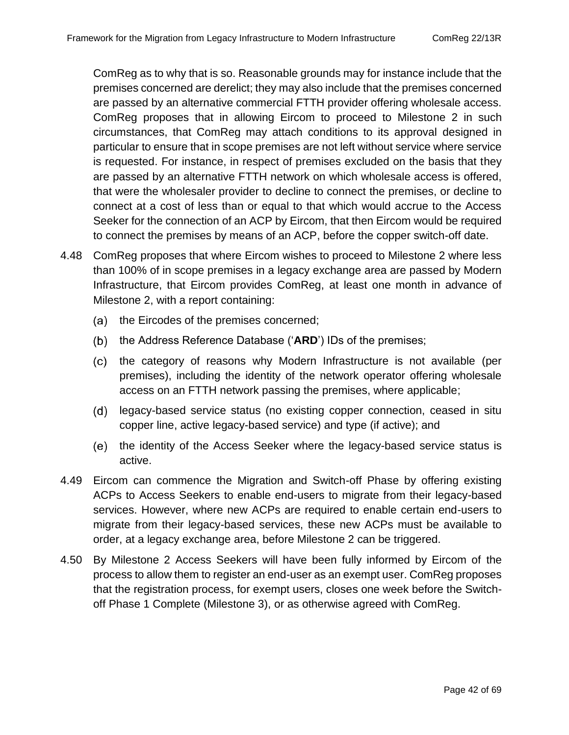ComReg as to why that is so. Reasonable grounds may for instance include that the premises concerned are derelict; they may also include that the premises concerned are passed by an alternative commercial FTTH provider offering wholesale access. ComReg proposes that in allowing Eircom to proceed to Milestone 2 in such circumstances, that ComReg may attach conditions to its approval designed in particular to ensure that in scope premises are not left without service where service is requested. For instance, in respect of premises excluded on the basis that they are passed by an alternative FTTH network on which wholesale access is offered, that were the wholesaler provider to decline to connect the premises, or decline to connect at a cost of less than or equal to that which would accrue to the Access Seeker for the connection of an ACP by Eircom, that then Eircom would be required to connect the premises by means of an ACP, before the copper switch-off date.

- 4.48 ComReg proposes that where Eircom wishes to proceed to Milestone 2 where less than 100% of in scope premises in a legacy exchange area are passed by Modern Infrastructure, that Eircom provides ComReg, at least one month in advance of Milestone 2, with a report containing:
	- (a) the Eircodes of the premises concerned;
	- (b) the Address Reference Database ('ARD') IDs of the premises;
	- (c) the category of reasons why Modern Infrastructure is not available (per premises), including the identity of the network operator offering wholesale access on an FTTH network passing the premises, where applicable;
	- (d) legacy-based service status (no existing copper connection, ceased in situ copper line, active legacy-based service) and type (if active); and
	- (e) the identity of the Access Seeker where the legacy-based service status is active.
- 4.49 Eircom can commence the Migration and Switch-off Phase by offering existing ACPs to Access Seekers to enable end-users to migrate from their legacy-based services. However, where new ACPs are required to enable certain end-users to migrate from their legacy-based services, these new ACPs must be available to order, at a legacy exchange area, before Milestone 2 can be triggered.
- 4.50 By Milestone 2 Access Seekers will have been fully informed by Eircom of the process to allow them to register an end-user as an exempt user. ComReg proposes that the registration process, for exempt users, closes one week before the Switchoff Phase 1 Complete (Milestone 3), or as otherwise agreed with ComReg.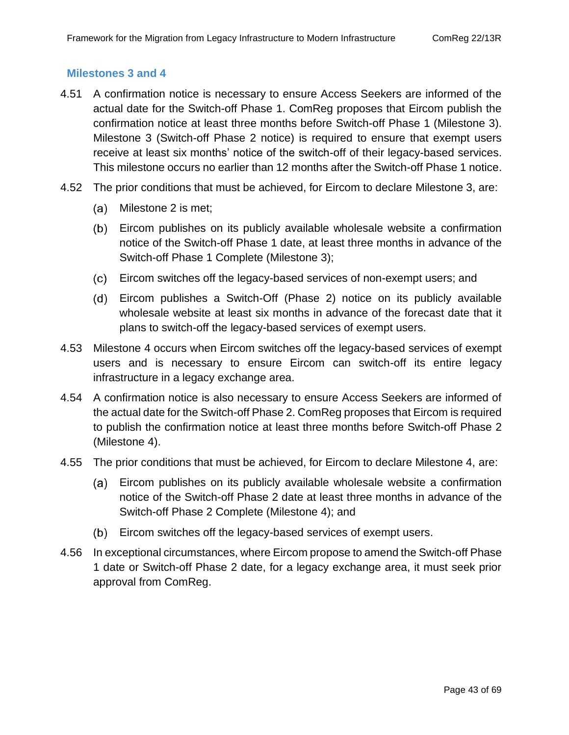#### **Milestones 3 and 4**

- 4.51 A confirmation notice is necessary to ensure Access Seekers are informed of the actual date for the Switch-off Phase 1. ComReg proposes that Eircom publish the confirmation notice at least three months before Switch-off Phase 1 (Milestone 3). Milestone 3 (Switch-off Phase 2 notice) is required to ensure that exempt users receive at least six months' notice of the switch-off of their legacy-based services. This milestone occurs no earlier than 12 months after the Switch-off Phase 1 notice.
- 4.52 The prior conditions that must be achieved, for Eircom to declare Milestone 3, are:
	- (a) Milestone 2 is met;
	- Eircom publishes on its publicly available wholesale website a confirmation notice of the Switch-off Phase 1 date, at least three months in advance of the Switch-off Phase 1 Complete (Milestone 3);
	- Eircom switches off the legacy-based services of non-exempt users; and
	- Eircom publishes a Switch-Off (Phase 2) notice on its publicly available wholesale website at least six months in advance of the forecast date that it plans to switch-off the legacy-based services of exempt users.
- 4.53 Milestone 4 occurs when Eircom switches off the legacy-based services of exempt users and is necessary to ensure Eircom can switch-off its entire legacy infrastructure in a legacy exchange area.
- 4.54 A confirmation notice is also necessary to ensure Access Seekers are informed of the actual date for the Switch-off Phase 2. ComReg proposes that Eircom is required to publish the confirmation notice at least three months before Switch-off Phase 2 (Milestone 4).
- 4.55 The prior conditions that must be achieved, for Eircom to declare Milestone 4, are:
	- Eircom publishes on its publicly available wholesale website a confirmation notice of the Switch-off Phase 2 date at least three months in advance of the Switch-off Phase 2 Complete (Milestone 4); and
	- (b) Eircom switches off the legacy-based services of exempt users.
- 4.56 In exceptional circumstances, where Eircom propose to amend the Switch-off Phase 1 date or Switch-off Phase 2 date, for a legacy exchange area, it must seek prior approval from ComReg.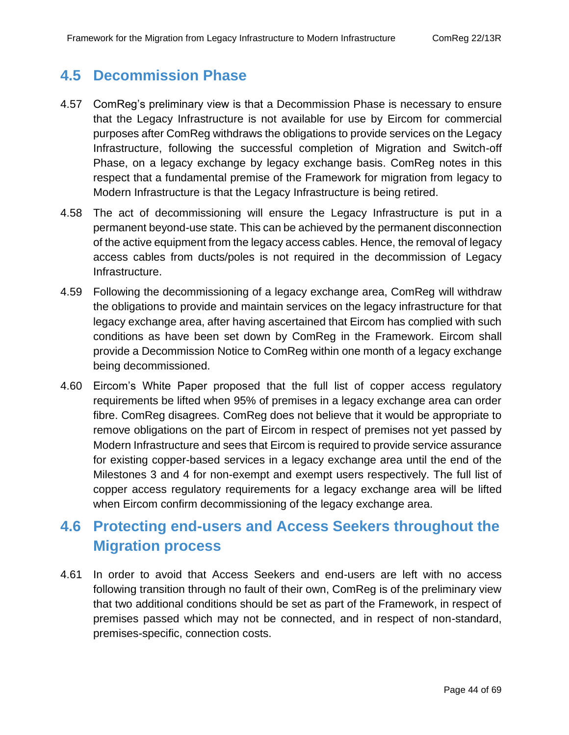## <span id="page-43-0"></span>**4.5 Decommission Phase**

- 4.57 ComReg's preliminary view is that a Decommission Phase is necessary to ensure that the Legacy Infrastructure is not available for use by Eircom for commercial purposes after ComReg withdraws the obligations to provide services on the Legacy Infrastructure, following the successful completion of Migration and Switch-off Phase, on a legacy exchange by legacy exchange basis. ComReg notes in this respect that a fundamental premise of the Framework for migration from legacy to Modern Infrastructure is that the Legacy Infrastructure is being retired.
- 4.58 The act of decommissioning will ensure the Legacy Infrastructure is put in a permanent beyond-use state. This can be achieved by the permanent disconnection of the active equipment from the legacy access cables. Hence, the removal of legacy access cables from ducts/poles is not required in the decommission of Legacy Infrastructure.
- 4.59 Following the decommissioning of a legacy exchange area, ComReg will withdraw the obligations to provide and maintain services on the legacy infrastructure for that legacy exchange area, after having ascertained that Eircom has complied with such conditions as have been set down by ComReg in the Framework. Eircom shall provide a Decommission Notice to ComReg within one month of a legacy exchange being decommissioned.
- 4.60 Eircom's White Paper proposed that the full list of copper access regulatory requirements be lifted when 95% of premises in a legacy exchange area can order fibre. ComReg disagrees. ComReg does not believe that it would be appropriate to remove obligations on the part of Eircom in respect of premises not yet passed by Modern Infrastructure and sees that Eircom is required to provide service assurance for existing copper-based services in a legacy exchange area until the end of the Milestones 3 and 4 for non-exempt and exempt users respectively. The full list of copper access regulatory requirements for a legacy exchange area will be lifted when Eircom confirm decommissioning of the legacy exchange area.

# <span id="page-43-1"></span>**4.6 Protecting end-users and Access Seekers throughout the Migration process**

4.61 In order to avoid that Access Seekers and end-users are left with no access following transition through no fault of their own, ComReg is of the preliminary view that two additional conditions should be set as part of the Framework, in respect of premises passed which may not be connected, and in respect of non-standard, premises-specific, connection costs.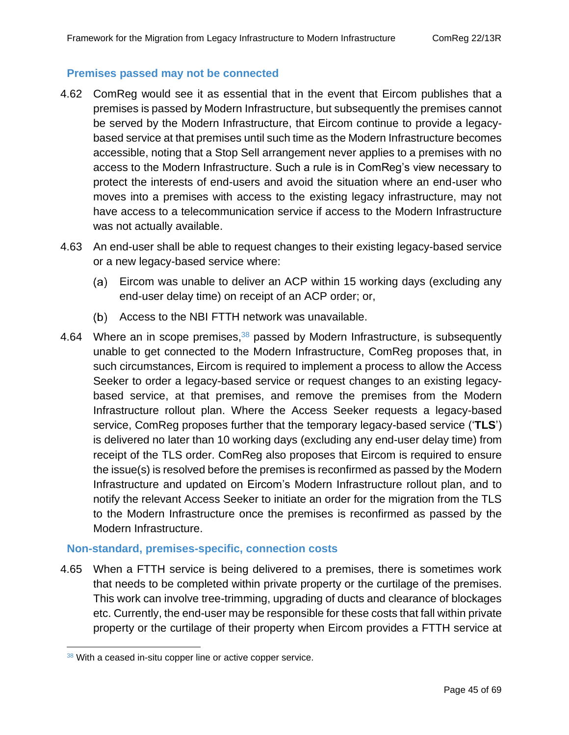#### **Premises passed may not be connected**

- 4.62 ComReg would see it as essential that in the event that Eircom publishes that a premises is passed by Modern Infrastructure, but subsequently the premises cannot be served by the Modern Infrastructure, that Eircom continue to provide a legacybased service at that premises until such time as the Modern Infrastructure becomes accessible, noting that a Stop Sell arrangement never applies to a premises with no access to the Modern Infrastructure. Such a rule is in ComReg's view necessary to protect the interests of end-users and avoid the situation where an end-user who moves into a premises with access to the existing legacy infrastructure, may not have access to a telecommunication service if access to the Modern Infrastructure was not actually available.
- 4.63 An end-user shall be able to request changes to their existing legacy-based service or a new legacy-based service where:
	- Eircom was unable to deliver an ACP within 15 working days (excluding any end-user delay time) on receipt of an ACP order; or,
	- (b) Access to the NBI FTTH network was unavailable.
- 4.64 Where an in scope premises,<sup>38</sup> passed by Modern Infrastructure, is subsequently unable to get connected to the Modern Infrastructure, ComReg proposes that, in such circumstances, Eircom is required to implement a process to allow the Access Seeker to order a legacy-based service or request changes to an existing legacybased service, at that premises, and remove the premises from the Modern Infrastructure rollout plan. Where the Access Seeker requests a legacy-based service, ComReg proposes further that the temporary legacy-based service ('**TLS**') is delivered no later than 10 working days (excluding any end-user delay time) from receipt of the TLS order. ComReg also proposes that Eircom is required to ensure the issue(s) is resolved before the premises is reconfirmed as passed by the Modern Infrastructure and updated on Eircom's Modern Infrastructure rollout plan, and to notify the relevant Access Seeker to initiate an order for the migration from the TLS to the Modern Infrastructure once the premises is reconfirmed as passed by the Modern Infrastructure.

#### **Non-standard, premises-specific, connection costs**

4.65 When a FTTH service is being delivered to a premises, there is sometimes work that needs to be completed within private property or the curtilage of the premises. This work can involve tree-trimming, upgrading of ducts and clearance of blockages etc. Currently, the end-user may be responsible for these costs that fall within private property or the curtilage of their property when Eircom provides a FTTH service at

<sup>38</sup> With a ceased in-situ copper line or active copper service.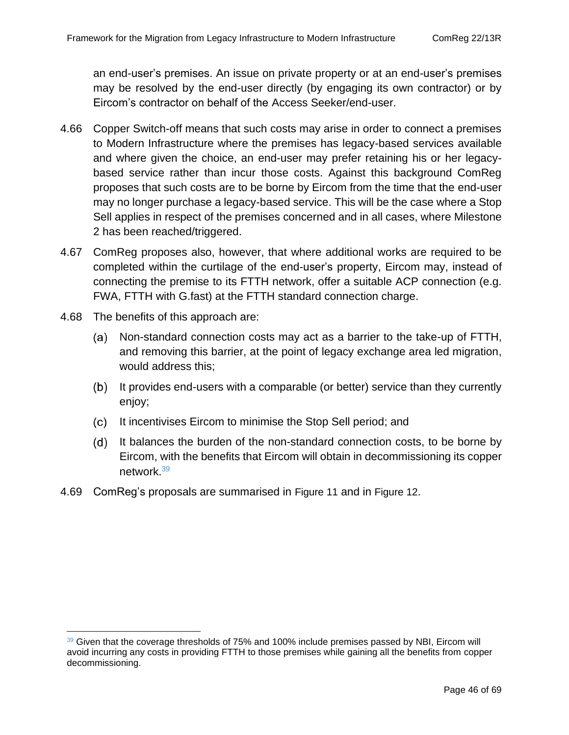an end-user's premises. An issue on private property or at an end-user's premises may be resolved by the end-user directly (by engaging its own contractor) or by Eircom's contractor on behalf of the Access Seeker/end-user.

- 4.66 Copper Switch-off means that such costs may arise in order to connect a premises to Modern Infrastructure where the premises has legacy-based services available and where given the choice, an end-user may prefer retaining his or her legacybased service rather than incur those costs. Against this background ComReg proposes that such costs are to be borne by Eircom from the time that the end-user may no longer purchase a legacy-based service. This will be the case where a Stop Sell applies in respect of the premises concerned and in all cases, where Milestone 2 has been reached/triggered.
- 4.67 ComReg proposes also, however, that where additional works are required to be completed within the curtilage of the end-user's property, Eircom may, instead of connecting the premise to its FTTH network, offer a suitable ACP connection (e.g. FWA, FTTH with G.fast) at the FTTH standard connection charge.
- 4.68 The benefits of this approach are:
	- Non-standard connection costs may act as a barrier to the take-up of FTTH, and removing this barrier, at the point of legacy exchange area led migration, would address this;
	- (b) It provides end-users with a comparable (or better) service than they currently enjoy;
	- (c) It incentivises Eircom to minimise the Stop Sell period; and
	- (d) It balances the burden of the non-standard connection costs, to be borne by Eircom, with the benefits that Eircom will obtain in decommissioning its copper network.<sup>39</sup>
- 4.69 ComReg's proposals are summarised in [Figure 11](#page-46-0) and in [Figure 12](#page-47-1).

<sup>39</sup> Given that the coverage thresholds of 75% and 100% include premises passed by NBI, Eircom will avoid incurring any costs in providing FTTH to those premises while gaining all the benefits from copper decommissioning.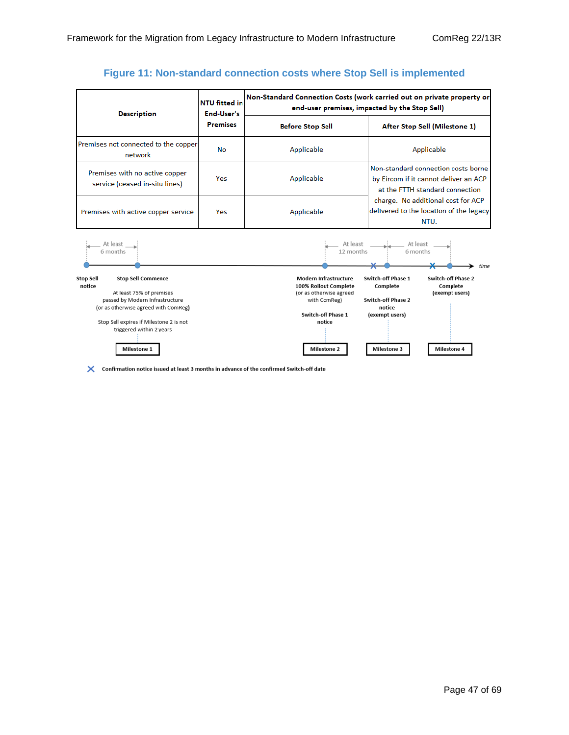#### **Figure 11: Non-standard connection costs where Stop Sell is implemented**

<span id="page-46-0"></span>

| <b>Description</b>                                               | <b>NTU fitted in</b><br>End-User's | Non-Standard Connection Costs (work carried out on private property or<br>end-user premises, impacted by the Stop Sell) |                                                                                                                                                                                                          |  |
|------------------------------------------------------------------|------------------------------------|-------------------------------------------------------------------------------------------------------------------------|----------------------------------------------------------------------------------------------------------------------------------------------------------------------------------------------------------|--|
|                                                                  | <b>Premises</b>                    | <b>Before Stop Sell</b>                                                                                                 | After Stop Sell (Milestone 1)                                                                                                                                                                            |  |
| Premises not connected to the copper<br>network                  | No                                 | Applicable                                                                                                              | Applicable                                                                                                                                                                                               |  |
| Premises with no active copper<br>service (ceased in-situ lines) | Yes                                | Applicable                                                                                                              | Non-standard connection costs borne<br>by Eircom if it cannot deliver an ACP<br>at the FTTH standard connection<br>charge. No additional cost for ACP<br>delivered to the location of the legacy<br>NTU. |  |
| Premises with active copper service                              | Yes                                | Applicable                                                                                                              |                                                                                                                                                                                                          |  |



X Confirmation notice issued at least 3 months in advance of the confirmed Switch-off date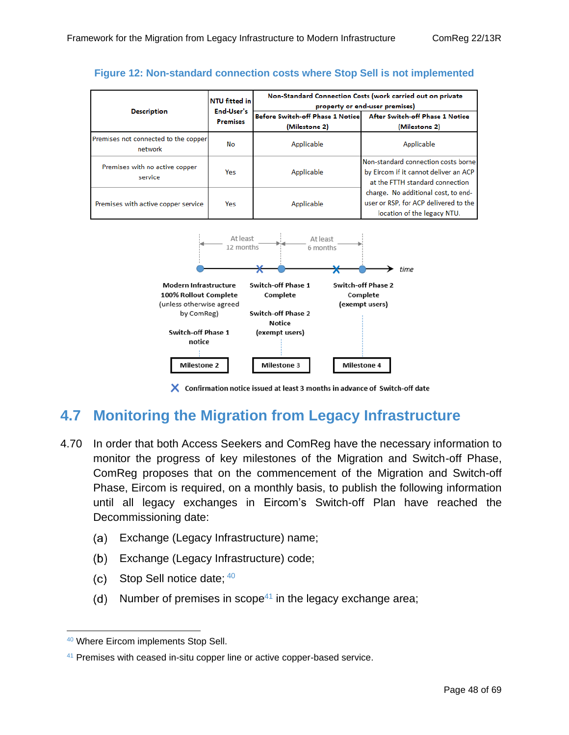| NTU fitted in                                   |                               | Non-Standard Connection Costs (work carried out on private<br>property or end-user premises) |                                                                                                                 |  |
|-------------------------------------------------|-------------------------------|----------------------------------------------------------------------------------------------|-----------------------------------------------------------------------------------------------------------------|--|
| <b>Description</b>                              | End-User's<br><b>Premises</b> | Before Switch-off Phase 1 Notice<br>(Milestone 2)                                            | After Switch-off Phase 1 Notice<br>(Milestone 2)                                                                |  |
| Premises not connected to the copper<br>network | No                            | Applicable                                                                                   | Applicable                                                                                                      |  |
| Premises with no active copper<br>service       | Yes                           | Applicable                                                                                   | Non-standard connection costs borne<br>by Eircom if it cannot deliver an ACP<br>at the FTTH standard connection |  |
| Premises with active copper service             | Yes                           | Applicable                                                                                   | charge. No additional cost, to end-<br>user or RSP, for ACP delivered to the<br>location of the legacy NTU.     |  |

<span id="page-47-1"></span>



X Confirmation notice issued at least 3 months in advance of Switch-off date

## <span id="page-47-0"></span>**4.7 Monitoring the Migration from Legacy Infrastructure**

- <span id="page-47-2"></span>4.70 In order that both Access Seekers and ComReg have the necessary information to monitor the progress of key milestones of the Migration and Switch-off Phase, ComReg proposes that on the commencement of the Migration and Switch-off Phase, Eircom is required, on a monthly basis, to publish the following information until all legacy exchanges in Eircom's Switch-off Plan have reached the Decommissioning date:
	- Exchange (Legacy Infrastructure) name; (a)
	- Exchange (Legacy Infrastructure) code;  $(b)$
	- Stop Sell notice date; <sup>40</sup>  $(c)$
	- Number of premises in scope $41$  in the legacy exchange area;  $(d)$

<sup>40</sup> Where Eircom implements Stop Sell.

<sup>&</sup>lt;sup>41</sup> Premises with ceased in-situ copper line or active copper-based service.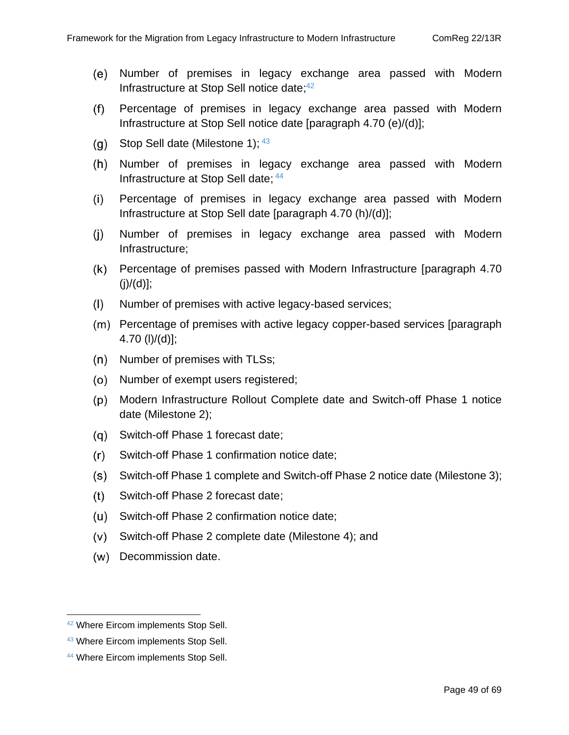- Number of premises in legacy exchange area passed with Modern Infrastructure at Stop Sell notice date; 42
- $(f)$ Percentage of premises in legacy exchange area passed with Modern Infrastructure at Stop Sell notice date [paragraph [4.70](#page-47-2) (e)/(d)];
- Stop Sell date (Milestone 1); <sup>43</sup>  $(g)$
- $(h)$ Number of premises in legacy exchange area passed with Modern Infrastructure at Stop Sell date; 44
- Percentage of premises in legacy exchange area passed with Modern  $(i)$ Infrastructure at Stop Sell date [paragraph [4.70](#page-47-2) (h)/(d)];
- $(i)$ Number of premises in legacy exchange area passed with Modern Infrastructure;
- Percentage of premises passed with Modern Infrastructure [paragraph [4.70](#page-47-2)  $(j)/(d)$ ];
- Number of premises with active legacy-based services;  $(1)$
- (m) Percentage of premises with active legacy copper-based services [paragraph] [4.70](#page-47-2) (l)/(d)];
- $(n)$  Number of premises with TLSs;
- (o) Number of exempt users registered;
- Modern Infrastructure Rollout Complete date and Switch-off Phase 1 notice date (Milestone 2);
- (q) Switch-off Phase 1 forecast date;
- $(r)$ Switch-off Phase 1 confirmation notice date;
- (s) = Switch-off Phase 1 complete and Switch-off Phase 2 notice date (Milestone 3);
- Switch-off Phase 2 forecast date;  $(t)$
- (u) Switch-off Phase 2 confirmation notice date:
- $(v)$ Switch-off Phase 2 complete date (Milestone 4); and
- (w) Decommission date.

<sup>42</sup> Where Eircom implements Stop Sell.

<sup>43</sup> Where Eircom implements Stop Sell.

<sup>44</sup> Where Eircom implements Stop Sell.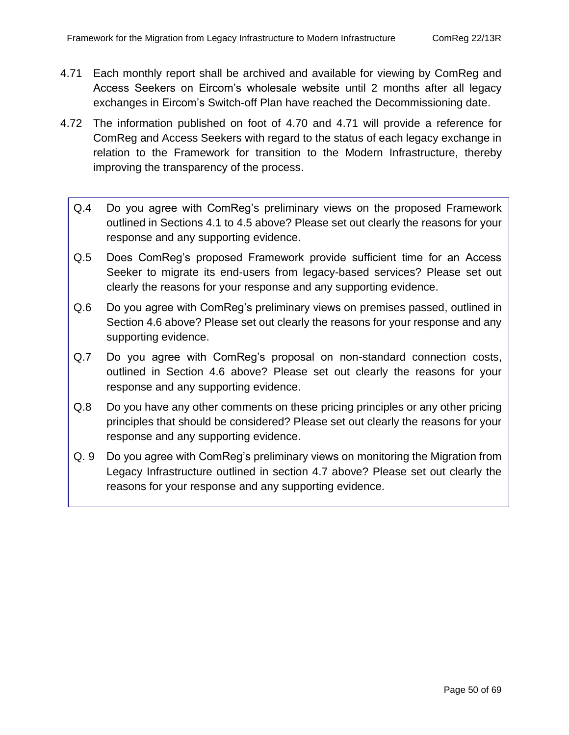- <span id="page-49-0"></span>4.71 Each monthly report shall be archived and available for viewing by ComReg and Access Seekers on Eircom's wholesale website until 2 months after all legacy exchanges in Eircom's Switch-off Plan have reached the Decommissioning date.
- 4.72 The information published on foot of [4.70](#page-47-2) and [4.71](#page-49-0) will provide a reference for ComReg and Access Seekers with regard to the status of each legacy exchange in relation to the Framework for transition to the Modern Infrastructure, thereby improving the transparency of the process.
	- Q.4 Do you agree with ComReg's preliminary views on the proposed Framework outlined in Sections [4.1](#page-28-1) to [4.5](#page-43-0) above? Please set out clearly the reasons for your response and any supporting evidence.
	- Q.5 Does ComReg's proposed Framework provide sufficient time for an Access Seeker to migrate its end-users from legacy-based services? Please set out clearly the reasons for your response and any supporting evidence.
	- Q.6 Do you agree with ComReg's preliminary views on premises passed, outlined in Section [4.6](#page-43-1) above? Please set out clearly the reasons for your response and any supporting evidence.
	- Q.7 Do you agree with ComReg's proposal on non-standard connection costs, outlined in Section [4.6](#page-43-1) above? Please set out clearly the reasons for your response and any supporting evidence.
	- Q.8 Do you have any other comments on these pricing principles or any other pricing principles that should be considered? Please set out clearly the reasons for your response and any supporting evidence.
	- Q. 9 Do you agree with ComReg's preliminary views on monitoring the Migration from Legacy Infrastructure outlined in section [4.7](#page-47-0) above? Please set out clearly the reasons for your response and any supporting evidence.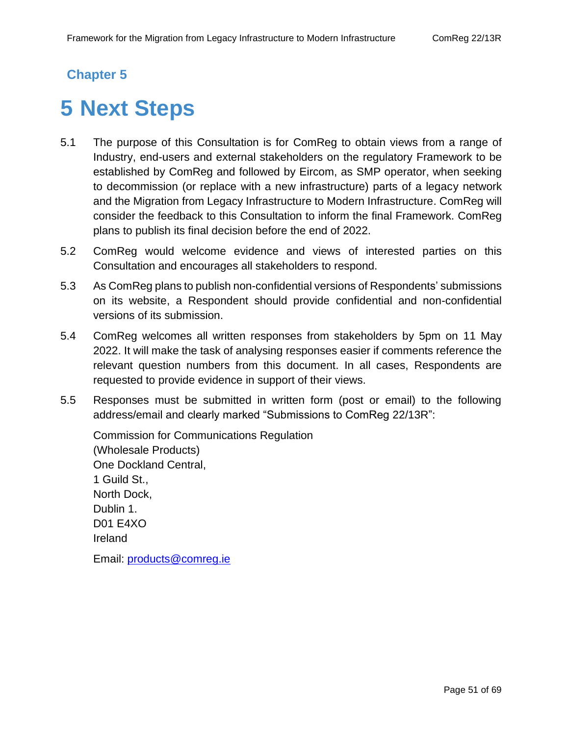### **Chapter 5**

# <span id="page-50-0"></span>**5 Next Steps**

- 5.1 The purpose of this Consultation is for ComReg to obtain views from a range of Industry, end-users and external stakeholders on the regulatory Framework to be established by ComReg and followed by Eircom, as SMP operator, when seeking to decommission (or replace with a new infrastructure) parts of a legacy network and the Migration from Legacy Infrastructure to Modern Infrastructure. ComReg will consider the feedback to this Consultation to inform the final Framework. ComReg plans to publish its final decision before the end of 2022.
- 5.2 ComReg would welcome evidence and views of interested parties on this Consultation and encourages all stakeholders to respond.
- 5.3 As ComReg plans to publish non-confidential versions of Respondents' submissions on its website, a Respondent should provide confidential and non-confidential versions of its submission.
- 5.4 ComReg welcomes all written responses from stakeholders by 5pm on 11 May 2022. It will make the task of analysing responses easier if comments reference the relevant question numbers from this document. In all cases, Respondents are requested to provide evidence in support of their views.
- 5.5 Responses must be submitted in written form (post or email) to the following address/email and clearly marked "Submissions to ComReg 22/13R":

Commission for Communications Regulation (Wholesale Products) One Dockland Central, 1 Guild St., North Dock, Dublin 1. D01 E4XO Ireland Email: [products@comreg.ie](mailto:products@comreg.ie)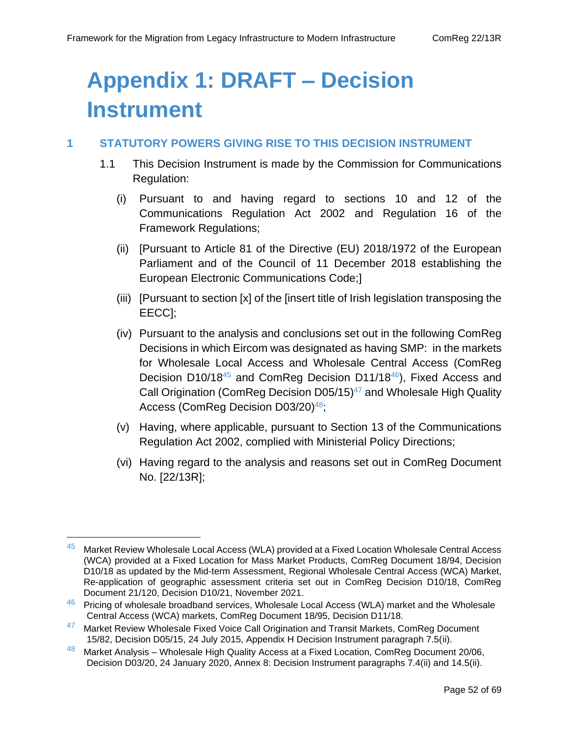# <span id="page-51-0"></span>**Appendix 1: DRAFT – Decision Instrument**

#### **1 STATUTORY POWERS GIVING RISE TO THIS DECISION INSTRUMENT**

- 1.1 This Decision Instrument is made by the Commission for Communications Regulation:
	- (i) Pursuant to and having regard to sections 10 and 12 of the Communications Regulation Act 2002 and Regulation 16 of the Framework Regulations;
	- (ii) [Pursuant to Article 81 of the Directive (EU) 2018/1972 of the European Parliament and of the Council of 11 December 2018 establishing the European Electronic Communications Code;]
	- (iii) [Pursuant to section [x] of the [insert title of Irish legislation transposing the EECC];
	- (iv) Pursuant to the analysis and conclusions set out in the following ComReg Decisions in which Eircom was designated as having SMP: in the markets for Wholesale Local Access and Wholesale Central Access (ComReg Decision D10/18<sup>45</sup> and ComReg Decision D11/18<sup>46</sup>), Fixed Access and Call Origination (ComReg Decision D05/15)<sup>47</sup> and Wholesale High Quality Access (ComReg Decision D03/20)<sup>48</sup>;
	- (v) Having, where applicable, pursuant to Section 13 of the Communications Regulation Act 2002, complied with Ministerial Policy Directions;
	- (vi) Having regard to the analysis and reasons set out in ComReg Document No. [22/13R];

 $45$  Market Review Wholesale Local Access (WLA) provided at a Fixed Location Wholesale Central Access (WCA) provided at a Fixed Location for Mass Market Products, ComReg Document 18/94, Decision D10/18 as updated by the Mid-term Assessment, Regional Wholesale Central Access (WCA) Market, Re-application of geographic assessment criteria set out in ComReg Decision D10/18, ComReg Document 21/120, Decision D10/21, November 2021.

 $46$  Pricing of wholesale broadband services, Wholesale Local Access (WLA) market and the Wholesale Central Access (WCA) markets, ComReg Document 18/95, Decision D11/18.

 $47$  Market Review Wholesale Fixed Voice Call Origination and Transit Markets, ComReg Document 15/82, Decision D05/15, 24 July 2015, Appendix H Decision Instrument paragraph 7.5(ii).

<sup>48</sup> Market Analysis – Wholesale High Quality Access at a Fixed Location, ComReg Document 20/06, Decision D03/20, 24 January 2020, Annex 8: Decision Instrument paragraphs 7.4(ii) and 14.5(ii).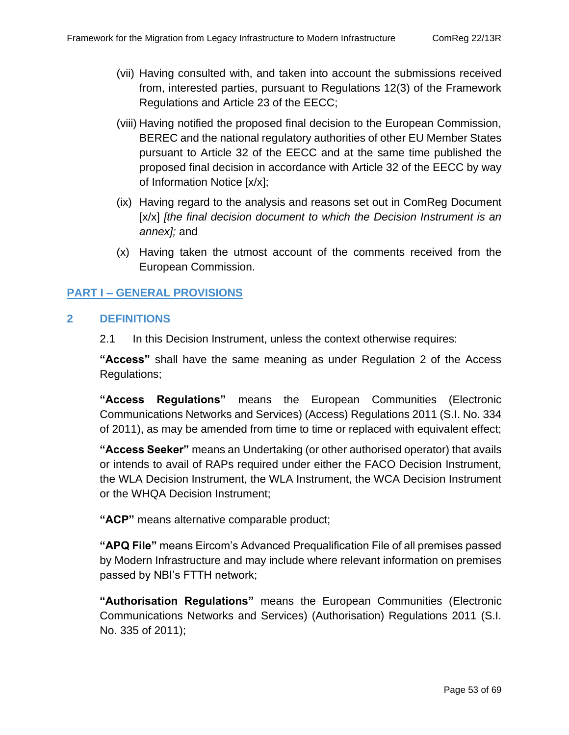- (vii) Having consulted with, and taken into account the submissions received from, interested parties, pursuant to Regulations 12(3) of the Framework Regulations and Article 23 of the EECC;
- (viii) Having notified the proposed final decision to the European Commission, BEREC and the national regulatory authorities of other EU Member States pursuant to Article 32 of the EECC and at the same time published the proposed final decision in accordance with Article 32 of the EECC by way of Information Notice [x/x];
- (ix) Having regard to the analysis and reasons set out in ComReg Document [x/x] *[the final decision document to which the Decision Instrument is an annex];* and
- (x) Having taken the utmost account of the comments received from the European Commission.

#### **PART I – GENERAL PROVISIONS**

#### **2 DEFINITIONS**

2.1 In this Decision Instrument, unless the context otherwise requires:

**"Access"** shall have the same meaning as under Regulation 2 of the Access Regulations;

**"Access Regulations"** means the European Communities (Electronic Communications Networks and Services) (Access) Regulations 2011 (S.I. No. 334 of 2011), as may be amended from time to time or replaced with equivalent effect;

**"Access Seeker"** means an Undertaking (or other authorised operator) that avails or intends to avail of RAPs required under either the FACO Decision Instrument, the WLA Decision Instrument, the WLA Instrument, the WCA Decision Instrument or the WHQA Decision Instrument;

**"ACP"** means alternative comparable product;

**"APQ File"** means Eircom's Advanced Prequalification File of all premises passed by Modern Infrastructure and may include where relevant information on premises passed by NBI's FTTH network;

**"Authorisation Regulations"** means the European Communities (Electronic Communications Networks and Services) (Authorisation) Regulations 2011 (S.I. No. 335 of 2011);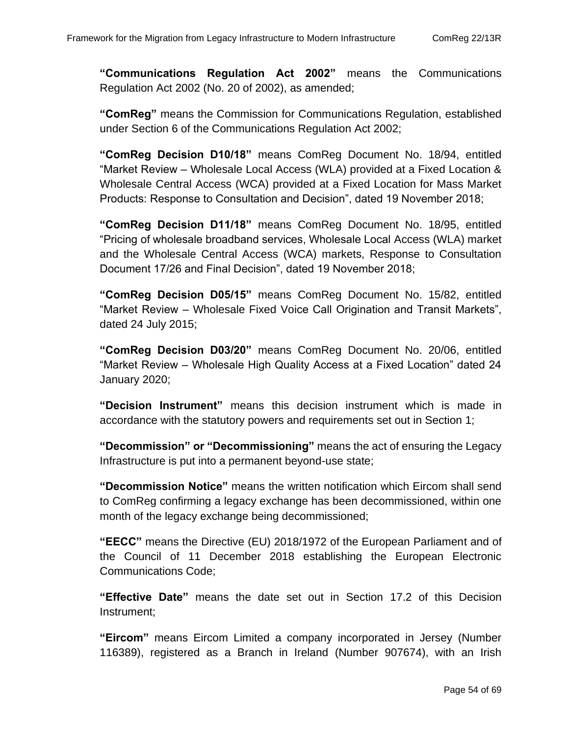**"Communications Regulation Act 2002"** means the Communications Regulation Act 2002 (No. 20 of 2002), as amended;

**"ComReg"** means the Commission for Communications Regulation, established under Section 6 of the Communications Regulation Act 2002;

**"ComReg Decision D10/18"** means ComReg Document No. 18/94, entitled "Market Review – Wholesale Local Access (WLA) provided at a Fixed Location & Wholesale Central Access (WCA) provided at a Fixed Location for Mass Market Products: Response to Consultation and Decision", dated 19 November 2018;

**"ComReg Decision D11/18"** means ComReg Document No. 18/95, entitled "Pricing of wholesale broadband services, Wholesale Local Access (WLA) market and the Wholesale Central Access (WCA) markets, Response to Consultation Document 17/26 and Final Decision", dated 19 November 2018;

**"ComReg Decision D05/15"** means ComReg Document No. 15/82, entitled "Market Review – Wholesale Fixed Voice Call Origination and Transit Markets", dated 24 July 2015;

**"ComReg Decision D03/20"** means ComReg Document No. 20/06, entitled "Market Review – Wholesale High Quality Access at a Fixed Location" dated 24 January 2020;

**"Decision Instrument"** means this decision instrument which is made in accordance with the statutory powers and requirements set out in Section 1;

**"Decommission" or "Decommissioning"** means the act of ensuring the Legacy Infrastructure is put into a permanent beyond-use state;

**"Decommission Notice"** means the written notification which Eircom shall send to ComReg confirming a legacy exchange has been decommissioned, within one month of the legacy exchange being decommissioned;

**"EECC"** means the Directive (EU) 2018/1972 of the European Parliament and of the Council of 11 December 2018 establishing the European Electronic Communications Code;

**"Effective Date"** means the date set out in Section [17.2](#page-67-0) of this Decision Instrument;

**"Eircom"** means Eircom Limited a company incorporated in Jersey (Number 116389), registered as a Branch in Ireland (Number 907674), with an Irish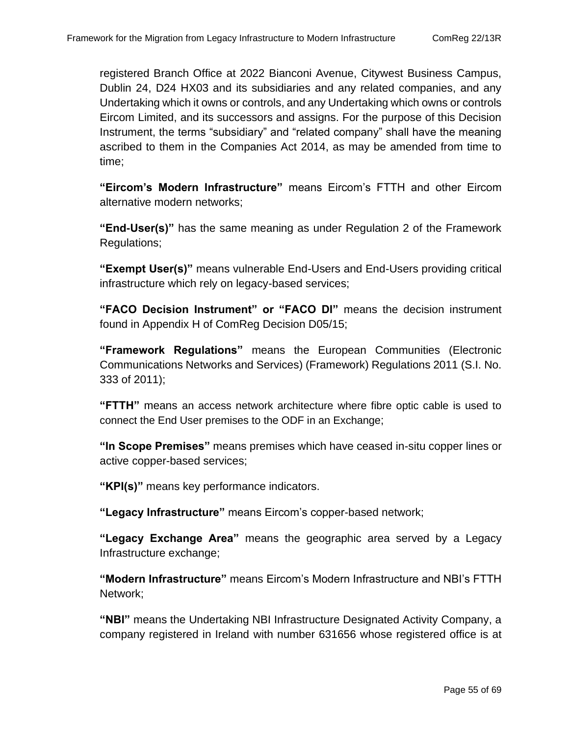registered Branch Office at 2022 Bianconi Avenue, Citywest Business Campus, Dublin 24, D24 HX03 and its subsidiaries and any related companies, and any Undertaking which it owns or controls, and any Undertaking which owns or controls Eircom Limited, and its successors and assigns. For the purpose of this Decision Instrument, the terms "subsidiary" and "related company" shall have the meaning ascribed to them in the Companies Act 2014, as may be amended from time to time;

**"Eircom's Modern Infrastructure"** means Eircom's FTTH and other Eircom alternative modern networks;

**"End-User(s)"** has the same meaning as under Regulation 2 of the Framework Regulations;

**"Exempt User(s)"** means vulnerable End-Users and End-Users providing critical infrastructure which rely on legacy-based services;

**"FACO Decision Instrument" or "FACO DI"** means the decision instrument found in Appendix H of ComReg Decision D05/15;

**"Framework Regulations"** means the European Communities (Electronic Communications Networks and Services) (Framework) Regulations 2011 (S.I. No. 333 of 2011);

**"FTTH"** means an access network architecture where fibre optic cable is used to connect the End User premises to the ODF in an Exchange;

**"In Scope Premises"** means premises which have ceased in-situ copper lines or active copper-based services;

**"KPI(s)"** means key performance indicators.

**"Legacy Infrastructure"** means Eircom's copper-based network;

**"Legacy Exchange Area"** means the geographic area served by a Legacy Infrastructure exchange;

**"Modern Infrastructure"** means Eircom's Modern Infrastructure and NBI's FTTH Network;

**"NBI"** means the Undertaking NBI Infrastructure Designated Activity Company, a company registered in Ireland with number 631656 whose registered office is at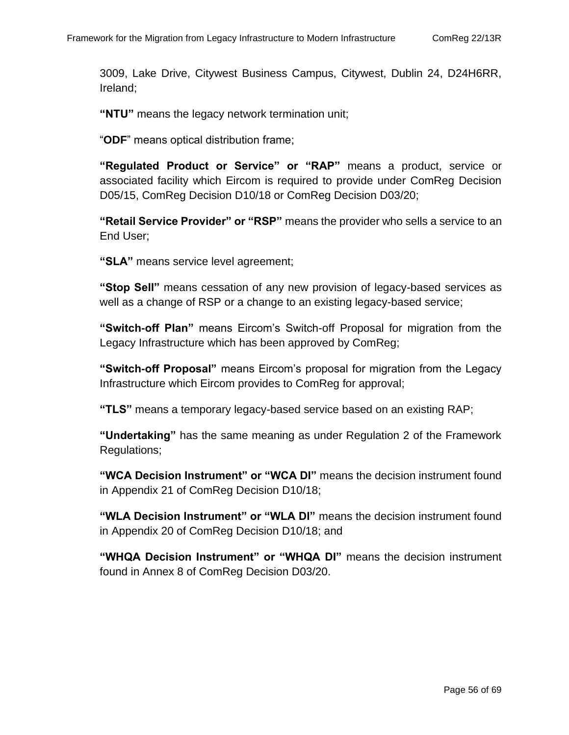3009, Lake Drive, Citywest Business Campus, Citywest, Dublin 24, D24H6RR, Ireland;

**"NTU"** means the legacy network termination unit;

"**ODF**" means optical distribution frame;

**"Regulated Product or Service" or "RAP"** means a product, service or associated facility which Eircom is required to provide under ComReg Decision D05/15, ComReg Decision D10/18 or ComReg Decision D03/20;

**"Retail Service Provider" or "RSP"** means the provider who sells a service to an End User;

**"SLA"** means service level agreement;

**"Stop Sell"** means cessation of any new provision of legacy-based services as well as a change of RSP or a change to an existing legacy-based service;

**"Switch-off Plan"** means Eircom's Switch-off Proposal for migration from the Legacy Infrastructure which has been approved by ComReg;

**"Switch-off Proposal"** means Eircom's proposal for migration from the Legacy Infrastructure which Eircom provides to ComReg for approval;

**"TLS"** means a temporary legacy-based service based on an existing RAP;

**"Undertaking"** has the same meaning as under Regulation 2 of the Framework Regulations;

**"WCA Decision Instrument" or "WCA DI"** means the decision instrument found in Appendix 21 of ComReg Decision D10/18;

**"WLA Decision Instrument" or "WLA DI"** means the decision instrument found in Appendix 20 of ComReg Decision D10/18; and

**"WHQA Decision Instrument" or "WHQA DI"** means the decision instrument found in Annex 8 of ComReg Decision D03/20.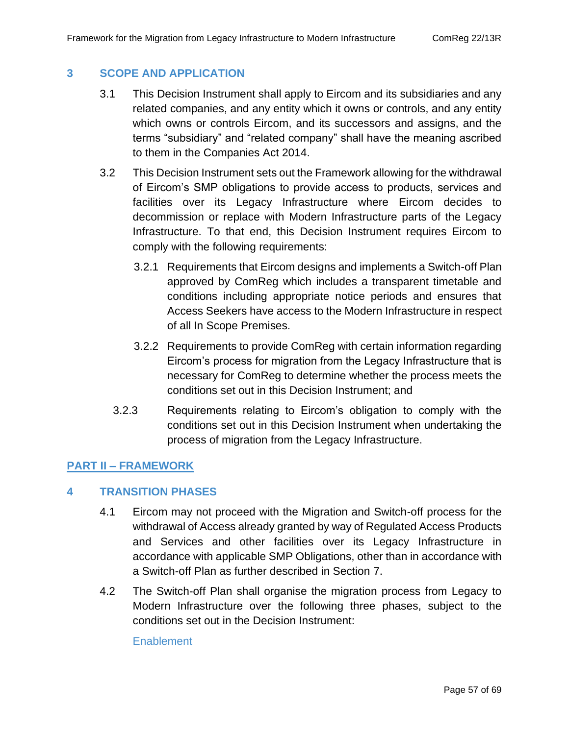#### **3 SCOPE AND APPLICATION**

- 3.1 This Decision Instrument shall apply to Eircom and its subsidiaries and any related companies, and any entity which it owns or controls, and any entity which owns or controls Eircom, and its successors and assigns, and the terms "subsidiary" and "related company" shall have the meaning ascribed to them in the Companies Act 2014.
- 3.2 This Decision Instrument sets out the Framework allowing for the withdrawal of Eircom's SMP obligations to provide access to products, services and facilities over its Legacy Infrastructure where Eircom decides to decommission or replace with Modern Infrastructure parts of the Legacy Infrastructure. To that end, this Decision Instrument requires Eircom to comply with the following requirements:
	- 3.2.1 Requirements that Eircom designs and implements a Switch-off Plan approved by ComReg which includes a transparent timetable and conditions including appropriate notice periods and ensures that Access Seekers have access to the Modern Infrastructure in respect of all In Scope Premises.
	- 3.2.2 Requirements to provide ComReg with certain information regarding Eircom's process for migration from the Legacy Infrastructure that is necessary for ComReg to determine whether the process meets the conditions set out in this Decision Instrument; and
	- 3.2.3 Requirements relating to Eircom's obligation to comply with the conditions set out in this Decision Instrument when undertaking the process of migration from the Legacy Infrastructure.

#### **PART II – FRAMEWORK**

#### **4 TRANSITION PHASES**

- 4.1 Eircom may not proceed with the Migration and Switch-off process for the withdrawal of Access already granted by way of Regulated Access Products and Services and other facilities over its Legacy Infrastructure in accordance with applicable SMP Obligations, other than in accordance with a Switch-off Plan as further described in Section 7.
- 4.2 The Switch-off Plan shall organise the migration process from Legacy to Modern Infrastructure over the following three phases, subject to the conditions set out in the Decision Instrument:

#### **Enablement**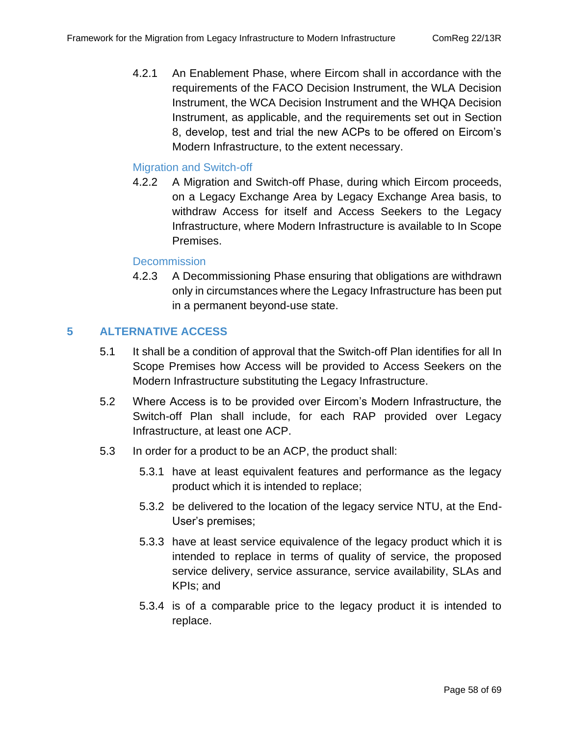4.2.1 An Enablement Phase, where Eircom shall in accordance with the requirements of the FACO Decision Instrument, the WLA Decision Instrument, the WCA Decision Instrument and the WHQA Decision Instrument, as applicable, and the requirements set out in Section [8,](#page-59-0) develop, test and trial the new ACPs to be offered on Eircom's Modern Infrastructure, to the extent necessary.

#### Migration and Switch-off

4.2.2 A Migration and Switch-off Phase, during which Eircom proceeds, on a Legacy Exchange Area by Legacy Exchange Area basis, to withdraw Access for itself and Access Seekers to the Legacy Infrastructure, where Modern Infrastructure is available to In Scope Premises.

#### **Decommission**

4.2.3 A Decommissioning Phase ensuring that obligations are withdrawn only in circumstances where the Legacy Infrastructure has been put in a permanent beyond-use state.

#### **5 ALTERNATIVE ACCESS**

- 5.1 It shall be a condition of approval that the Switch-off Plan identifies for all In Scope Premises how Access will be provided to Access Seekers on the Modern Infrastructure substituting the Legacy Infrastructure.
- 5.2 Where Access is to be provided over Eircom's Modern Infrastructure, the Switch-off Plan shall include, for each RAP provided over Legacy Infrastructure, at least one ACP.
- 5.3 In order for a product to be an ACP, the product shall:
	- 5.3.1 have at least equivalent features and performance as the legacy product which it is intended to replace;
	- 5.3.2 be delivered to the location of the legacy service NTU, at the End-User's premises;
	- 5.3.3 have at least service equivalence of the legacy product which it is intended to replace in terms of quality of service, the proposed service delivery, service assurance, service availability, SLAs and KPIs; and
	- 5.3.4 is of a comparable price to the legacy product it is intended to replace.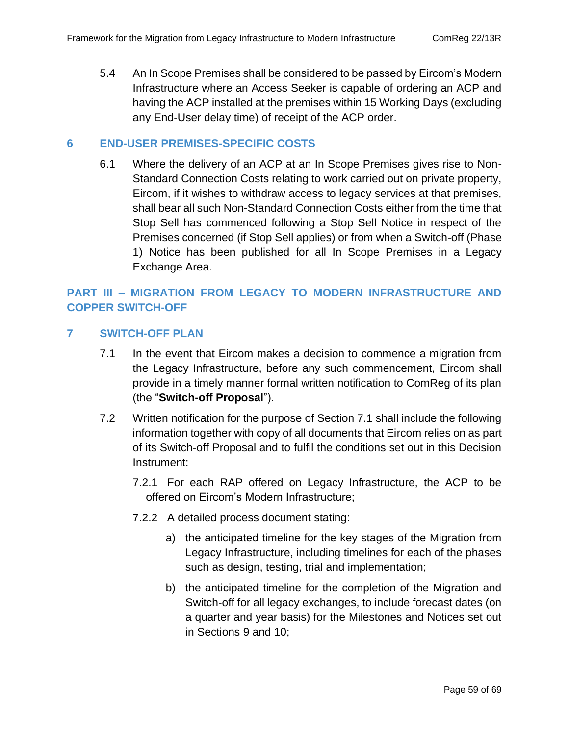5.4 An In Scope Premises shall be considered to be passed by Eircom's Modern Infrastructure where an Access Seeker is capable of ordering an ACP and having the ACP installed at the premises within 15 Working Days (excluding any End-User delay time) of receipt of the ACP order.

#### **6 END-USER PREMISES-SPECIFIC COSTS**

6.1 Where the delivery of an ACP at an In Scope Premises gives rise to Non-Standard Connection Costs relating to work carried out on private property, Eircom, if it wishes to withdraw access to legacy services at that premises, shall bear all such Non-Standard Connection Costs either from the time that Stop Sell has commenced following a Stop Sell Notice in respect of the Premises concerned (if Stop Sell applies) or from when a Switch-off (Phase 1) Notice has been published for all In Scope Premises in a Legacy Exchange Area.

#### **PART III – MIGRATION FROM LEGACY TO MODERN INFRASTRUCTURE AND COPPER SWITCH-OFF**

#### **7 SWITCH-OFF PLAN**

- 7.1 In the event that Eircom makes a decision to commence a migration from the Legacy Infrastructure, before any such commencement, Eircom shall provide in a timely manner formal written notification to ComReg of its plan (the "**Switch-off Proposal**").
- 7.2 Written notification for the purpose of Section 7.1 shall include the following information together with copy of all documents that Eircom relies on as part of its Switch-off Proposal and to fulfil the conditions set out in this Decision Instrument:
	- 7.2.1 For each RAP offered on Legacy Infrastructure, the ACP to be offered on Eircom's Modern Infrastructure;
	- 7.2.2 A detailed process document stating:
		- a) the anticipated timeline for the key stages of the Migration from Legacy Infrastructure, including timelines for each of the phases such as design, testing, trial and implementation;
		- b) the anticipated timeline for the completion of the Migration and Switch-off for all legacy exchanges, to include forecast dates (on a quarter and year basis) for the Milestones and Notices set out in Sections [9](#page-61-0) and [10;](#page-63-0)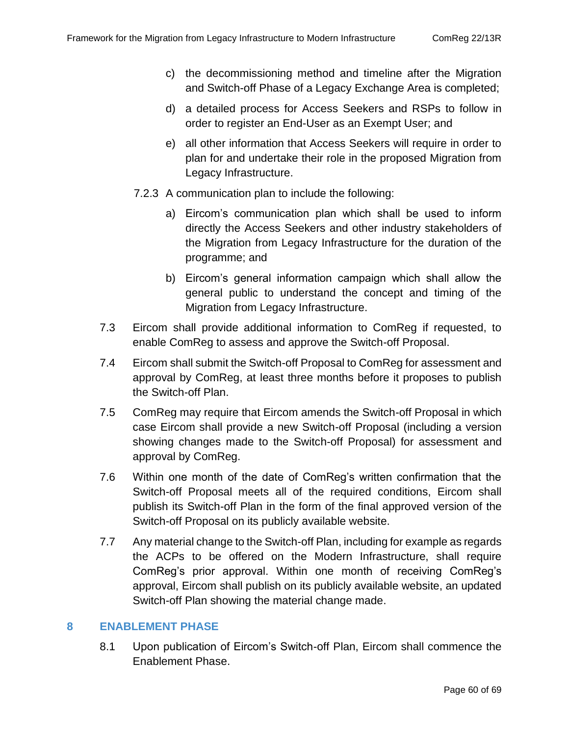- c) the decommissioning method and timeline after the Migration and Switch-off Phase of a Legacy Exchange Area is completed;
- d) a detailed process for Access Seekers and RSPs to follow in order to register an End-User as an Exempt User; and
- e) all other information that Access Seekers will require in order to plan for and undertake their role in the proposed Migration from Legacy Infrastructure.
- 7.2.3 A communication plan to include the following:
	- a) Eircom's communication plan which shall be used to inform directly the Access Seekers and other industry stakeholders of the Migration from Legacy Infrastructure for the duration of the programme; and
	- b) Eircom's general information campaign which shall allow the general public to understand the concept and timing of the Migration from Legacy Infrastructure.
- 7.3 Eircom shall provide additional information to ComReg if requested, to enable ComReg to assess and approve the Switch-off Proposal.
- 7.4 Eircom shall submit the Switch-off Proposal to ComReg for assessment and approval by ComReg, at least three months before it proposes to publish the Switch-off Plan.
- 7.5 ComReg may require that Eircom amends the Switch-off Proposal in which case Eircom shall provide a new Switch-off Proposal (including a version showing changes made to the Switch-off Proposal) for assessment and approval by ComReg.
- 7.6 Within one month of the date of ComReg's written confirmation that the Switch-off Proposal meets all of the required conditions, Eircom shall publish its Switch-off Plan in the form of the final approved version of the Switch-off Proposal on its publicly available website.
- 7.7 Any material change to the Switch-off Plan, including for example as regards the ACPs to be offered on the Modern Infrastructure, shall require ComReg's prior approval. Within one month of receiving ComReg's approval, Eircom shall publish on its publicly available website, an updated Switch-off Plan showing the material change made.

#### <span id="page-59-0"></span>**8 ENABLEMENT PHASE**

8.1 Upon publication of Eircom's Switch-off Plan, Eircom shall commence the Enablement Phase.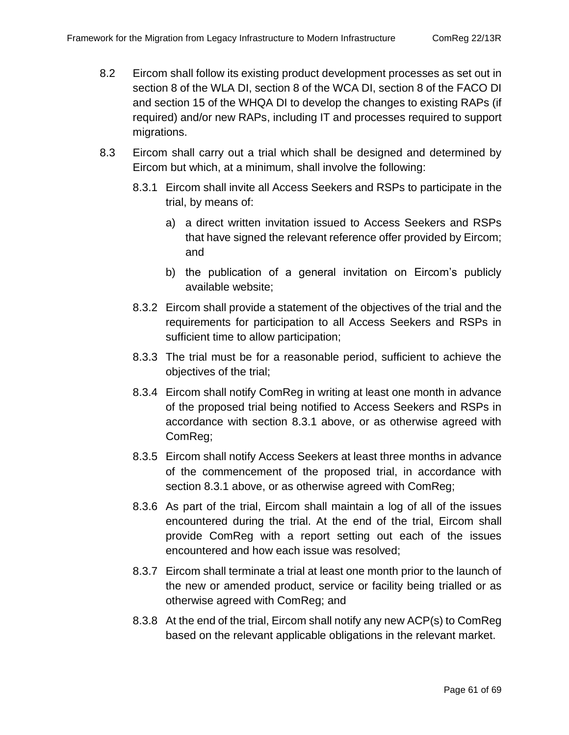- 8.2 Eircom shall follow its existing product development processes as set out in section 8 of the WLA DI, section 8 of the WCA DI, section 8 of the FACO DI and section 15 of the WHQA DI to develop the changes to existing RAPs (if required) and/or new RAPs, including IT and processes required to support migrations.
- 8.3 Eircom shall carry out a trial which shall be designed and determined by Eircom but which, at a minimum, shall involve the following:
	- 8.3.1 Eircom shall invite all Access Seekers and RSPs to participate in the trial, by means of:
		- a) a direct written invitation issued to Access Seekers and RSPs that have signed the relevant reference offer provided by Eircom; and
		- b) the publication of a general invitation on Eircom's publicly available website;
	- 8.3.2 Eircom shall provide a statement of the objectives of the trial and the requirements for participation to all Access Seekers and RSPs in sufficient time to allow participation;
	- 8.3.3 The trial must be for a reasonable period, sufficient to achieve the objectives of the trial;
	- 8.3.4 Eircom shall notify ComReg in writing at least one month in advance of the proposed trial being notified to Access Seekers and RSPs in accordance with section 8.3.1 above, or as otherwise agreed with ComReg;
	- 8.3.5 Eircom shall notify Access Seekers at least three months in advance of the commencement of the proposed trial, in accordance with section 8.3.1 above, or as otherwise agreed with ComReg;
	- 8.3.6 As part of the trial, Eircom shall maintain a log of all of the issues encountered during the trial. At the end of the trial, Eircom shall provide ComReg with a report setting out each of the issues encountered and how each issue was resolved;
	- 8.3.7 Eircom shall terminate a trial at least one month prior to the launch of the new or amended product, service or facility being trialled or as otherwise agreed with ComReg; and
	- 8.3.8 At the end of the trial, Eircom shall notify any new ACP(s) to ComReg based on the relevant applicable obligations in the relevant market.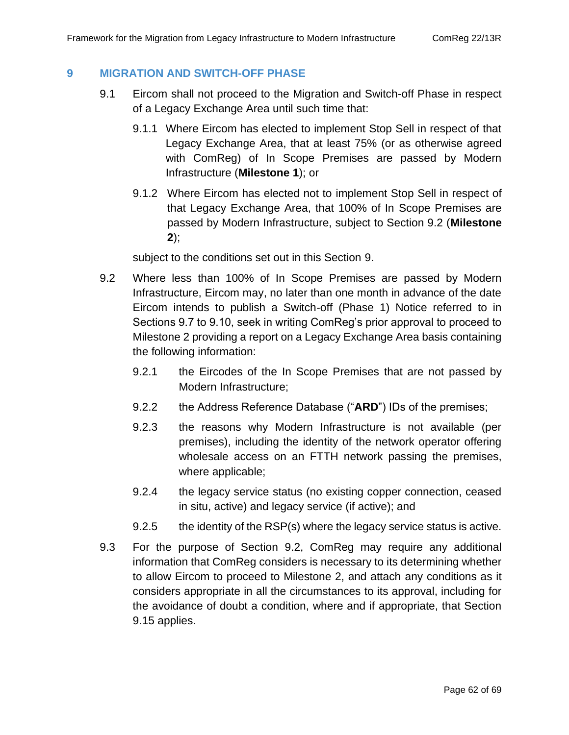#### <span id="page-61-0"></span>**9 MIGRATION AND SWITCH-OFF PHASE**

- <span id="page-61-2"></span>9.1 Eircom shall not proceed to the Migration and Switch-off Phase in respect of a Legacy Exchange Area until such time that:
	- 9.1.1 Where Eircom has elected to implement Stop Sell in respect of that Legacy Exchange Area, that at least 75% (or as otherwise agreed with ComReg) of In Scope Premises are passed by Modern Infrastructure (**Milestone 1**); or
	- 9.1.2 Where Eircom has elected not to implement Stop Sell in respect of that Legacy Exchange Area, that 100% of In Scope Premises are passed by Modern Infrastructure, subject to Section 9.2 (**Milestone 2**);

subject to the conditions set out in this Section [9.](#page-61-0)

- <span id="page-61-3"></span><span id="page-61-1"></span>9.2 Where less than 100% of In Scope Premises are passed by Modern Infrastructure, Eircom may, no later than one month in advance of the date Eircom intends to publish a Switch-off (Phase 1) Notice referred to in Sections 9.7 to 9.10, seek in writing ComReg's prior approval to proceed to Milestone 2 providing a report on a Legacy Exchange Area basis containing the following information:
	- 9.2.1 the Eircodes of the In Scope Premises that are not passed by Modern Infrastructure;
	- 9.2.2 the Address Reference Database ("**ARD**") IDs of the premises;
	- 9.2.3 the reasons why Modern Infrastructure is not available (per premises), including the identity of the network operator offering wholesale access on an FTTH network passing the premises, where applicable;
	- 9.2.4 the legacy service status (no existing copper connection, ceased in situ, active) and legacy service (if active); and
	- 9.2.5 the identity of the RSP(s) where the legacy service status is active.
- 9.3 For the purpose of Section [9.2,](#page-61-1) ComReg may require any additional information that ComReg considers is necessary to its determining whether to allow Eircom to proceed to Milestone 2, and attach any conditions as it considers appropriate in all the circumstances to its approval, including for the avoidance of doubt a condition, where and if appropriate, that Section [9.15](#page-63-1) applies.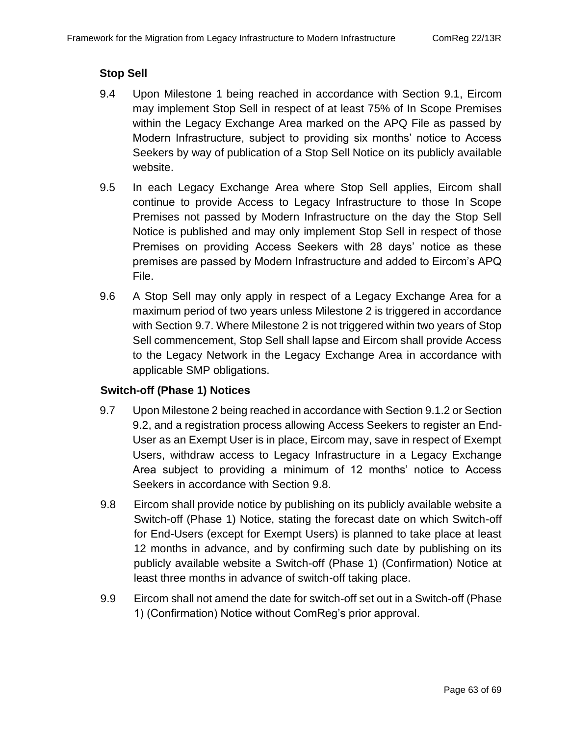#### **Stop Sell**

- 9.4 Upon Milestone 1 being reached in accordance with Section [9.1,](#page-61-2) Eircom may implement Stop Sell in respect of at least 75% of In Scope Premises within the Legacy Exchange Area marked on the APQ File as passed by Modern Infrastructure, subject to providing six months' notice to Access Seekers by way of publication of a Stop Sell Notice on its publicly available website.
- 9.5 In each Legacy Exchange Area where Stop Sell applies, Eircom shall continue to provide Access to Legacy Infrastructure to those In Scope Premises not passed by Modern Infrastructure on the day the Stop Sell Notice is published and may only implement Stop Sell in respect of those Premises on providing Access Seekers with 28 days' notice as these premises are passed by Modern Infrastructure and added to Eircom's APQ File.
- 9.6 A Stop Sell may only apply in respect of a Legacy Exchange Area for a maximum period of two years unless Milestone 2 is triggered in accordance with Section [9.7.](#page-62-0) Where Milestone 2 is not triggered within two years of Stop Sell commencement, Stop Sell shall lapse and Eircom shall provide Access to the Legacy Network in the Legacy Exchange Area in accordance with applicable SMP obligations.

#### **Switch-off (Phase 1) Notices**

- <span id="page-62-0"></span>9.7 Upon Milestone 2 being reached in accordance with Sectio[n 9.1.2](#page-61-3) or Section [9.2,](#page-61-1) and a registration process allowing Access Seekers to register an End-User as an Exempt User is in place, Eircom may, save in respect of Exempt Users, withdraw access to Legacy Infrastructure in a Legacy Exchange Area subject to providing a minimum of 12 months' notice to Access Seekers in accordance with Section [9.8.](#page-62-1)
- <span id="page-62-1"></span>9.8 Eircom shall provide notice by publishing on its publicly available website a Switch-off (Phase 1) Notice, stating the forecast date on which Switch-off for End-Users (except for Exempt Users) is planned to take place at least 12 months in advance, and by confirming such date by publishing on its publicly available website a Switch-off (Phase 1) (Confirmation) Notice at least three months in advance of switch-off taking place.
- 9.9 Eircom shall not amend the date for switch-off set out in a Switch-off (Phase 1) (Confirmation) Notice without ComReg's prior approval.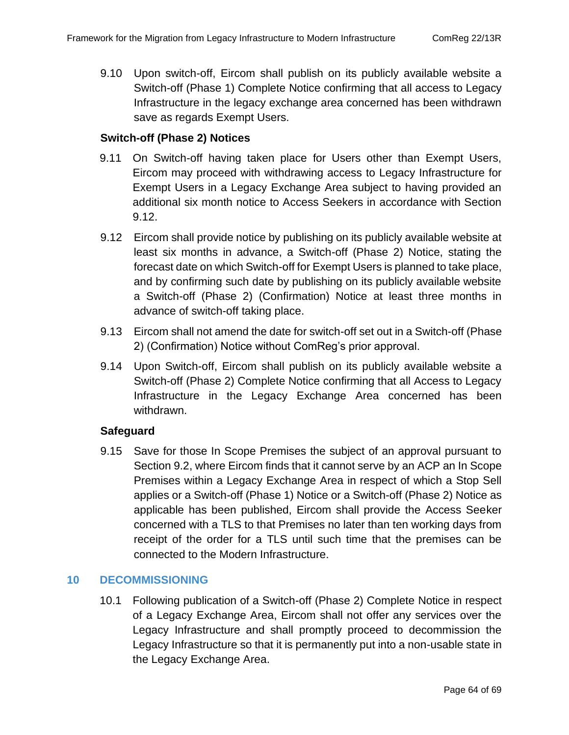9.10 Upon switch-off, Eircom shall publish on its publicly available website a Switch-off (Phase 1) Complete Notice confirming that all access to Legacy Infrastructure in the legacy exchange area concerned has been withdrawn save as regards Exempt Users.

#### **Switch-off (Phase 2) Notices**

- 9.11 On Switch-off having taken place for Users other than Exempt Users, Eircom may proceed with withdrawing access to Legacy Infrastructure for Exempt Users in a Legacy Exchange Area subject to having provided an additional six month notice to Access Seekers in accordance with Section [9.12.](#page-63-2)
- <span id="page-63-2"></span>9.12 Eircom shall provide notice by publishing on its publicly available website at least six months in advance, a Switch-off (Phase 2) Notice, stating the forecast date on which Switch-off for Exempt Users is planned to take place, and by confirming such date by publishing on its publicly available website a Switch-off (Phase 2) (Confirmation) Notice at least three months in advance of switch-off taking place.
- 9.13 Eircom shall not amend the date for switch-off set out in a Switch-off (Phase 2) (Confirmation) Notice without ComReg's prior approval.
- 9.14 Upon Switch-off, Eircom shall publish on its publicly available website a Switch-off (Phase 2) Complete Notice confirming that all Access to Legacy Infrastructure in the Legacy Exchange Area concerned has been withdrawn.

#### **Safeguard**

9.15 Save for those In Scope Premises the subject of an approval pursuant to Section [9.2,](#page-61-1) where Eircom finds that it cannot serve by an ACP an In Scope Premises within a Legacy Exchange Area in respect of which a Stop Sell applies or a Switch-off (Phase 1) Notice or a Switch-off (Phase 2) Notice as applicable has been published, Eircom shall provide the Access Seeker concerned with a TLS to that Premises no later than ten working days from receipt of the order for a TLS until such time that the premises can be connected to the Modern Infrastructure.

#### <span id="page-63-0"></span>**10 DECOMMISSIONING**

<span id="page-63-1"></span>10.1 Following publication of a Switch-off (Phase 2) Complete Notice in respect of a Legacy Exchange Area, Eircom shall not offer any services over the Legacy Infrastructure and shall promptly proceed to decommission the Legacy Infrastructure so that it is permanently put into a non-usable state in the Legacy Exchange Area.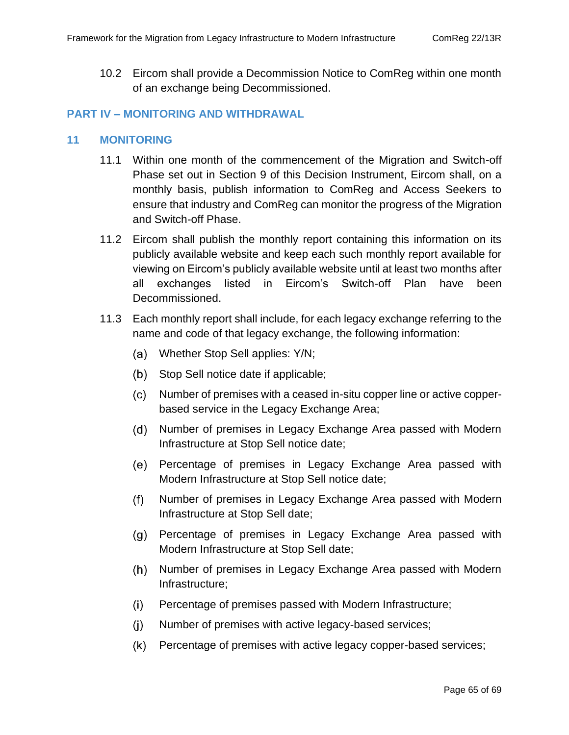10.2 Eircom shall provide a Decommission Notice to ComReg within one month of an exchange being Decommissioned.

#### **PART IV – MONITORING AND WITHDRAWAL**

#### **11 MONITORING**

- 11.1 Within one month of the commencement of the Migration and Switch-off Phase set out in Section [9](#page-61-0) of this Decision Instrument, Eircom shall, on a monthly basis, publish information to ComReg and Access Seekers to ensure that industry and ComReg can monitor the progress of the Migration and Switch-off Phase.
- 11.2 Eircom shall publish the monthly report containing this information on its publicly available website and keep each such monthly report available for viewing on Eircom's publicly available website until at least two months after all exchanges listed in Eircom's Switch-off Plan have been Decommissioned.
- 11.3 Each monthly report shall include, for each legacy exchange referring to the name and code of that legacy exchange, the following information:
	- Whether Stop Sell applies: Y/N;
	- (b) Stop Sell notice date if applicable;
	- Number of premises with a ceased in-situ copper line or active copperbased service in the Legacy Exchange Area;
	- $(d)$ Number of premises in Legacy Exchange Area passed with Modern Infrastructure at Stop Sell notice date;
	- Percentage of premises in Legacy Exchange Area passed with (e) Modern Infrastructure at Stop Sell notice date;
	- Number of premises in Legacy Exchange Area passed with Modern  $(f)$ Infrastructure at Stop Sell date;
	- Percentage of premises in Legacy Exchange Area passed with  $(g)$ Modern Infrastructure at Stop Sell date;
	- $(h)$ Number of premises in Legacy Exchange Area passed with Modern Infrastructure;
	- $(i)$ Percentage of premises passed with Modern Infrastructure;
	- $(i)$ Number of premises with active legacy-based services;
	- $(k)$ Percentage of premises with active legacy copper-based services;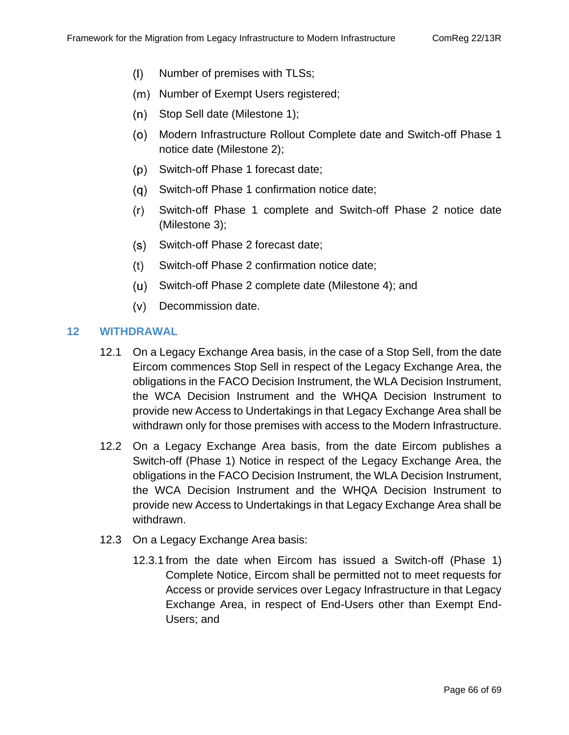- $(1)$ Number of premises with TLSs;
- (m) Number of Exempt Users registered;
- $(n)$ Stop Sell date (Milestone 1);
- Modern Infrastructure Rollout Complete date and Switch-off Phase 1 notice date (Milestone 2);
- $(p)$ Switch-off Phase 1 forecast date;
- Switch-off Phase 1 confirmation notice date;
- $(r)$ Switch-off Phase 1 complete and Switch-off Phase 2 notice date (Milestone 3);
- Switch-off Phase 2 forecast date;  $(s)$
- $(t)$ Switch-off Phase 2 confirmation notice date;
- Switch-off Phase 2 complete date (Milestone 4); and
- (v) Decommission date.

#### **12 WITHDRAWAL**

- 12.1 On a Legacy Exchange Area basis, in the case of a Stop Sell, from the date Eircom commences Stop Sell in respect of the Legacy Exchange Area, the obligations in the FACO Decision Instrument, the WLA Decision Instrument, the WCA Decision Instrument and the WHQA Decision Instrument to provide new Access to Undertakings in that Legacy Exchange Area shall be withdrawn only for those premises with access to the Modern Infrastructure.
- 12.2 On a Legacy Exchange Area basis, from the date Eircom publishes a Switch-off (Phase 1) Notice in respect of the Legacy Exchange Area, the obligations in the FACO Decision Instrument, the WLA Decision Instrument, the WCA Decision Instrument and the WHQA Decision Instrument to provide new Access to Undertakings in that Legacy Exchange Area shall be withdrawn.
- 12.3 On a Legacy Exchange Area basis:
	- 12.3.1 from the date when Eircom has issued a Switch-off (Phase 1) Complete Notice, Eircom shall be permitted not to meet requests for Access or provide services over Legacy Infrastructure in that Legacy Exchange Area, in respect of End-Users other than Exempt End-Users; and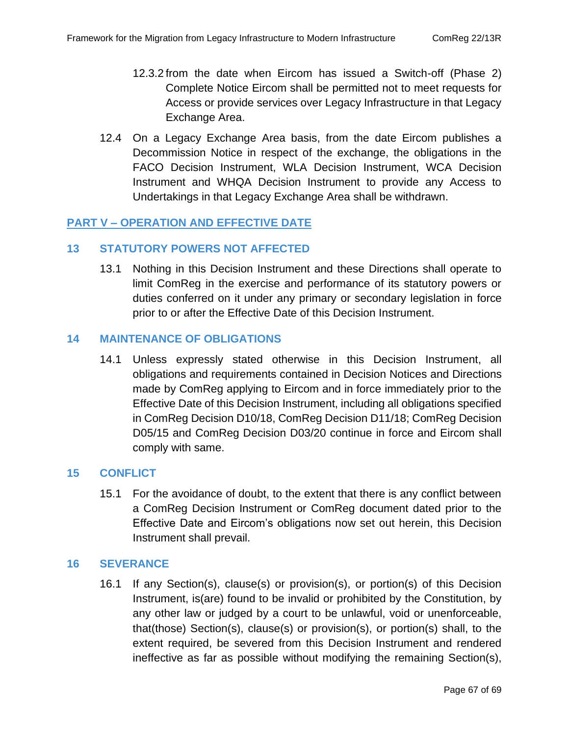- 12.3.2 from the date when Eircom has issued a Switch-off (Phase 2) Complete Notice Eircom shall be permitted not to meet requests for Access or provide services over Legacy Infrastructure in that Legacy Exchange Area.
- 12.4 On a Legacy Exchange Area basis, from the date Eircom publishes a Decommission Notice in respect of the exchange, the obligations in the FACO Decision Instrument, WLA Decision Instrument, WCA Decision Instrument and WHQA Decision Instrument to provide any Access to Undertakings in that Legacy Exchange Area shall be withdrawn.

#### **PART V – OPERATION AND EFFECTIVE DATE**

#### **13 STATUTORY POWERS NOT AFFECTED**

13.1 Nothing in this Decision Instrument and these Directions shall operate to limit ComReg in the exercise and performance of its statutory powers or duties conferred on it under any primary or secondary legislation in force prior to or after the Effective Date of this Decision Instrument.

#### **14 MAINTENANCE OF OBLIGATIONS**

14.1 Unless expressly stated otherwise in this Decision Instrument, all obligations and requirements contained in Decision Notices and Directions made by ComReg applying to Eircom and in force immediately prior to the Effective Date of this Decision Instrument, including all obligations specified in ComReg Decision D10/18, ComReg Decision D11/18; ComReg Decision D05/15 and ComReg Decision D03/20 continue in force and Eircom shall comply with same.

#### **15 CONFLICT**

15.1 For the avoidance of doubt, to the extent that there is any conflict between a ComReg Decision Instrument or ComReg document dated prior to the Effective Date and Eircom's obligations now set out herein, this Decision Instrument shall prevail.

#### **16 SEVERANCE**

16.1 If any Section(s), clause(s) or provision(s), or portion(s) of this Decision Instrument, is(are) found to be invalid or prohibited by the Constitution, by any other law or judged by a court to be unlawful, void or unenforceable, that(those) Section(s), clause(s) or provision(s), or portion(s) shall, to the extent required, be severed from this Decision Instrument and rendered ineffective as far as possible without modifying the remaining Section(s),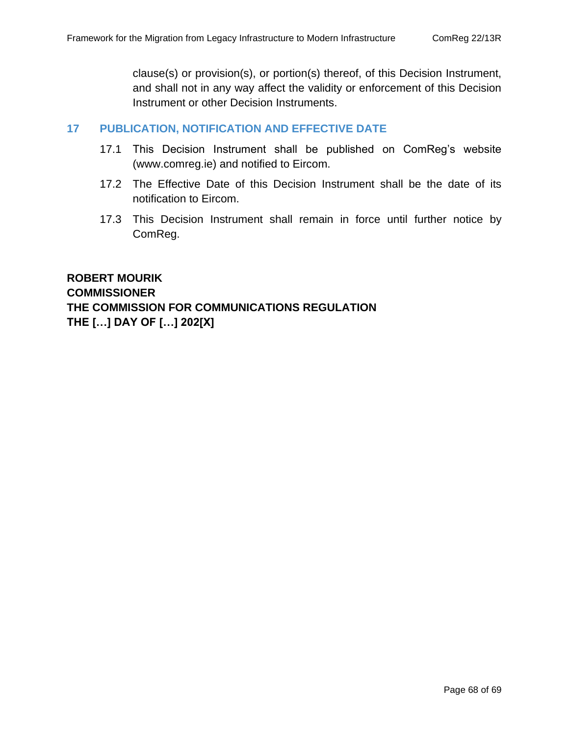clause(s) or provision(s), or portion(s) thereof, of this Decision Instrument, and shall not in any way affect the validity or enforcement of this Decision Instrument or other Decision Instruments.

#### **17 PUBLICATION, NOTIFICATION AND EFFECTIVE DATE**

- 17.1 This Decision Instrument shall be published on ComReg's website [\(www.comreg.ie\)](http://www.comreg.ie/) and notified to Eircom.
- <span id="page-67-0"></span>17.2 The Effective Date of this Decision Instrument shall be the date of its notification to Eircom.
- 17.3 This Decision Instrument shall remain in force until further notice by ComReg.

**ROBERT MOURIK COMMISSIONER THE COMMISSION FOR COMMUNICATIONS REGULATION THE […] DAY OF […] 202[X]**